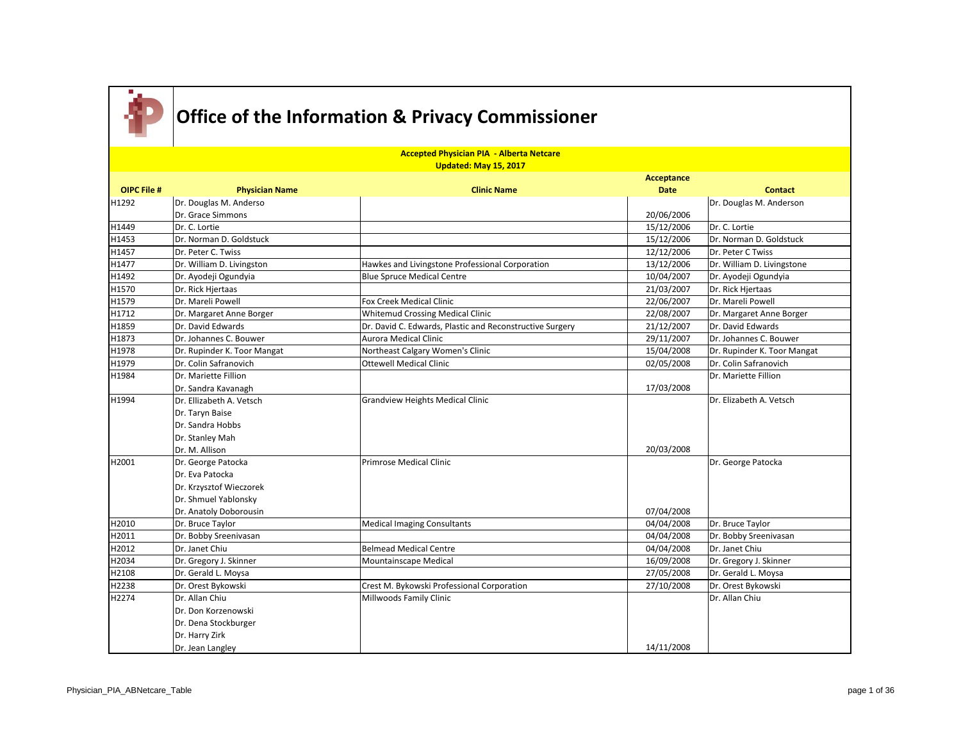

|                    | <b>Accepted Physician PIA - Alberta Netcare</b><br>Updated: May 15, 2017 |                                                          |                   |                             |  |
|--------------------|--------------------------------------------------------------------------|----------------------------------------------------------|-------------------|-----------------------------|--|
|                    |                                                                          |                                                          | <b>Acceptance</b> |                             |  |
| <b>OIPC File #</b> | <b>Physician Name</b>                                                    | <b>Clinic Name</b>                                       | <b>Date</b>       | <b>Contact</b>              |  |
| H1292              | Dr. Douglas M. Anderso                                                   |                                                          |                   | Dr. Douglas M. Anderson     |  |
|                    | Dr. Grace Simmons                                                        |                                                          | 20/06/2006        |                             |  |
| H1449              | Dr. C. Lortie                                                            |                                                          | 15/12/2006        | Dr. C. Lortie               |  |
| H1453              | Dr. Norman D. Goldstuck                                                  |                                                          | 15/12/2006        | Dr. Norman D. Goldstuck     |  |
| H1457              | Dr. Peter C. Twiss                                                       |                                                          | 12/12/2006        | Dr. Peter C Twiss           |  |
| H1477              | Dr. William D. Livingston                                                | Hawkes and Livingstone Professional Corporation          | 13/12/2006        | Dr. William D. Livingstone  |  |
| H1492              | Dr. Ayodeji Ogundyia                                                     | <b>Blue Spruce Medical Centre</b>                        | 10/04/2007        | Dr. Ayodeji Ogundyia        |  |
| H1570              | Dr. Rick Hjertaas                                                        |                                                          | 21/03/2007        | Dr. Rick Hjertaas           |  |
| H1579              | Dr. Mareli Powell                                                        | Fox Creek Medical Clinic                                 | 22/06/2007        | Dr. Mareli Powell           |  |
| H1712              | Dr. Margaret Anne Borger                                                 | Whitemud Crossing Medical Clinic                         | 22/08/2007        | Dr. Margaret Anne Borger    |  |
| H1859              | Dr. David Edwards                                                        | Dr. David C. Edwards, Plastic and Reconstructive Surgery | 21/12/2007        | Dr. David Edwards           |  |
| H1873              | Dr. Johannes C. Bouwer                                                   | Aurora Medical Clinic                                    | 29/11/2007        | Dr. Johannes C. Bouwer      |  |
| H1978              | Dr. Rupinder K. Toor Mangat                                              | Northeast Calgary Women's Clinic                         | 15/04/2008        | Dr. Rupinder K. Toor Mangat |  |
| H1979              | Dr. Colin Safranovich                                                    | <b>Ottewell Medical Clinic</b>                           | 02/05/2008        | Dr. Colin Safranovich       |  |
| H1984              | Dr. Mariette Fillion                                                     |                                                          |                   | Dr. Mariette Fillion        |  |
|                    | Dr. Sandra Kavanagh                                                      |                                                          | 17/03/2008        |                             |  |
| H1994              | Dr. Ellizabeth A. Vetsch                                                 | <b>Grandview Heights Medical Clinic</b>                  |                   | Dr. Elizabeth A. Vetsch     |  |
|                    | Dr. Taryn Baise                                                          |                                                          |                   |                             |  |
|                    | Dr. Sandra Hobbs                                                         |                                                          |                   |                             |  |
|                    | Dr. Stanley Mah                                                          |                                                          |                   |                             |  |
|                    | Dr. M. Allison                                                           |                                                          | 20/03/2008        |                             |  |
| H2001              | Dr. George Patocka                                                       | Primrose Medical Clinic                                  |                   | Dr. George Patocka          |  |
|                    | Dr. Eva Patocka                                                          |                                                          |                   |                             |  |
|                    | Dr. Krzysztof Wieczorek                                                  |                                                          |                   |                             |  |
|                    | Dr. Shmuel Yablonsky                                                     |                                                          |                   |                             |  |
|                    | Dr. Anatoly Doborousin                                                   |                                                          | 07/04/2008        |                             |  |
| H2010              | Dr. Bruce Taylor                                                         | <b>Medical Imaging Consultants</b>                       | 04/04/2008        | Dr. Bruce Taylor            |  |
| H2011              | Dr. Bobby Sreenivasan                                                    |                                                          | 04/04/2008        | Dr. Bobby Sreenivasan       |  |
| H2012              | Dr. Janet Chiu                                                           | <b>Belmead Medical Centre</b>                            | 04/04/2008        | Dr. Janet Chiu              |  |
| H2034              | Dr. Gregory J. Skinner                                                   | Mountainscape Medical                                    | 16/09/2008        | Dr. Gregory J. Skinner      |  |
| H2108              | Dr. Gerald L. Moysa                                                      |                                                          | 27/05/2008        | Dr. Gerald L. Moysa         |  |
| H2238              | Dr. Orest Bykowski                                                       | Crest M. Bykowski Professional Corporation               | 27/10/2008        | Dr. Orest Bykowski          |  |
| H2274              | Dr. Allan Chiu                                                           | Millwoods Family Clinic                                  |                   | Dr. Allan Chiu              |  |
|                    | Dr. Don Korzenowski                                                      |                                                          |                   |                             |  |
|                    | Dr. Dena Stockburger                                                     |                                                          |                   |                             |  |
|                    | Dr. Harry Zirk                                                           |                                                          |                   |                             |  |
|                    | Dr. Jean Langley                                                         |                                                          | 14/11/2008        |                             |  |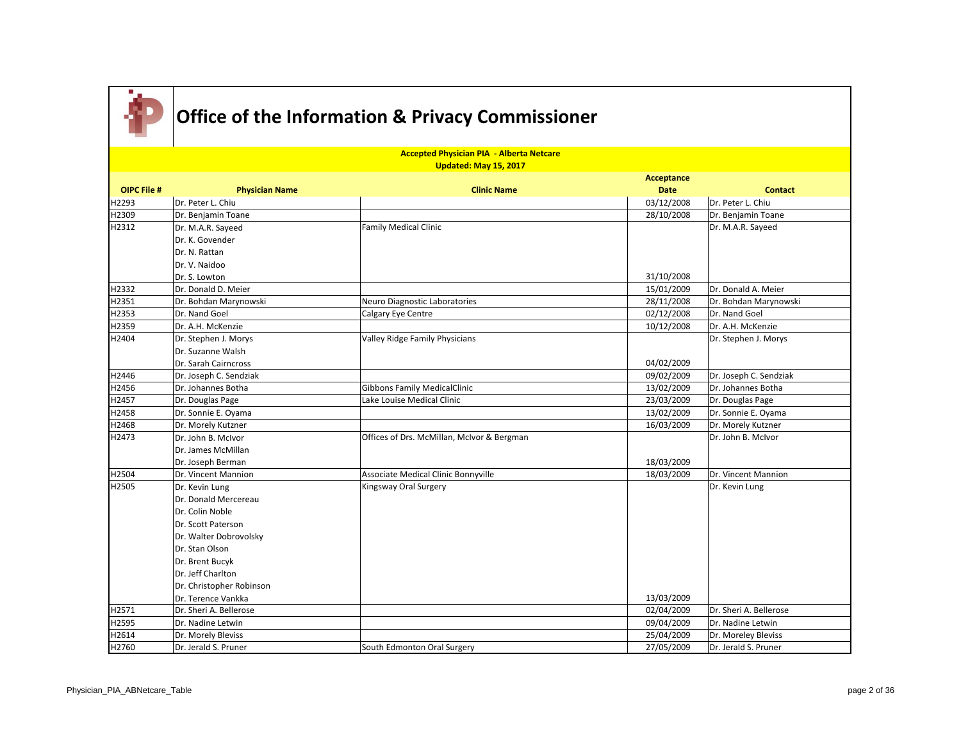

|                    | <b>Accepted Physician PIA - Alberta Netcare</b><br>Updated: May 15, 2017 |                                            |             |                        |  |  |
|--------------------|--------------------------------------------------------------------------|--------------------------------------------|-------------|------------------------|--|--|
|                    |                                                                          |                                            | Acceptance  |                        |  |  |
| <b>OIPC File #</b> | <b>Physician Name</b>                                                    | <b>Clinic Name</b>                         | <b>Date</b> | <b>Contact</b>         |  |  |
| H2293              | Dr. Peter L. Chiu                                                        |                                            | 03/12/2008  | Dr. Peter L. Chiu      |  |  |
| H2309              | Dr. Benjamin Toane                                                       |                                            | 28/10/2008  | Dr. Benjamin Toane     |  |  |
| H2312              | Dr. M.A.R. Sayeed                                                        | <b>Family Medical Clinic</b>               |             | Dr. M.A.R. Sayeed      |  |  |
|                    | Dr. K. Govender                                                          |                                            |             |                        |  |  |
|                    | Dr. N. Rattan                                                            |                                            |             |                        |  |  |
|                    | Dr. V. Naidoo                                                            |                                            |             |                        |  |  |
|                    | Dr. S. Lowton                                                            |                                            | 31/10/2008  |                        |  |  |
| H2332              | Dr. Donald D. Meier                                                      |                                            | 15/01/2009  | Dr. Donald A. Meier    |  |  |
| H2351              | Dr. Bohdan Marynowski                                                    | Neuro Diagnostic Laboratories              | 28/11/2008  | Dr. Bohdan Marynowski  |  |  |
| H2353              | Dr. Nand Goel                                                            | Calgary Eye Centre                         | 02/12/2008  | Dr. Nand Goel          |  |  |
| H2359              | Dr. A.H. McKenzie                                                        |                                            | 10/12/2008  | Dr. A.H. McKenzie      |  |  |
| H2404              | Dr. Stephen J. Morys                                                     | Valley Ridge Family Physicians             |             | Dr. Stephen J. Morys   |  |  |
|                    | Dr. Suzanne Walsh                                                        |                                            |             |                        |  |  |
|                    | Dr. Sarah Cairncross                                                     |                                            | 04/02/2009  |                        |  |  |
| H2446              | Dr. Joseph C. Sendziak                                                   |                                            | 09/02/2009  | Dr. Joseph C. Sendziak |  |  |
| H2456              | Dr. Johannes Botha                                                       | <b>Gibbons Family MedicalClinic</b>        | 13/02/2009  | Dr. Johannes Botha     |  |  |
| H2457              | Dr. Douglas Page                                                         | Lake Louise Medical Clinic                 | 23/03/2009  | Dr. Douglas Page       |  |  |
| H2458              | Dr. Sonnie E. Oyama                                                      |                                            | 13/02/2009  | Dr. Sonnie E. Oyama    |  |  |
| H2468              | Dr. Morely Kutzner                                                       |                                            | 16/03/2009  | Dr. Morely Kutzner     |  |  |
| H2473              | Dr. John B. McIvor                                                       | Offices of Drs. McMillan, McIvor & Bergman |             | Dr. John B. McIvor     |  |  |
|                    | Dr. James McMillan                                                       |                                            |             |                        |  |  |
|                    | Dr. Joseph Berman                                                        |                                            | 18/03/2009  |                        |  |  |
| H2504              | Dr. Vincent Mannion                                                      | Associate Medical Clinic Bonnyville        | 18/03/2009  | Dr. Vincent Mannion    |  |  |
| H2505              | Dr. Kevin Lung                                                           | Kingsway Oral Surgery                      |             | Dr. Kevin Lung         |  |  |
|                    | Dr. Donald Mercereau                                                     |                                            |             |                        |  |  |
|                    | Dr. Colin Noble                                                          |                                            |             |                        |  |  |
|                    | Dr. Scott Paterson                                                       |                                            |             |                        |  |  |
|                    | Dr. Walter Dobrovolsky                                                   |                                            |             |                        |  |  |
|                    | Dr. Stan Olson                                                           |                                            |             |                        |  |  |
|                    | Dr. Brent Bucyk                                                          |                                            |             |                        |  |  |
|                    | Dr. Jeff Charlton                                                        |                                            |             |                        |  |  |
|                    | Dr. Christopher Robinson                                                 |                                            |             |                        |  |  |
|                    | Dr. Terence Vankka                                                       |                                            | 13/03/2009  |                        |  |  |
| H2571              | Dr. Sheri A. Bellerose                                                   |                                            | 02/04/2009  | Dr. Sheri A. Bellerose |  |  |
| H2595              | Dr. Nadine Letwin                                                        |                                            | 09/04/2009  | Dr. Nadine Letwin      |  |  |
| H2614              | Dr. Morely Bleviss                                                       |                                            | 25/04/2009  | Dr. Moreley Bleviss    |  |  |
| H2760              | Dr. Jerald S. Pruner                                                     | South Edmonton Oral Surgery                | 27/05/2009  | Dr. Jerald S. Pruner   |  |  |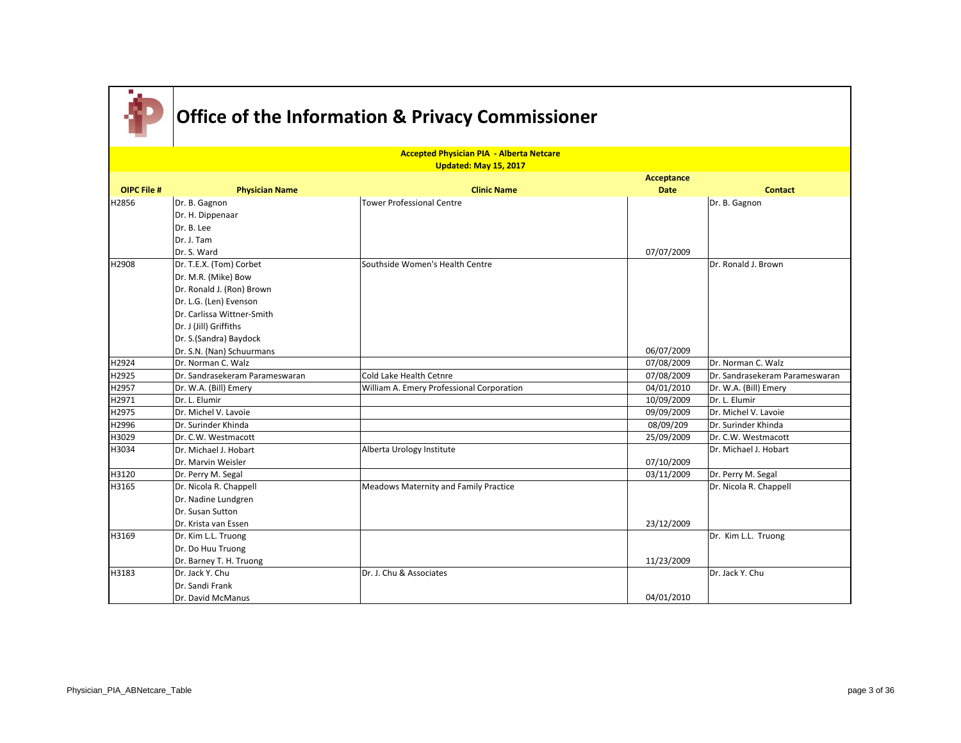

|                    | <b>Accepted Physician PIA - Alberta Netcare</b> |                                           |             |                                |  |
|--------------------|-------------------------------------------------|-------------------------------------------|-------------|--------------------------------|--|
|                    |                                                 | Updated: May 15, 2017                     | Acceptance  |                                |  |
| <b>OIPC File #</b> | <b>Physician Name</b>                           | <b>Clinic Name</b>                        | <b>Date</b> | <b>Contact</b>                 |  |
| H2856              | Dr. B. Gagnon                                   | Tower Professional Centre                 |             | Dr. B. Gagnon                  |  |
|                    | Dr. H. Dippenaar                                |                                           |             |                                |  |
|                    | Dr. B. Lee                                      |                                           |             |                                |  |
|                    | Dr. J. Tam                                      |                                           |             |                                |  |
|                    | Dr. S. Ward                                     |                                           | 07/07/2009  |                                |  |
| H2908              | Dr. T.E.X. (Tom) Corbet                         | Southside Women's Health Centre           |             | Dr. Ronald J. Brown            |  |
|                    | Dr. M.R. (Mike) Bow                             |                                           |             |                                |  |
|                    | Dr. Ronald J. (Ron) Brown                       |                                           |             |                                |  |
|                    | Dr. L.G. (Len) Evenson                          |                                           |             |                                |  |
|                    | Dr. Carlissa Wittner-Smith                      |                                           |             |                                |  |
|                    | Dr. J (Jill) Griffiths                          |                                           |             |                                |  |
|                    | Dr. S.(Sandra) Baydock                          |                                           |             |                                |  |
|                    | Dr. S.N. (Nan) Schuurmans                       |                                           | 06/07/2009  |                                |  |
| H2924              | Dr. Norman C. Walz                              |                                           | 07/08/2009  | Dr. Norman C. Walz             |  |
| H2925              | Dr. Sandrasekeram Parameswaran                  | Cold Lake Health Cetnre                   | 07/08/2009  | Dr. Sandrasekeram Parameswaran |  |
| H2957              | Dr. W.A. (Bill) Emery                           | William A. Emery Professional Corporation | 04/01/2010  | Dr. W.A. (Bill) Emery          |  |
| H2971              | Dr. L. Elumir                                   |                                           | 10/09/2009  | Dr. L. Elumir                  |  |
| H2975              | Dr. Michel V. Lavoie                            |                                           | 09/09/2009  | Dr. Michel V. Lavoie           |  |
| H2996              | Dr. Surinder Khinda                             |                                           | 08/09/209   | Dr. Surinder Khinda            |  |
| H3029              | IDr. C.W. Westmacott                            |                                           | 25/09/2009  | Dr. C.W. Westmacott            |  |
| H3034              | Dr. Michael J. Hobart                           | Alberta Urology Institute                 |             | Dr. Michael J. Hobart          |  |
|                    | Dr. Marvin Weisler                              |                                           | 07/10/2009  |                                |  |
| H3120              | Dr. Perry M. Segal                              |                                           | 03/11/2009  | Dr. Perry M. Segal             |  |
| H3165              | Dr. Nicola R. Chappell                          | Meadows Maternity and Family Practice     |             | Dr. Nicola R. Chappell         |  |
|                    | Dr. Nadine Lundgren                             |                                           |             |                                |  |
|                    | Dr. Susan Sutton                                |                                           |             |                                |  |
|                    | Dr. Krista van Essen                            |                                           | 23/12/2009  |                                |  |
| H3169              | Dr. Kim L.L. Truong                             |                                           |             | Dr. Kim L.L. Truong            |  |
|                    | Dr. Do Huu Truong                               |                                           |             |                                |  |
|                    | Dr. Barney T. H. Truong                         |                                           | 11/23/2009  |                                |  |
| H3183              | Dr. Jack Y. Chu                                 | Dr. J. Chu & Associates                   |             | Dr. Jack Y. Chu                |  |
|                    | Dr. Sandi Frank                                 |                                           |             |                                |  |
|                    | Dr. David McManus                               |                                           | 04/01/2010  |                                |  |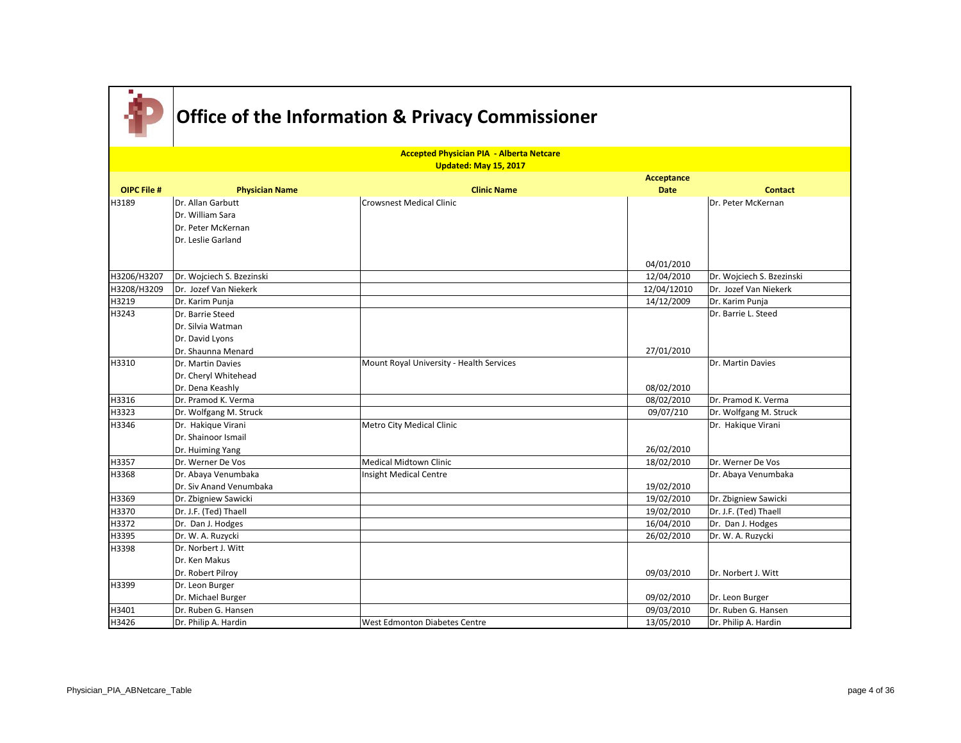|                    |                           | <b>Accepted Physician PIA - Alberta Netcare</b><br>Updated: May 15, 2017 |             |                           |
|--------------------|---------------------------|--------------------------------------------------------------------------|-------------|---------------------------|
|                    |                           |                                                                          | Acceptance  |                           |
| <b>OIPC File #</b> | <b>Physician Name</b>     | <b>Clinic Name</b>                                                       | <b>Date</b> | <b>Contact</b>            |
| H3189              | Dr. Allan Garbutt         | <b>Crowsnest Medical Clinic</b>                                          |             | Dr. Peter McKernan        |
|                    | Dr. William Sara          |                                                                          |             |                           |
|                    | Dr. Peter McKernan        |                                                                          |             |                           |
|                    | Dr. Leslie Garland        |                                                                          |             |                           |
|                    |                           |                                                                          |             |                           |
|                    |                           |                                                                          | 04/01/2010  |                           |
| H3206/H3207        | Dr. Wojciech S. Bzezinski |                                                                          | 12/04/2010  | Dr. Wojciech S. Bzezinski |
| H3208/H3209        | Dr. Jozef Van Niekerk     |                                                                          | 12/04/12010 | Dr. Jozef Van Niekerk     |
| H3219              | Dr. Karim Punja           |                                                                          | 14/12/2009  | Dr. Karim Punja           |
| H3243              | Dr. Barrie Steed          |                                                                          |             | Dr. Barrie L. Steed       |
|                    | Dr. Silvia Watman         |                                                                          |             |                           |
|                    | Dr. David Lyons           |                                                                          |             |                           |
|                    | Dr. Shaunna Menard        |                                                                          | 27/01/2010  |                           |
| H3310              | Dr. Martin Davies         | Mount Royal University - Health Services                                 |             | Dr. Martin Davies         |
|                    | Dr. Cheryl Whitehead      |                                                                          |             |                           |
|                    | Dr. Dena Keashly          |                                                                          | 08/02/2010  |                           |
| H3316              | Dr. Pramod K. Verma       |                                                                          | 08/02/2010  | Dr. Pramod K. Verma       |
| H3323              | Dr. Wolfgang M. Struck    |                                                                          | 09/07/210   | Dr. Wolfgang M. Struck    |
| H3346              | Dr. Hakique Virani        | Metro City Medical Clinic                                                |             | Dr. Hakique Virani        |
|                    | Dr. Shainoor Ismail       |                                                                          |             |                           |
|                    | Dr. Huiming Yang          |                                                                          | 26/02/2010  |                           |
| H3357              | Dr. Werner De Vos         | <b>Medical Midtown Clinic</b>                                            | 18/02/2010  | Dr. Werner De Vos         |
| H3368              | Dr. Abaya Venumbaka       | Insight Medical Centre                                                   |             | Dr. Abaya Venumbaka       |
|                    | Dr. Siv Anand Venumbaka   |                                                                          | 19/02/2010  |                           |
| H3369              | Dr. Zbigniew Sawicki      |                                                                          | 19/02/2010  | Dr. Zbigniew Sawicki      |
| H3370              | Dr. J.F. (Ted) Thaell     |                                                                          | 19/02/2010  | Dr. J.F. (Ted) Thaell     |
| H3372              | Dr. Dan J. Hodges         |                                                                          | 16/04/2010  | Dr. Dan J. Hodges         |
| H3395              | Dr. W. A. Ruzycki         |                                                                          | 26/02/2010  | Dr. W. A. Ruzycki         |
| H3398              | Dr. Norbert J. Witt       |                                                                          |             |                           |
|                    | Dr. Ken Makus             |                                                                          |             |                           |
|                    | Dr. Robert Pilroy         |                                                                          | 09/03/2010  | Dr. Norbert J. Witt       |
| H3399              | Dr. Leon Burger           |                                                                          |             |                           |
|                    | Dr. Michael Burger        |                                                                          | 09/02/2010  | Dr. Leon Burger           |
| H3401              | Dr. Ruben G. Hansen       |                                                                          | 09/03/2010  | Dr. Ruben G. Hansen       |
| H3426              | Dr. Philip A. Hardin      | West Edmonton Diabetes Centre                                            | 13/05/2010  | Dr. Philip A. Hardin      |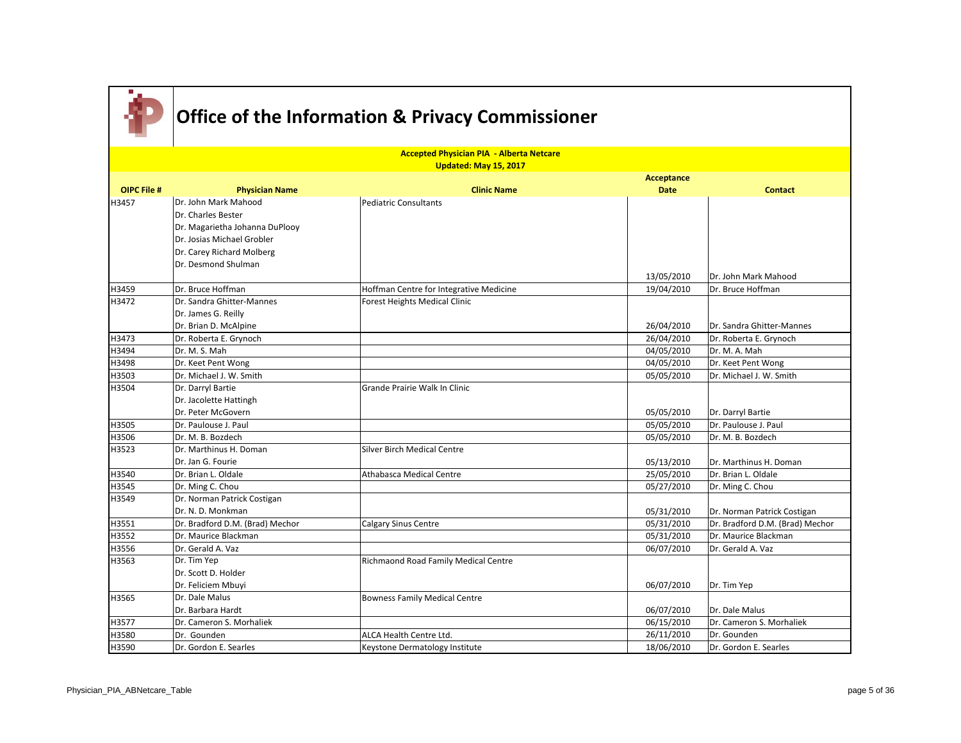

|                    |                                 | <b>Accepted Physician PIA - Alberta Netcare</b> |                   |                                 |
|--------------------|---------------------------------|-------------------------------------------------|-------------------|---------------------------------|
|                    |                                 | Updated: May 15, 2017                           |                   |                                 |
|                    |                                 |                                                 | <b>Acceptance</b> |                                 |
| <b>OIPC File #</b> | <b>Physician Name</b>           | <b>Clinic Name</b>                              | <b>Date</b>       | <b>Contact</b>                  |
| H3457              | Dr. John Mark Mahood            | <b>Pediatric Consultants</b>                    |                   |                                 |
|                    | Dr. Charles Bester              |                                                 |                   |                                 |
|                    | Dr. Magarietha Johanna DuPlooy  |                                                 |                   |                                 |
|                    | Dr. Josias Michael Grobler      |                                                 |                   |                                 |
|                    | Dr. Carey Richard Molberg       |                                                 |                   |                                 |
|                    | Dr. Desmond Shulman             |                                                 |                   |                                 |
|                    |                                 |                                                 | 13/05/2010        | Dr. John Mark Mahood            |
| H3459              | Dr. Bruce Hoffman               | Hoffman Centre for Integrative Medicine         | 19/04/2010        | Dr. Bruce Hoffman               |
| H3472              | Dr. Sandra Ghitter-Mannes       | <b>Forest Heights Medical Clinic</b>            |                   |                                 |
|                    | Dr. James G. Reilly             |                                                 |                   |                                 |
|                    | Dr. Brian D. McAlpine           |                                                 | 26/04/2010        | Dr. Sandra Ghitter-Mannes       |
| H3473              | Dr. Roberta E. Grynoch          |                                                 | 26/04/2010        | Dr. Roberta E. Grynoch          |
| H3494              | Dr. M. S. Mah                   |                                                 | 04/05/2010        | Dr. M. A. Mah                   |
| H3498              | Dr. Keet Pent Wong              |                                                 | 04/05/2010        | Dr. Keet Pent Wong              |
| H3503              | Dr. Michael J. W. Smith         |                                                 | 05/05/2010        | Dr. Michael J. W. Smith         |
| H3504              | Dr. Darryl Bartie               | Grande Prairie Walk In Clinic                   |                   |                                 |
|                    | Dr. Jacolette Hattingh          |                                                 |                   |                                 |
|                    | Dr. Peter McGovern              |                                                 | 05/05/2010        | Dr. Darryl Bartie               |
| H3505              | Dr. Paulouse J. Paul            |                                                 | 05/05/2010        | Dr. Paulouse J. Paul            |
| H3506              | Dr. M. B. Bozdech               |                                                 | 05/05/2010        | Dr. M. B. Bozdech               |
| H3523              | Dr. Marthinus H. Doman          | <b>Silver Birch Medical Centre</b>              |                   |                                 |
|                    | IDr. Jan G. Fourie              |                                                 | 05/13/2010        | Dr. Marthinus H. Doman          |
| H3540              | Dr. Brian L. Oldale             | Athabasca Medical Centre                        | 25/05/2010        | Dr. Brian L. Oldale             |
| H3545              | Dr. Ming C. Chou                |                                                 | 05/27/2010        | Dr. Ming C. Chou                |
| H3549              | Dr. Norman Patrick Costigan     |                                                 |                   |                                 |
|                    | Dr. N. D. Monkman               |                                                 | 05/31/2010        | Dr. Norman Patrick Costigan     |
| H3551              | Dr. Bradford D.M. (Brad) Mechor | <b>Calgary Sinus Centre</b>                     | 05/31/2010        | Dr. Bradford D.M. (Brad) Mechor |
| H3552              | Dr. Maurice Blackman            |                                                 | 05/31/2010        | Dr. Maurice Blackman            |
| H3556              | Dr. Gerald A. Vaz               |                                                 | 06/07/2010        | Dr. Gerald A. Vaz               |
| H3563              | Dr. Tim Yep                     | Richmaond Road Family Medical Centre            |                   |                                 |
|                    | Dr. Scott D. Holder             |                                                 |                   |                                 |
|                    | Dr. Feliciem Mbuyi              |                                                 | 06/07/2010        | Dr. Tim Yep                     |
| H3565              | Dr. Dale Malus                  | <b>Bowness Family Medical Centre</b>            |                   |                                 |
|                    | Dr. Barbara Hardt               |                                                 | 06/07/2010        | Dr. Dale Malus                  |
| H3577              | Dr. Cameron S. Morhaliek        |                                                 | 06/15/2010        | Dr. Cameron S. Morhaliek        |
| H3580              | Dr. Gounden                     | ALCA Health Centre Ltd.                         | 26/11/2010        | Dr. Gounden                     |
| H3590              | Dr. Gordon E. Searles           | Keystone Dermatology Institute                  | 18/06/2010        | Dr. Gordon E. Searles           |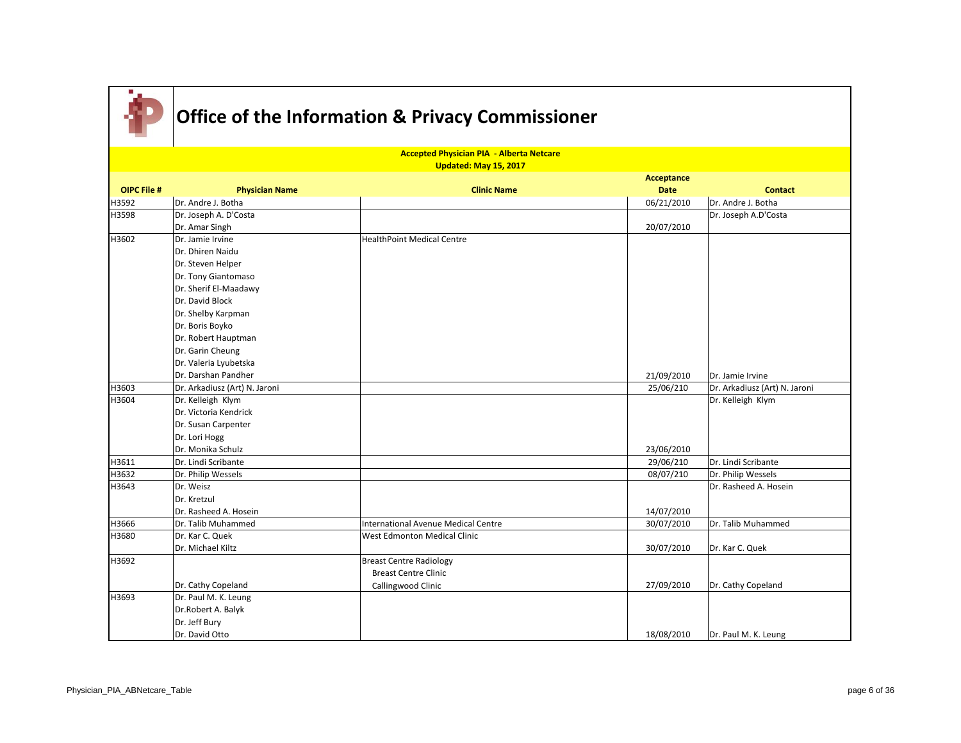

|                    | <b>Accepted Physician PIA - Alberta Netcare</b> |                                     |             |                               |  |
|--------------------|-------------------------------------------------|-------------------------------------|-------------|-------------------------------|--|
|                    |                                                 | Updated: May 15, 2017               | Acceptance  |                               |  |
| <b>OIPC File #</b> | <b>Physician Name</b>                           | <b>Clinic Name</b>                  | <b>Date</b> | <b>Contact</b>                |  |
| H3592              | Dr. Andre J. Botha                              |                                     | 06/21/2010  | Dr. Andre J. Botha            |  |
| H3598              | Dr. Joseph A. D'Costa                           |                                     |             | Dr. Joseph A.D'Costa          |  |
|                    | Dr. Amar Singh                                  |                                     | 20/07/2010  |                               |  |
| H3602              | Dr. Jamie Irvine                                | <b>HealthPoint Medical Centre</b>   |             |                               |  |
|                    | Dr. Dhiren Naidu                                |                                     |             |                               |  |
|                    | Dr. Steven Helper                               |                                     |             |                               |  |
|                    | Dr. Tony Giantomaso                             |                                     |             |                               |  |
|                    | Dr. Sherif El-Maadawy                           |                                     |             |                               |  |
|                    | Dr. David Block                                 |                                     |             |                               |  |
|                    | Dr. Shelby Karpman                              |                                     |             |                               |  |
|                    | Dr. Boris Boyko                                 |                                     |             |                               |  |
|                    | Dr. Robert Hauptman                             |                                     |             |                               |  |
|                    | Dr. Garin Cheung                                |                                     |             |                               |  |
|                    | Dr. Valeria Lyubetska                           |                                     |             |                               |  |
|                    | Dr. Darshan Pandher                             |                                     | 21/09/2010  | Dr. Jamie Irvine              |  |
| H3603              | Dr. Arkadiusz (Art) N. Jaroni                   |                                     | 25/06/210   | Dr. Arkadiusz (Art) N. Jaroni |  |
| H3604              | Dr. Kelleigh Klym                               |                                     |             | Dr. Kelleigh Klym             |  |
|                    | Dr. Victoria Kendrick                           |                                     |             |                               |  |
|                    | Dr. Susan Carpenter                             |                                     |             |                               |  |
|                    | Dr. Lori Hogg                                   |                                     |             |                               |  |
|                    | Dr. Monika Schulz                               |                                     | 23/06/2010  |                               |  |
| H3611              | Dr. Lindi Scribante                             |                                     | 29/06/210   | Dr. Lindi Scribante           |  |
| H3632              | Dr. Philip Wessels                              |                                     | 08/07/210   | Dr. Philip Wessels            |  |
| H3643              | Dr. Weisz                                       |                                     |             | Dr. Rasheed A. Hosein         |  |
|                    | Dr. Kretzul                                     |                                     |             |                               |  |
|                    | Dr. Rasheed A. Hosein                           |                                     | 14/07/2010  |                               |  |
| H3666              | Dr. Talib Muhammed                              | International Avenue Medical Centre | 30/07/2010  | Dr. Talib Muhammed            |  |
| H3680              | Dr. Kar C. Quek                                 | <b>West Edmonton Medical Clinic</b> |             |                               |  |
|                    | Dr. Michael Kiltz                               |                                     | 30/07/2010  | Dr. Kar C. Quek               |  |
| H3692              |                                                 | <b>Breast Centre Radiology</b>      |             |                               |  |
|                    |                                                 | <b>Breast Centre Clinic</b>         |             |                               |  |
|                    | Dr. Cathy Copeland                              | Callingwood Clinic                  | 27/09/2010  | Dr. Cathy Copeland            |  |
| H3693              | Dr. Paul M. K. Leung                            |                                     |             |                               |  |
|                    | Dr.Robert A. Balyk                              |                                     |             |                               |  |
|                    | Dr. Jeff Bury                                   |                                     |             |                               |  |
|                    | Dr. David Otto                                  |                                     | 18/08/2010  | Dr. Paul M. K. Leung          |  |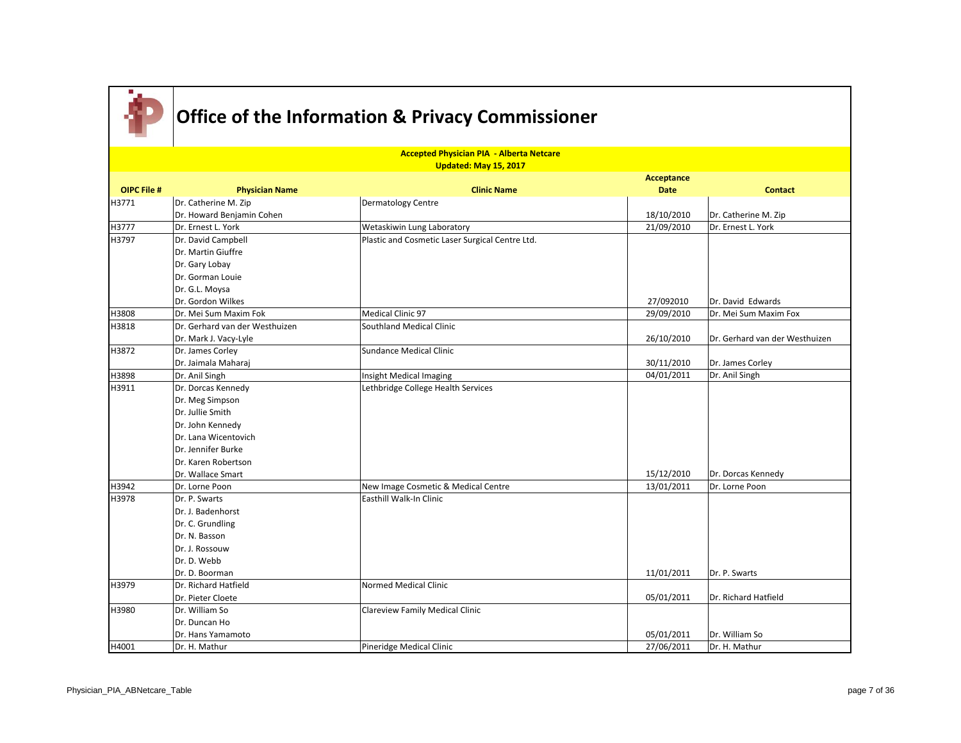

|                    |                                | <b>Accepted Physician PIA - Alberta Netcare</b> |                           |                                |
|--------------------|--------------------------------|-------------------------------------------------|---------------------------|--------------------------------|
|                    |                                | Updated: May 15, 2017                           |                           |                                |
| <b>OIPC File #</b> | <b>Physician Name</b>          | <b>Clinic Name</b>                              | Acceptance<br><b>Date</b> | <b>Contact</b>                 |
| H3771              | Dr. Catherine M. Zip           | Dermatology Centre                              |                           |                                |
|                    | Dr. Howard Benjamin Cohen      |                                                 | 18/10/2010                | Dr. Catherine M. Zip           |
| H3777              | Dr. Ernest L. York             | Wetaskiwin Lung Laboratory                      | 21/09/2010                | Dr. Ernest L. York             |
| H3797              | Dr. David Campbell             | Plastic and Cosmetic Laser Surgical Centre Ltd. |                           |                                |
|                    | Dr. Martin Giuffre             |                                                 |                           |                                |
|                    | Dr. Gary Lobay                 |                                                 |                           |                                |
|                    | Dr. Gorman Louie               |                                                 |                           |                                |
|                    | Dr. G.L. Moysa                 |                                                 |                           |                                |
|                    | Dr. Gordon Wilkes              |                                                 | 27/092010                 | Dr. David Edwards              |
| H3808              | Dr. Mei Sum Maxim Fok          | Medical Clinic 97                               | 29/09/2010                | Dr. Mei Sum Maxim Fox          |
| H3818              | Dr. Gerhard van der Westhuizen | <b>Southland Medical Clinic</b>                 |                           |                                |
|                    | Dr. Mark J. Vacy-Lyle          |                                                 | 26/10/2010                | Dr. Gerhard van der Westhuizen |
| H3872              | Dr. James Corley               | Sundance Medical Clinic                         |                           |                                |
|                    | Dr. Jaimala Maharaj            |                                                 | 30/11/2010                | Dr. James Corley               |
| H3898              | Dr. Anil Singh                 | Insight Medical Imaging                         | 04/01/2011                | Dr. Anil Singh                 |
| H3911              | Dr. Dorcas Kennedy             | Lethbridge College Health Services              |                           |                                |
|                    | Dr. Meg Simpson                |                                                 |                           |                                |
|                    | Dr. Jullie Smith               |                                                 |                           |                                |
|                    | Dr. John Kennedy               |                                                 |                           |                                |
|                    | Dr. Lana Wicentovich           |                                                 |                           |                                |
|                    | Dr. Jennifer Burke             |                                                 |                           |                                |
|                    | Dr. Karen Robertson            |                                                 |                           |                                |
|                    | Dr. Wallace Smart              |                                                 | 15/12/2010                | Dr. Dorcas Kennedy             |
| H3942              | Dr. Lorne Poon                 | New Image Cosmetic & Medical Centre             | 13/01/2011                | Dr. Lorne Poon                 |
| H3978              | Dr. P. Swarts                  | Easthill Walk-In Clinic                         |                           |                                |
|                    | Dr. J. Badenhorst              |                                                 |                           |                                |
|                    | Dr. C. Grundling               |                                                 |                           |                                |
|                    | Dr. N. Basson                  |                                                 |                           |                                |
|                    | Dr. J. Rossouw                 |                                                 |                           |                                |
|                    | Dr. D. Webb                    |                                                 |                           |                                |
|                    | Dr. D. Boorman                 |                                                 | 11/01/2011                | Dr. P. Swarts                  |
| H3979              | Dr. Richard Hatfield           | <b>Normed Medical Clinic</b>                    |                           |                                |
|                    | Dr. Pieter Cloete              |                                                 | 05/01/2011                | Dr. Richard Hatfield           |
| H3980              | Dr. William So                 | Clareview Family Medical Clinic                 |                           |                                |
|                    | Dr. Duncan Ho                  |                                                 |                           |                                |
|                    | Dr. Hans Yamamoto              |                                                 | 05/01/2011                | Dr. William So                 |
| H4001              | Dr. H. Mathur                  | Pineridge Medical Clinic                        | 27/06/2011                | Dr. H. Mathur                  |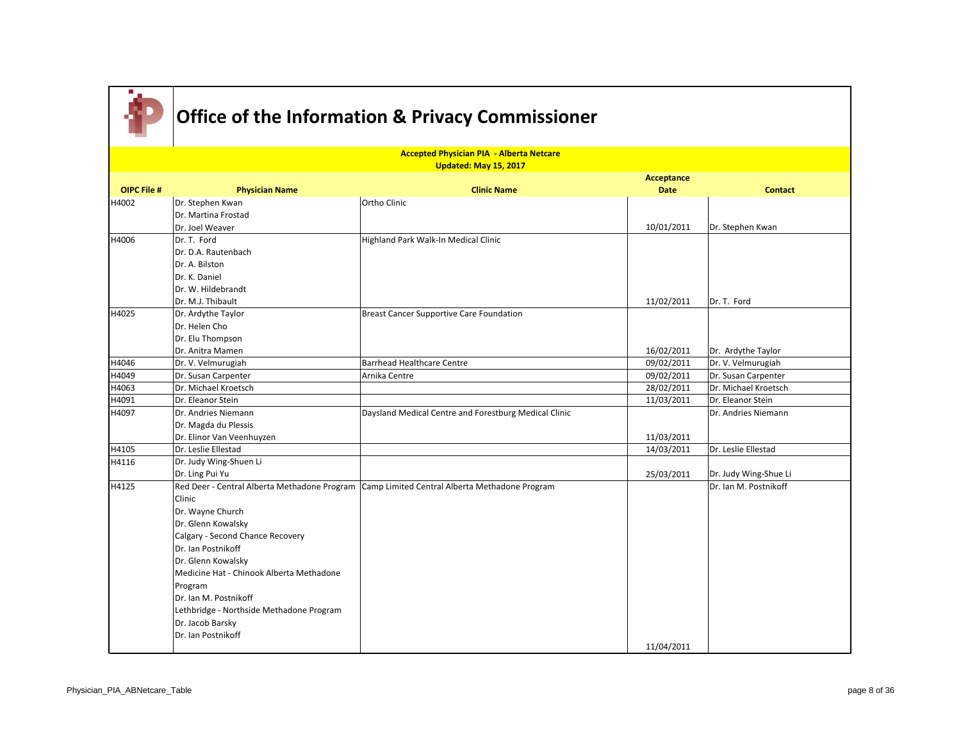

|                    | <b>Accepted Physician PIA - Alberta Netcare</b><br>Updated: May 15, 2017 |                                                       |                           |                       |  |
|--------------------|--------------------------------------------------------------------------|-------------------------------------------------------|---------------------------|-----------------------|--|
| <b>OIPC File #</b> | <b>Physician Name</b>                                                    | <b>Clinic Name</b>                                    | Acceptance<br><b>Date</b> | <b>Contact</b>        |  |
| H4002              | Dr. Stephen Kwan                                                         | Ortho Clinic                                          |                           |                       |  |
|                    | Dr. Martina Frostad                                                      |                                                       |                           |                       |  |
|                    | Dr. Joel Weaver                                                          |                                                       | 10/01/2011                | Dr. Stephen Kwan      |  |
| H4006              | Dr. T. Ford                                                              | Highland Park Walk-In Medical Clinic                  |                           |                       |  |
|                    | Dr. D.A. Rautenbach                                                      |                                                       |                           |                       |  |
|                    | Dr. A. Bilston                                                           |                                                       |                           |                       |  |
|                    | Dr. K. Daniel                                                            |                                                       |                           |                       |  |
|                    | Dr. W. Hildebrandt                                                       |                                                       |                           |                       |  |
|                    | Dr. M.J. Thibault                                                        |                                                       | 11/02/2011                | Dr. T. Ford           |  |
| H4025              | Dr. Ardythe Taylor                                                       | Breast Cancer Supportive Care Foundation              |                           |                       |  |
|                    | Dr. Helen Cho                                                            |                                                       |                           |                       |  |
|                    | Dr. Elu Thompson                                                         |                                                       |                           |                       |  |
|                    | Dr. Anitra Mamen                                                         |                                                       | 16/02/2011                | Dr. Ardythe Taylor    |  |
| H4046              | Dr. V. Velmurugiah                                                       | <b>Barrhead Healthcare Centre</b>                     | 09/02/2011                | Dr. V. Velmurugiah    |  |
| H4049              | Dr. Susan Carpenter                                                      | Arnika Centre                                         | 09/02/2011                | Dr. Susan Carpenter   |  |
| H4063              | Dr. Michael Kroetsch                                                     |                                                       | 28/02/2011                | Dr. Michael Kroetsch  |  |
| H4091              | Dr. Eleanor Stein                                                        |                                                       | 11/03/2011                | Dr. Eleanor Stein     |  |
| H4097              | Dr. Andries Niemann                                                      | Daysland Medical Centre and Forestburg Medical Clinic |                           | Dr. Andries Niemann   |  |
|                    | Dr. Magda du Plessis                                                     |                                                       |                           |                       |  |
|                    | Dr. Elinor Van Veenhuyzen                                                |                                                       | 11/03/2011                |                       |  |
| H4105              | Dr. Leslie Ellestad                                                      |                                                       | 14/03/2011                | Dr. Leslie Ellestad   |  |
| H4116              | Dr. Judy Wing-Shuen Li                                                   |                                                       |                           |                       |  |
|                    | Dr. Ling Pui Yu                                                          |                                                       | 25/03/2011                | Dr. Judy Wing-Shue Li |  |
| H4125              | Red Deer - Central Alberta Methadone Program                             | Camp Limited Central Alberta Methadone Program        |                           | Dr. Ian M. Postnikoff |  |
|                    | Clinic                                                                   |                                                       |                           |                       |  |
|                    | Dr. Wayne Church                                                         |                                                       |                           |                       |  |
|                    | Dr. Glenn Kowalsky                                                       |                                                       |                           |                       |  |
|                    | Calgary - Second Chance Recovery                                         |                                                       |                           |                       |  |
|                    | Dr. Ian Postnikoff                                                       |                                                       |                           |                       |  |
|                    | Dr. Glenn Kowalsky                                                       |                                                       |                           |                       |  |
|                    | Medicine Hat - Chinook Alberta Methadone                                 |                                                       |                           |                       |  |
|                    | Program                                                                  |                                                       |                           |                       |  |
|                    | Dr. Ian M. Postnikoff                                                    |                                                       |                           |                       |  |
|                    | Lethbridge - Northside Methadone Program                                 |                                                       |                           |                       |  |
|                    | Dr. Jacob Barsky                                                         |                                                       |                           |                       |  |
|                    | Dr. Ian Postnikoff                                                       |                                                       |                           |                       |  |
|                    |                                                                          |                                                       | 11/04/2011                |                       |  |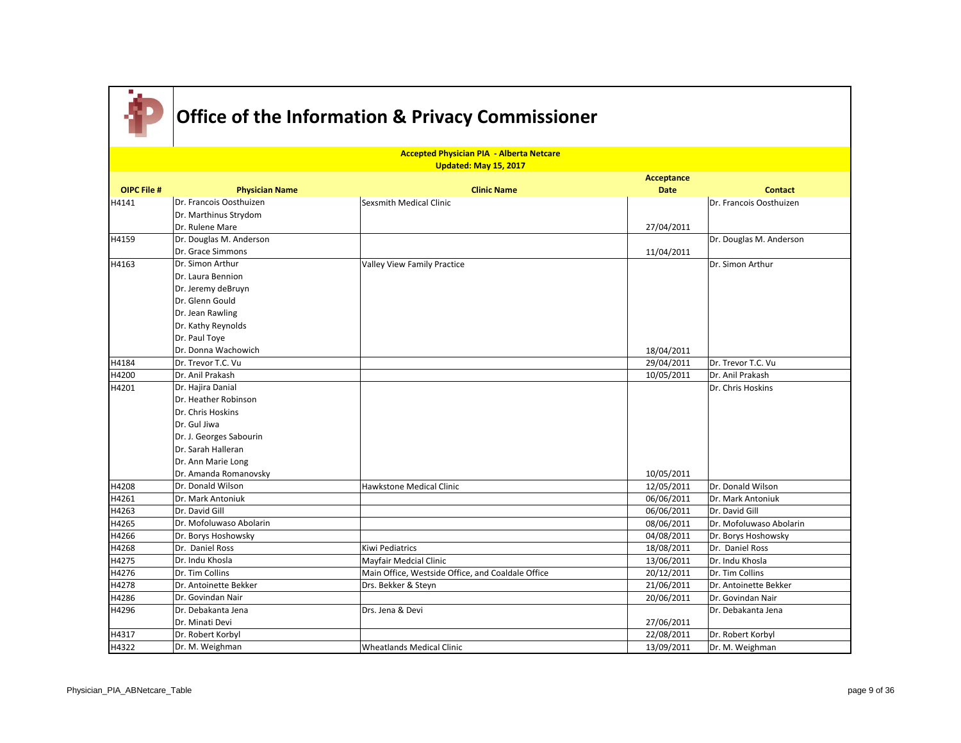

|                    | <b>Accepted Physician PIA - Alberta Netcare</b><br>Updated: May 15, 2017 |                                                   |             |                         |  |
|--------------------|--------------------------------------------------------------------------|---------------------------------------------------|-------------|-------------------------|--|
|                    |                                                                          |                                                   | Acceptance  |                         |  |
| <b>OIPC File #</b> | <b>Physician Name</b>                                                    | <b>Clinic Name</b>                                | <b>Date</b> | <b>Contact</b>          |  |
| H4141              | Dr. Francois Oosthuizen                                                  | Sexsmith Medical Clinic                           |             | Dr. Francois Oosthuizen |  |
|                    | Dr. Marthinus Strydom                                                    |                                                   |             |                         |  |
|                    | Dr. Rulene Mare                                                          |                                                   | 27/04/2011  |                         |  |
| H4159              | Dr. Douglas M. Anderson                                                  |                                                   |             | Dr. Douglas M. Anderson |  |
|                    | Dr. Grace Simmons                                                        |                                                   | 11/04/2011  |                         |  |
| H4163              | Dr. Simon Arthur                                                         | <b>Valley View Family Practice</b>                |             | Dr. Simon Arthur        |  |
|                    | Dr. Laura Bennion                                                        |                                                   |             |                         |  |
|                    | Dr. Jeremy deBruyn                                                       |                                                   |             |                         |  |
|                    | Dr. Glenn Gould                                                          |                                                   |             |                         |  |
|                    | Dr. Jean Rawling                                                         |                                                   |             |                         |  |
|                    | Dr. Kathy Reynolds                                                       |                                                   |             |                         |  |
|                    | Dr. Paul Toye                                                            |                                                   |             |                         |  |
|                    | Dr. Donna Wachowich                                                      |                                                   | 18/04/2011  |                         |  |
| H4184              | Dr. Trevor T.C. Vu                                                       |                                                   | 29/04/2011  | Dr. Trevor T.C. Vu      |  |
| H4200              | Dr. Anil Prakash                                                         |                                                   | 10/05/2011  | Dr. Anil Prakash        |  |
| H4201              | Dr. Hajira Danial                                                        |                                                   |             | Dr. Chris Hoskins       |  |
|                    | Dr. Heather Robinson                                                     |                                                   |             |                         |  |
|                    | Dr. Chris Hoskins                                                        |                                                   |             |                         |  |
|                    | Dr. Gul Jiwa                                                             |                                                   |             |                         |  |
|                    | Dr. J. Georges Sabourin                                                  |                                                   |             |                         |  |
|                    | Dr. Sarah Halleran                                                       |                                                   |             |                         |  |
|                    | Dr. Ann Marie Long                                                       |                                                   |             |                         |  |
|                    | Dr. Amanda Romanovsky                                                    |                                                   | 10/05/2011  |                         |  |
| H4208              | Dr. Donald Wilson                                                        | Hawkstone Medical Clinic                          | 12/05/2011  | Dr. Donald Wilson       |  |
| H4261              | Dr. Mark Antoniuk                                                        |                                                   | 06/06/2011  | Dr. Mark Antoniuk       |  |
| H4263              | Dr. David Gill                                                           |                                                   | 06/06/2011  | Dr. David Gill          |  |
| H4265              | Dr. Mofoluwaso Abolarin                                                  |                                                   | 08/06/2011  | Dr. Mofoluwaso Abolarin |  |
| H4266              | Dr. Borys Hoshowsky                                                      |                                                   | 04/08/2011  | Dr. Borys Hoshowsky     |  |
| H4268              | Dr. Daniel Ross                                                          | Kiwi Pediatrics                                   | 18/08/2011  | Dr. Daniel Ross         |  |
| H4275              | Dr. Indu Khosla                                                          | Mayfair Medcial Clinic                            | 13/06/2011  | Dr. Indu Khosla         |  |
| H4276              | Dr. Tim Collins                                                          | Main Office, Westside Office, and Coaldale Office | 20/12/2011  | Dr. Tim Collins         |  |
| H4278              | Dr. Antoinette Bekker                                                    | Drs. Bekker & Steyn                               | 21/06/2011  | Dr. Antoinette Bekker   |  |
| H4286              | Dr. Govindan Nair                                                        |                                                   | 20/06/2011  | Dr. Govindan Nair       |  |
| H4296              | Dr. Debakanta Jena                                                       | Drs. Jena & Devi                                  |             | Dr. Debakanta Jena      |  |
|                    | Dr. Minati Devi                                                          |                                                   | 27/06/2011  |                         |  |
| H4317              | Dr. Robert Korbyl                                                        |                                                   | 22/08/2011  | Dr. Robert Korbyl       |  |
| H4322              | Dr. M. Weighman                                                          | <b>Wheatlands Medical Clinic</b>                  | 13/09/2011  | Dr. M. Weighman         |  |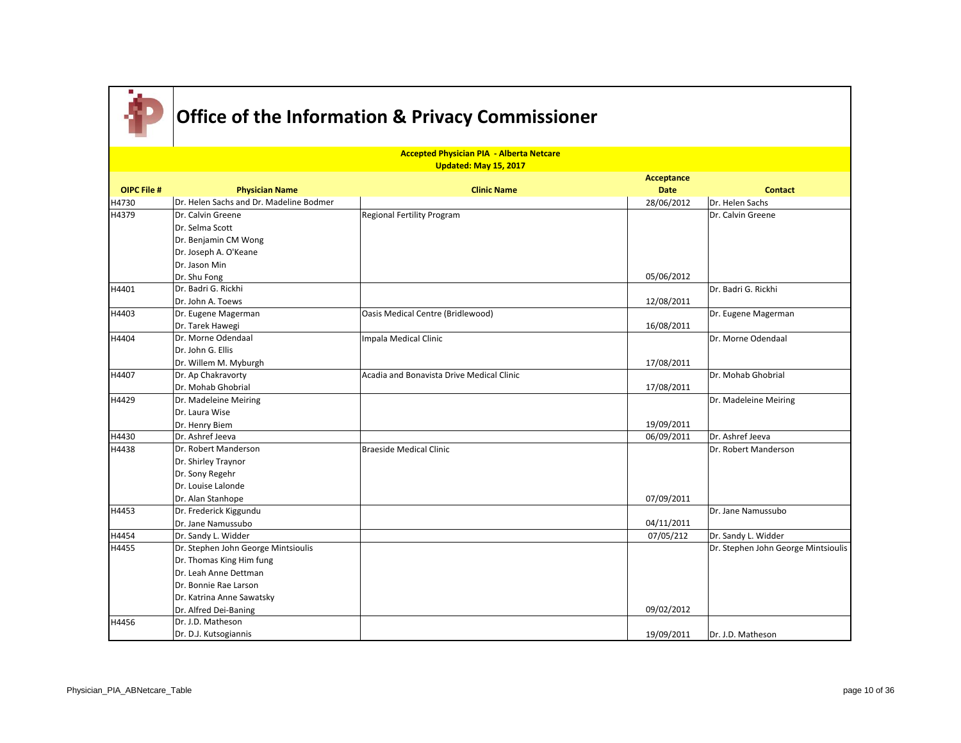

|                    |                                         | <b>Accepted Physician PIA - Alberta Netcare</b> |             |                                     |
|--------------------|-----------------------------------------|-------------------------------------------------|-------------|-------------------------------------|
|                    |                                         | Updated: May 15, 2017                           | Acceptance  |                                     |
| <b>OIPC File #</b> | <b>Physician Name</b>                   | <b>Clinic Name</b>                              | <b>Date</b> | <b>Contact</b>                      |
| H4730              | Dr. Helen Sachs and Dr. Madeline Bodmer |                                                 | 28/06/2012  | Dr. Helen Sachs                     |
| H4379              | Dr. Calvin Greene                       | <b>Regional Fertility Program</b>               |             | Dr. Calvin Greene                   |
|                    | Dr. Selma Scott                         |                                                 |             |                                     |
|                    | Dr. Benjamin CM Wong                    |                                                 |             |                                     |
|                    | Dr. Joseph A. O'Keane                   |                                                 |             |                                     |
|                    | Dr. Jason Min                           |                                                 |             |                                     |
|                    | Dr. Shu Fong                            |                                                 | 05/06/2012  |                                     |
| H4401              | Dr. Badri G. Rickhi                     |                                                 |             | Dr. Badri G. Rickhi                 |
|                    | Dr. John A. Toews                       |                                                 | 12/08/2011  |                                     |
| H4403              | Dr. Eugene Magerman                     | Oasis Medical Centre (Bridlewood)               |             | Dr. Eugene Magerman                 |
|                    | Dr. Tarek Hawegi                        |                                                 | 16/08/2011  |                                     |
| H4404              | Dr. Morne Odendaal                      | Impala Medical Clinic                           |             | Dr. Morne Odendaal                  |
|                    | Dr. John G. Ellis                       |                                                 |             |                                     |
|                    | Dr. Willem M. Myburgh                   |                                                 | 17/08/2011  |                                     |
| H4407              | Dr. Ap Chakravorty                      | Acadia and Bonavista Drive Medical Clinic       |             | Dr. Mohab Ghobrial                  |
|                    | Dr. Mohab Ghobrial                      |                                                 | 17/08/2011  |                                     |
| H4429              | Dr. Madeleine Meiring                   |                                                 |             | Dr. Madeleine Meiring               |
|                    | Dr. Laura Wise                          |                                                 |             |                                     |
|                    | Dr. Henry Biem                          |                                                 | 19/09/2011  |                                     |
| H4430              | Dr. Ashref Jeeva                        |                                                 | 06/09/2011  | Dr. Ashref Jeeva                    |
| H4438              | Dr. Robert Manderson                    | <b>Braeside Medical Clinic</b>                  |             | Dr. Robert Manderson                |
|                    | Dr. Shirley Traynor                     |                                                 |             |                                     |
|                    | Dr. Sony Regehr                         |                                                 |             |                                     |
|                    | Dr. Louise Lalonde                      |                                                 |             |                                     |
|                    | Dr. Alan Stanhope                       |                                                 | 07/09/2011  |                                     |
| H4453              | Dr. Frederick Kiggundu                  |                                                 |             | Dr. Jane Namussubo                  |
|                    | Dr. Jane Namussubo                      |                                                 | 04/11/2011  |                                     |
| H4454              | Dr. Sandy L. Widder                     |                                                 | 07/05/212   | Dr. Sandy L. Widder                 |
| H4455              | Dr. Stephen John George Mintsioulis     |                                                 |             | Dr. Stephen John George Mintsioulis |
|                    | Dr. Thomas King Him fung                |                                                 |             |                                     |
|                    | Dr. Leah Anne Dettman                   |                                                 |             |                                     |
|                    | Dr. Bonnie Rae Larson                   |                                                 |             |                                     |
|                    | Dr. Katrina Anne Sawatsky               |                                                 |             |                                     |
|                    | Dr. Alfred Dei-Baning                   |                                                 | 09/02/2012  |                                     |
| H4456              | Dr. J.D. Matheson                       |                                                 |             |                                     |
|                    | Dr. D.J. Kutsogiannis                   |                                                 | 19/09/2011  | Dr. J.D. Matheson                   |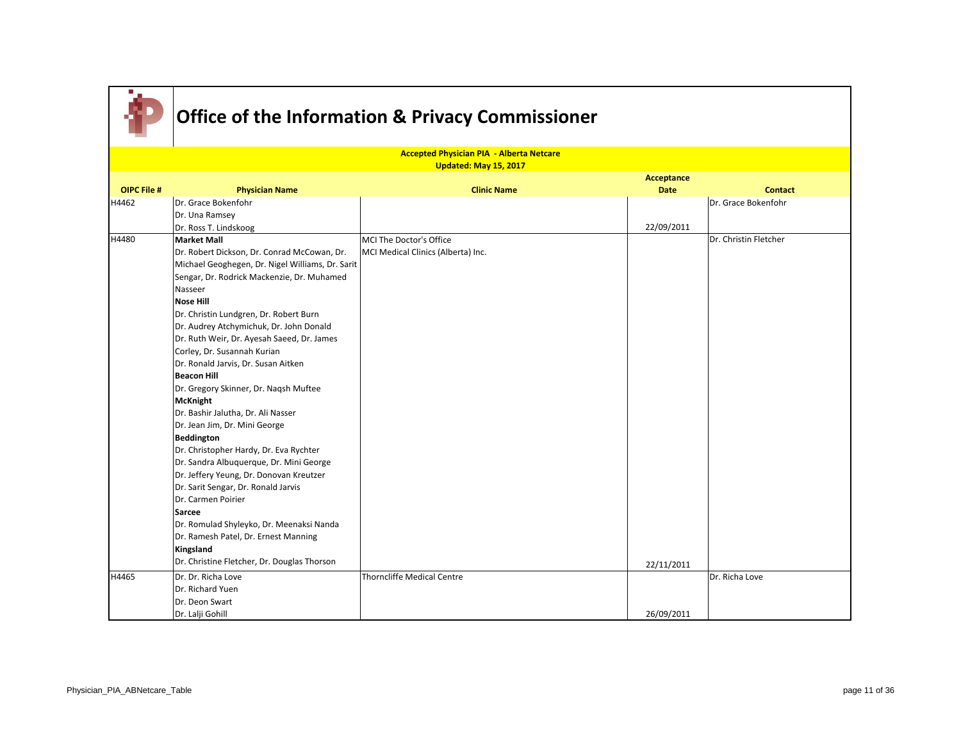

|                    |                                                  | <b>Accepted Physician PIA - Alberta Netcare</b> |             |                       |
|--------------------|--------------------------------------------------|-------------------------------------------------|-------------|-----------------------|
|                    |                                                  | Updated: May 15, 2017                           |             |                       |
|                    |                                                  |                                                 | Acceptance  |                       |
| <b>OIPC File #</b> | <b>Physician Name</b>                            | <b>Clinic Name</b>                              | <b>Date</b> | <b>Contact</b>        |
| H4462              | Dr. Grace Bokenfohr                              |                                                 |             | Dr. Grace Bokenfohr   |
|                    | Dr. Una Ramsey                                   |                                                 |             |                       |
|                    | Dr. Ross T. Lindskoog                            |                                                 | 22/09/2011  |                       |
| H4480              | Market Mall                                      | MCI The Doctor's Office                         |             | Dr. Christin Fletcher |
|                    | Dr. Robert Dickson, Dr. Conrad McCowan, Dr.      | MCI Medical Clinics (Alberta) Inc.              |             |                       |
|                    | Michael Geoghegen, Dr. Nigel Williams, Dr. Sarit |                                                 |             |                       |
|                    | Sengar, Dr. Rodrick Mackenzie, Dr. Muhamed       |                                                 |             |                       |
|                    | Nasseer                                          |                                                 |             |                       |
|                    | <b>Nose Hill</b>                                 |                                                 |             |                       |
|                    | Dr. Christin Lundgren, Dr. Robert Burn           |                                                 |             |                       |
|                    | Dr. Audrey Atchymichuk, Dr. John Donald          |                                                 |             |                       |
|                    | Dr. Ruth Weir, Dr. Ayesah Saeed, Dr. James       |                                                 |             |                       |
|                    | Corley, Dr. Susannah Kurian                      |                                                 |             |                       |
|                    | Dr. Ronald Jarvis, Dr. Susan Aitken              |                                                 |             |                       |
|                    | <b>Beacon Hill</b>                               |                                                 |             |                       |
|                    | Dr. Gregory Skinner, Dr. Nagsh Muftee            |                                                 |             |                       |
|                    | McKnight                                         |                                                 |             |                       |
|                    | Dr. Bashir Jalutha, Dr. Ali Nasser               |                                                 |             |                       |
|                    | Dr. Jean Jim, Dr. Mini George                    |                                                 |             |                       |
|                    | Beddington                                       |                                                 |             |                       |
|                    | Dr. Christopher Hardy, Dr. Eva Rychter           |                                                 |             |                       |
|                    | Dr. Sandra Albuquerque, Dr. Mini George          |                                                 |             |                       |
|                    | Dr. Jeffery Yeung, Dr. Donovan Kreutzer          |                                                 |             |                       |
|                    | Dr. Sarit Sengar, Dr. Ronald Jarvis              |                                                 |             |                       |
|                    | Dr. Carmen Poirier                               |                                                 |             |                       |
|                    | Sarcee                                           |                                                 |             |                       |
|                    | Dr. Romulad Shyleyko, Dr. Meenaksi Nanda         |                                                 |             |                       |
|                    | Dr. Ramesh Patel, Dr. Ernest Manning             |                                                 |             |                       |
|                    | Kingsland                                        |                                                 |             |                       |
|                    | Dr. Christine Fletcher, Dr. Douglas Thorson      |                                                 | 22/11/2011  |                       |
| H4465              | Dr. Dr. Richa Love                               | <b>Thorncliffe Medical Centre</b>               |             | Dr. Richa Love        |
|                    | Dr. Richard Yuen                                 |                                                 |             |                       |
|                    | Dr. Deon Swart                                   |                                                 |             |                       |
|                    | Dr. Lalji Gohill                                 |                                                 | 26/09/2011  |                       |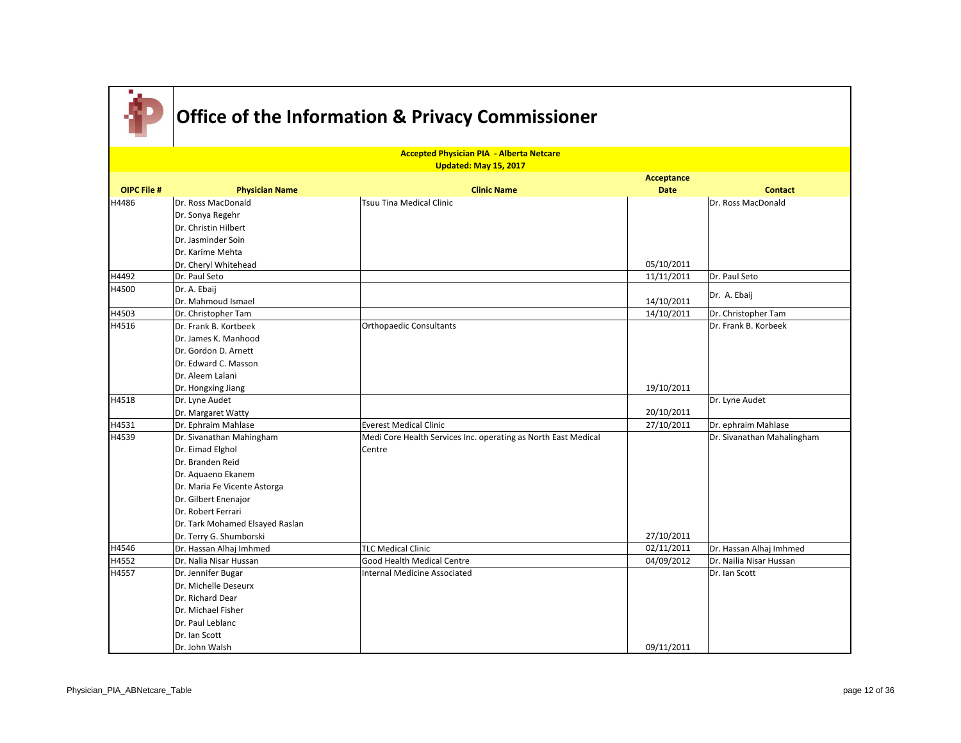|                    |                                              | <b>Accepted Physician PIA - Alberta Netcare</b>                |                   |                            |
|--------------------|----------------------------------------------|----------------------------------------------------------------|-------------------|----------------------------|
|                    |                                              | Updated: May 15, 2017                                          |                   |                            |
|                    |                                              |                                                                | <b>Acceptance</b> |                            |
| <b>OIPC File #</b> | <b>Physician Name</b>                        | <b>Clinic Name</b>                                             | <b>Date</b>       | <b>Contact</b>             |
| H4486              | Dr. Ross MacDonald                           | <b>Tsuu Tina Medical Clinic</b>                                |                   | Dr. Ross MacDonald         |
|                    | Dr. Sonya Regehr                             |                                                                |                   |                            |
|                    | Dr. Christin Hilbert                         |                                                                |                   |                            |
|                    | Dr. Jasminder Soin                           |                                                                |                   |                            |
|                    | Dr. Karime Mehta                             |                                                                |                   |                            |
|                    | Dr. Cheryl Whitehead                         |                                                                | 05/10/2011        |                            |
| H4492              | Dr. Paul Seto                                |                                                                | 11/11/2011        | Dr. Paul Seto              |
| H4500              | Dr. A. Ebaij                                 |                                                                |                   |                            |
|                    | Dr. Mahmoud Ismael                           |                                                                | 14/10/2011        | Dr. A. Ebaij               |
| H4503              | Dr. Christopher Tam                          |                                                                | 14/10/2011        | Dr. Christopher Tam        |
|                    |                                              |                                                                |                   |                            |
| H4516              | Dr. Frank B. Kortbeek                        | <b>Orthopaedic Consultants</b>                                 |                   | Dr. Frank B. Korbeek       |
|                    | Dr. James K. Manhood<br>Dr. Gordon D. Arnett |                                                                |                   |                            |
|                    |                                              |                                                                |                   |                            |
|                    | Dr. Edward C. Masson                         |                                                                |                   |                            |
|                    | Dr. Aleem Lalani                             |                                                                |                   |                            |
|                    | Dr. Hongxing Jiang                           |                                                                | 19/10/2011        |                            |
| H4518              | Dr. Lyne Audet                               |                                                                | 20/10/2011        | Dr. Lyne Audet             |
| H4531              | Dr. Margaret Watty                           | <b>Everest Medical Clinic</b>                                  |                   |                            |
| H4539              | Dr. Ephraim Mahlase                          |                                                                | 27/10/2011        | Dr. ephraim Mahlase        |
|                    | Dr. Sivanathan Mahingham                     | Medi Core Health Services Inc. operating as North East Medical |                   | Dr. Sivanathan Mahalingham |
|                    | Dr. Eimad Elghol                             | Centre                                                         |                   |                            |
|                    | Dr. Branden Reid                             |                                                                |                   |                            |
|                    | Dr. Aguaeno Ekanem                           |                                                                |                   |                            |
|                    | Dr. Maria Fe Vicente Astorga                 |                                                                |                   |                            |
|                    | Dr. Gilbert Enenajor                         |                                                                |                   |                            |
|                    | Dr. Robert Ferrari                           |                                                                |                   |                            |
|                    | Dr. Tark Mohamed Elsayed Raslan              |                                                                |                   |                            |
|                    | Dr. Terry G. Shumborski                      |                                                                | 27/10/2011        |                            |
| H4546              | Dr. Hassan Alhaj Imhmed                      | <b>TLC Medical Clinic</b>                                      | 02/11/2011        | Dr. Hassan Alhaj Imhmed    |
| H4552              | Dr. Nalia Nisar Hussan                       | Good Health Medical Centre                                     | 04/09/2012        | Dr. Nailia Nisar Hussan    |
| H4557              | Dr. Jennifer Bugar                           | Internal Medicine Associated                                   |                   | Dr. Ian Scott              |
|                    | Dr. Michelle Deseurx                         |                                                                |                   |                            |
|                    | Dr. Richard Dear                             |                                                                |                   |                            |
|                    | Dr. Michael Fisher                           |                                                                |                   |                            |
|                    | Dr. Paul Leblanc                             |                                                                |                   |                            |
|                    | Dr. Ian Scott                                |                                                                |                   |                            |
|                    | Dr. John Walsh                               |                                                                | 09/11/2011        |                            |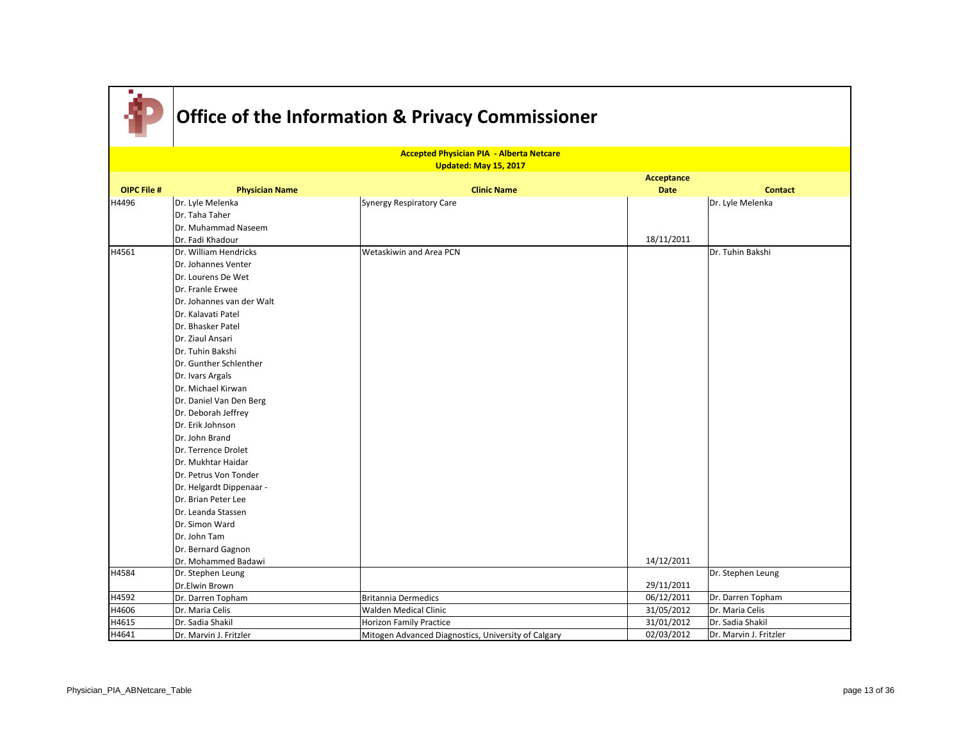

|                    |                           | <b>Accepted Physician PIA - Alberta Netcare</b>     |             |                        |  |
|--------------------|---------------------------|-----------------------------------------------------|-------------|------------------------|--|
|                    |                           | Updated: May 15, 2017                               |             |                        |  |
|                    |                           |                                                     | Acceptance  |                        |  |
| <b>OIPC File #</b> | <b>Physician Name</b>     | <b>Clinic Name</b>                                  | <b>Date</b> | <b>Contact</b>         |  |
| H4496              | Dr. Lyle Melenka          | Synergy Respiratory Care                            |             | Dr. Lyle Melenka       |  |
|                    | Dr. Taha Taher            |                                                     |             |                        |  |
|                    | Dr. Muhammad Naseem       |                                                     |             |                        |  |
|                    | Dr. Fadi Khadour          |                                                     | 18/11/2011  |                        |  |
| H4561              | Dr. William Hendricks     | Wetaskiwin and Area PCN                             |             | Dr. Tuhin Bakshi       |  |
|                    | Dr. Johannes Venter       |                                                     |             |                        |  |
|                    | Dr. Lourens De Wet        |                                                     |             |                        |  |
|                    | Dr. Franle Erwee          |                                                     |             |                        |  |
|                    | Dr. Johannes van der Walt |                                                     |             |                        |  |
|                    | Dr. Kalavati Patel        |                                                     |             |                        |  |
|                    | Dr. Bhasker Patel         |                                                     |             |                        |  |
|                    | Dr. Ziaul Ansari          |                                                     |             |                        |  |
|                    | Dr. Tuhin Bakshi          |                                                     |             |                        |  |
|                    | Dr. Gunther Schlenther    |                                                     |             |                        |  |
|                    | Dr. Ivars Argals          |                                                     |             |                        |  |
|                    | Dr. Michael Kirwan        |                                                     |             |                        |  |
|                    | Dr. Daniel Van Den Berg   |                                                     |             |                        |  |
|                    | Dr. Deborah Jeffrey       |                                                     |             |                        |  |
|                    | Dr. Erik Johnson          |                                                     |             |                        |  |
|                    | Dr. John Brand            |                                                     |             |                        |  |
|                    | Dr. Terrence Drolet       |                                                     |             |                        |  |
|                    | Dr. Mukhtar Haidar        |                                                     |             |                        |  |
|                    | Dr. Petrus Von Tonder     |                                                     |             |                        |  |
|                    | Dr. Helgardt Dippenaar -  |                                                     |             |                        |  |
|                    | Dr. Brian Peter Lee       |                                                     |             |                        |  |
|                    | Dr. Leanda Stassen        |                                                     |             |                        |  |
|                    | Dr. Simon Ward            |                                                     |             |                        |  |
|                    | Dr. John Tam              |                                                     |             |                        |  |
|                    | Dr. Bernard Gagnon        |                                                     |             |                        |  |
|                    | Dr. Mohammed Badawi       |                                                     | 14/12/2011  |                        |  |
| H4584              | Dr. Stephen Leung         |                                                     |             | Dr. Stephen Leung      |  |
|                    | Dr.Elwin Brown            |                                                     | 29/11/2011  |                        |  |
| H4592              | Dr. Darren Topham         | <b>Britannia Dermedics</b>                          | 06/12/2011  | Dr. Darren Topham      |  |
| H4606              | Dr. Maria Celis           | Walden Medical Clinic                               | 31/05/2012  | Dr. Maria Celis        |  |
| H4615              | Dr. Sadia Shakil          | Horizon Family Practice                             | 31/01/2012  | Dr. Sadia Shakil       |  |
| H4641              | Dr. Marvin J. Fritzler    | Mitogen Advanced Diagnostics, University of Calgary | 02/03/2012  | Dr. Marvin J. Fritzler |  |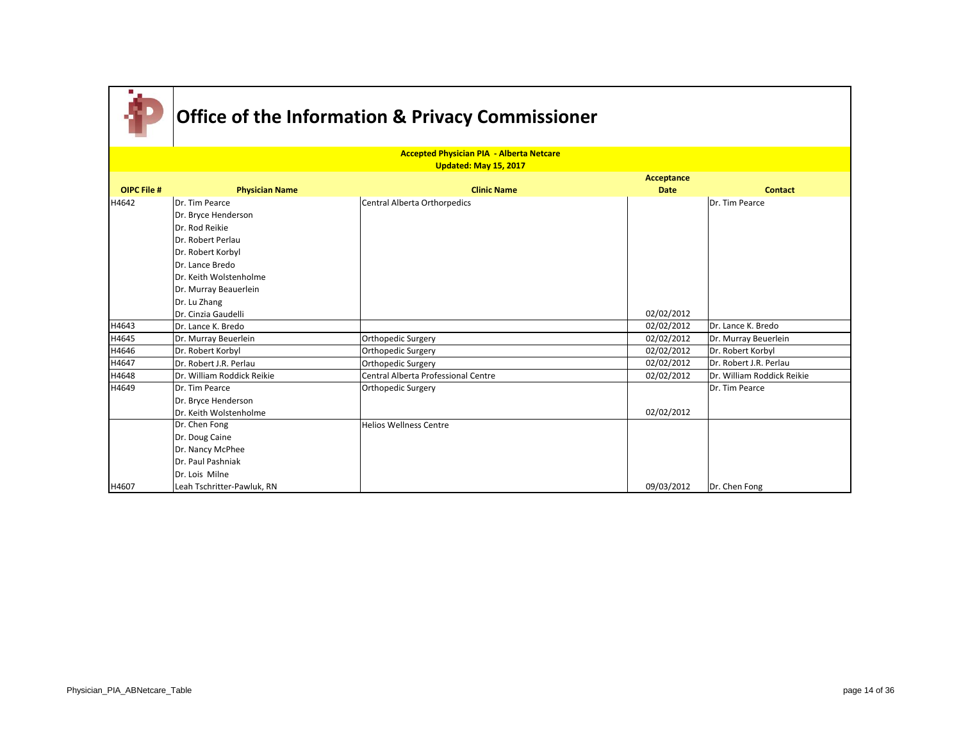|                    |                            | <b>Accepted Physician PIA - Alberta Netcare</b> |             |                            |
|--------------------|----------------------------|-------------------------------------------------|-------------|----------------------------|
|                    |                            | Updated: May 15, 2017                           |             |                            |
|                    |                            |                                                 | Acceptance  |                            |
| <b>OIPC File #</b> | <b>Physician Name</b>      | <b>Clinic Name</b>                              | <b>Date</b> | <b>Contact</b>             |
| H4642              | Dr. Tim Pearce             | Central Alberta Orthorpedics                    |             | Dr. Tim Pearce             |
|                    | Dr. Bryce Henderson        |                                                 |             |                            |
|                    | Dr. Rod Reikie             |                                                 |             |                            |
|                    | Dr. Robert Perlau          |                                                 |             |                            |
|                    | Dr. Robert Korbyl          |                                                 |             |                            |
|                    | Dr. Lance Bredo            |                                                 |             |                            |
|                    | Dr. Keith Wolstenholme     |                                                 |             |                            |
|                    | Dr. Murray Beauerlein      |                                                 |             |                            |
|                    | Dr. Lu Zhang               |                                                 |             |                            |
|                    | Dr. Cinzia Gaudelli        |                                                 | 02/02/2012  |                            |
| H4643              | Dr. Lance K. Bredo         |                                                 | 02/02/2012  | Dr. Lance K. Bredo         |
| H4645              | Dr. Murray Beuerlein       | Orthopedic Surgery                              | 02/02/2012  | Dr. Murray Beuerlein       |
| H4646              | Dr. Robert Korbyl          | Orthopedic Surgery                              | 02/02/2012  | Dr. Robert Korbyl          |
| H4647              | Dr. Robert J.R. Perlau     | Orthopedic Surgery                              | 02/02/2012  | Dr. Robert J.R. Perlau     |
| H4648              | Dr. William Roddick Reikie | Central Alberta Professional Centre             | 02/02/2012  | Dr. William Roddick Reikie |
| H4649              | Dr. Tim Pearce             | Orthopedic Surgery                              |             | Dr. Tim Pearce             |
|                    | Dr. Bryce Henderson        |                                                 |             |                            |
|                    | Dr. Keith Wolstenholme     |                                                 | 02/02/2012  |                            |
|                    | Dr. Chen Fong              | <b>Helios Wellness Centre</b>                   |             |                            |
|                    | Dr. Doug Caine             |                                                 |             |                            |
|                    | Dr. Nancy McPhee           |                                                 |             |                            |
|                    | Dr. Paul Pashniak          |                                                 |             |                            |
|                    | Dr. Lois Milne             |                                                 |             |                            |
| H4607              | Leah Tschritter-Pawluk, RN |                                                 | 09/03/2012  | Dr. Chen Fong              |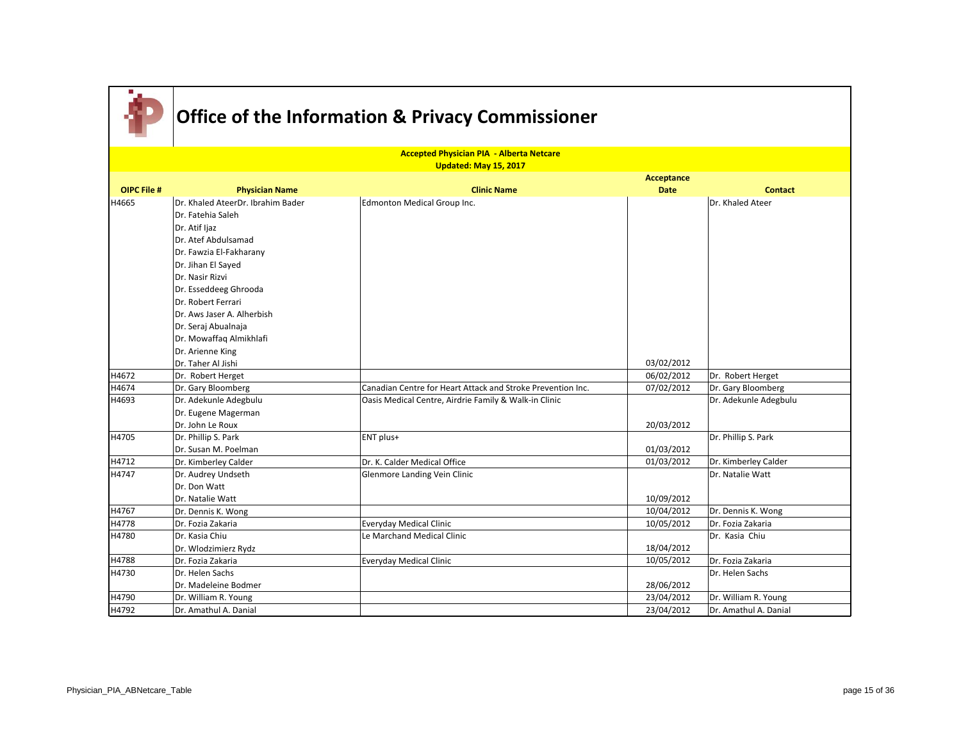|                    |                                                | <b>Accepted Physician PIA - Alberta Netcare</b>             |                           |                       |
|--------------------|------------------------------------------------|-------------------------------------------------------------|---------------------------|-----------------------|
|                    |                                                | Updated: May 15, 2017                                       |                           |                       |
| <b>OIPC File #</b> |                                                | <b>Clinic Name</b>                                          | Acceptance<br><b>Date</b> | <b>Contact</b>        |
|                    | <b>Physician Name</b>                          |                                                             |                           |                       |
| H4665              | Dr. Khaled AteerDr. Ibrahim Bader              | Edmonton Medical Group Inc.                                 |                           | Dr. Khaled Ateer      |
|                    | Dr. Fatehia Saleh                              |                                                             |                           |                       |
|                    | Dr. Atif Ijaz                                  |                                                             |                           |                       |
|                    | Dr. Atef Abdulsamad<br>Dr. Fawzia El-Fakharany |                                                             |                           |                       |
|                    |                                                |                                                             |                           |                       |
|                    | Dr. Jihan El Sayed<br>Dr. Nasir Rizvi          |                                                             |                           |                       |
|                    |                                                |                                                             |                           |                       |
|                    | Dr. Esseddeeg Ghrooda<br>Dr. Robert Ferrari    |                                                             |                           |                       |
|                    | Dr. Aws Jaser A. Alherbish                     |                                                             |                           |                       |
|                    | Dr. Seraj Abualnaja                            |                                                             |                           |                       |
|                    | Dr. Mowaffaq Almikhlafi                        |                                                             |                           |                       |
|                    | Dr. Arienne King                               |                                                             |                           |                       |
|                    | Dr. Taher Al Jishi                             |                                                             | 03/02/2012                |                       |
| H4672              | Dr. Robert Herget                              |                                                             | 06/02/2012                | Dr. Robert Herget     |
| H4674              | Dr. Gary Bloomberg                             | Canadian Centre for Heart Attack and Stroke Prevention Inc. | 07/02/2012                | Dr. Gary Bloomberg    |
| H4693              | Dr. Adekunle Adegbulu                          | Oasis Medical Centre, Airdrie Family & Walk-in Clinic       |                           | Dr. Adekunle Adegbulu |
|                    | Dr. Eugene Magerman                            |                                                             |                           |                       |
|                    | Dr. John Le Roux                               |                                                             | 20/03/2012                |                       |
| H4705              | Dr. Phillip S. Park                            | ENT plus+                                                   |                           | Dr. Phillip S. Park   |
|                    | Dr. Susan M. Poelman                           |                                                             | 01/03/2012                |                       |
| H4712              | Dr. Kimberley Calder                           | Dr. K. Calder Medical Office                                | 01/03/2012                | Dr. Kimberley Calder  |
| H4747              | Dr. Audrey Undseth                             | Glenmore Landing Vein Clinic                                |                           | Dr. Natalie Watt      |
|                    | Dr. Don Watt                                   |                                                             |                           |                       |
|                    | Dr. Natalie Watt                               |                                                             | 10/09/2012                |                       |
| H4767              | Dr. Dennis K. Wong                             |                                                             | 10/04/2012                | Dr. Dennis K. Wong    |
| H4778              | Dr. Fozia Zakaria                              | <b>Everyday Medical Clinic</b>                              | 10/05/2012                | Dr. Fozia Zakaria     |
| H4780              | Dr. Kasia Chiu                                 | Le Marchand Medical Clinic                                  |                           | Dr. Kasia Chiu        |
|                    | Dr. Wlodzimierz Rydz                           |                                                             | 18/04/2012                |                       |
| H4788              | Dr. Fozia Zakaria                              | <b>Everyday Medical Clinic</b>                              | 10/05/2012                | Dr. Fozia Zakaria     |
| H4730              | Dr. Helen Sachs                                |                                                             |                           | Dr. Helen Sachs       |
|                    | Dr. Madeleine Bodmer                           |                                                             | 28/06/2012                |                       |
| H4790              | Dr. William R. Young                           |                                                             | 23/04/2012                | Dr. William R. Young  |
| H4792              | Dr. Amathul A. Danial                          |                                                             | 23/04/2012                | Dr. Amathul A. Danial |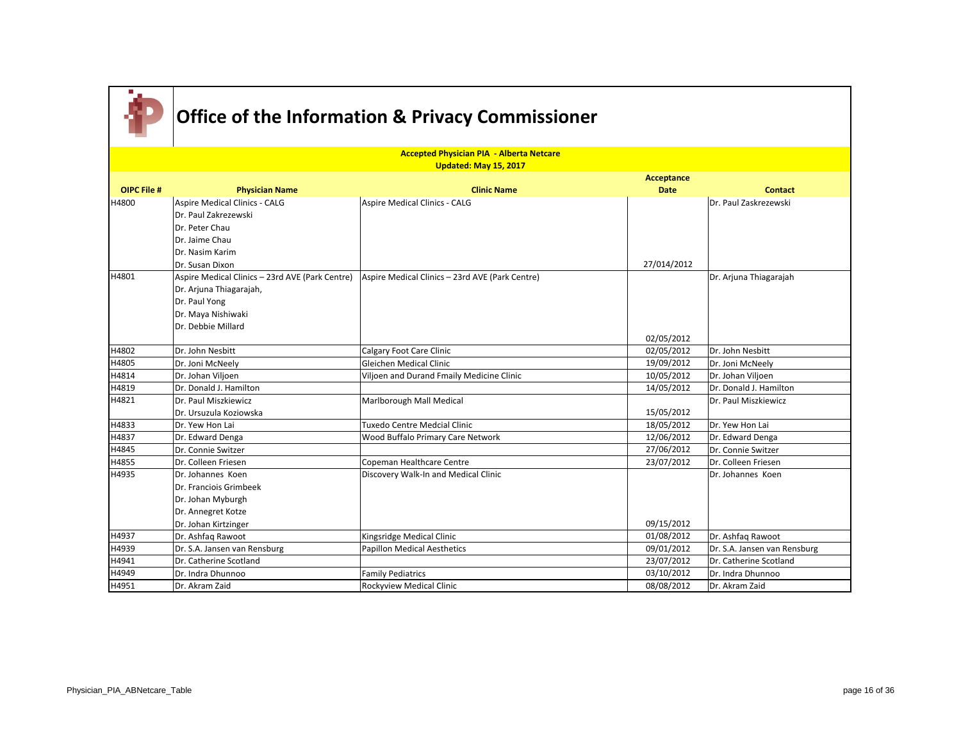

|                    |                                                                    | <b>Accepted Physician PIA - Alberta Netcare</b> |                   |                              |
|--------------------|--------------------------------------------------------------------|-------------------------------------------------|-------------------|------------------------------|
|                    |                                                                    | Updated: May 15, 2017                           |                   |                              |
| <b>OIPC File #</b> |                                                                    | <b>Clinic Name</b>                              | <b>Acceptance</b> |                              |
| H4800              | <b>Physician Name</b>                                              |                                                 | <b>Date</b>       | <b>Contact</b>               |
|                    | <b>Aspire Medical Clinics - CALG</b><br>Dr. Paul Zakrezewski       | Aspire Medical Clinics - CALG                   |                   | Dr. Paul Zaskrezewski        |
|                    |                                                                    |                                                 |                   |                              |
|                    | Dr. Peter Chau                                                     |                                                 |                   |                              |
|                    | Dr. Jaime Chau<br>Dr. Nasim Karim                                  |                                                 |                   |                              |
|                    |                                                                    |                                                 |                   |                              |
| H4801              | Dr. Susan Dixon<br>Aspire Medical Clinics - 23rd AVE (Park Centre) |                                                 | 27/014/2012       |                              |
|                    |                                                                    | Aspire Medical Clinics - 23rd AVE (Park Centre) |                   | Dr. Arjuna Thiagarajah       |
|                    | Dr. Arjuna Thiagarajah,                                            |                                                 |                   |                              |
|                    | Dr. Paul Yong<br>Dr. Maya Nishiwaki                                |                                                 |                   |                              |
|                    | Dr. Debbie Millard                                                 |                                                 |                   |                              |
|                    |                                                                    |                                                 | 02/05/2012        |                              |
| H4802              | Dr. John Nesbitt                                                   | Calgary Foot Care Clinic                        | 02/05/2012        | Dr. John Nesbitt             |
| H4805              | Dr. Joni McNeely                                                   | Gleichen Medical Clinic                         | 19/09/2012        | Dr. Joni McNeely             |
| H4814              | Dr. Johan Viljoen                                                  | Viljoen and Durand Fmaily Medicine Clinic       | 10/05/2012        | Dr. Johan Viljoen            |
| H4819              | Dr. Donald J. Hamilton                                             |                                                 | 14/05/2012        | Dr. Donald J. Hamilton       |
| H4821              | Dr. Paul Miszkiewicz                                               | Marlborough Mall Medical                        |                   | Dr. Paul Miszkiewicz         |
|                    | Dr. Ursuzula Koziowska                                             |                                                 | 15/05/2012        |                              |
| H4833              | Dr. Yew Hon Lai                                                    | Tuxedo Centre Medcial Clinic                    | 18/05/2012        | Dr. Yew Hon Lai              |
| H4837              | Dr. Edward Denga                                                   | Wood Buffalo Primary Care Network               | 12/06/2012        | Dr. Edward Denga             |
| H4845              | Dr. Connie Switzer                                                 |                                                 | 27/06/2012        | Dr. Connie Switzer           |
| H4855              | Dr. Colleen Friesen                                                | Copeman Healthcare Centre                       | 23/07/2012        | Dr. Colleen Friesen          |
| H4935              | Dr. Johannes Koen                                                  | Discovery Walk-In and Medical Clinic            |                   | Dr. Johannes Koen            |
|                    | Dr. Franciois Grimbeek                                             |                                                 |                   |                              |
|                    | Dr. Johan Myburgh                                                  |                                                 |                   |                              |
|                    | Dr. Annegret Kotze                                                 |                                                 |                   |                              |
|                    | Dr. Johan Kirtzinger                                               |                                                 | 09/15/2012        |                              |
| H4937              | Dr. Ashfaq Rawoot                                                  | Kingsridge Medical Clinic                       | 01/08/2012        | Dr. Ashfaq Rawoot            |
| H4939              | Dr. S.A. Jansen van Rensburg                                       | <b>Papillon Medical Aesthetics</b>              | 09/01/2012        | Dr. S.A. Jansen van Rensburg |
| H4941              | Dr. Catherine Scotland                                             |                                                 | 23/07/2012        | Dr. Catherine Scotland       |
| H4949              | Dr. Indra Dhunnoo                                                  | <b>Family Pediatrics</b>                        | 03/10/2012        | Dr. Indra Dhunnoo            |
| H4951              | Dr. Akram Zaid                                                     | Rockyview Medical Clinic                        | 08/08/2012        | Dr. Akram Zaid               |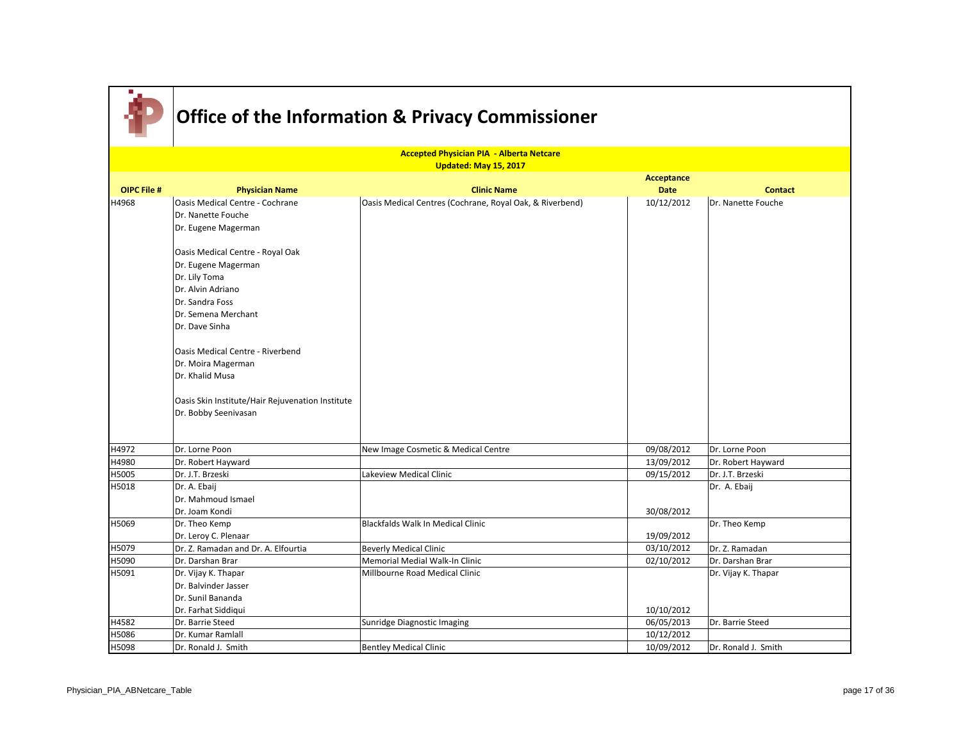|                    | <b>Accepted Physician PIA - Alberta Netcare</b>  |                                                          |                           |                     |  |
|--------------------|--------------------------------------------------|----------------------------------------------------------|---------------------------|---------------------|--|
|                    |                                                  | Updated: May 15, 2017                                    |                           |                     |  |
| <b>OIPC File #</b> |                                                  | <b>Clinic Name</b>                                       | Acceptance<br><b>Date</b> |                     |  |
|                    | <b>Physician Name</b>                            |                                                          |                           | <b>Contact</b>      |  |
| H4968              | Oasis Medical Centre - Cochrane                  | Oasis Medical Centres (Cochrane, Royal Oak, & Riverbend) | 10/12/2012                | Dr. Nanette Fouche  |  |
|                    | Dr. Nanette Fouche                               |                                                          |                           |                     |  |
|                    | Dr. Eugene Magerman                              |                                                          |                           |                     |  |
|                    | Oasis Medical Centre - Royal Oak                 |                                                          |                           |                     |  |
|                    | Dr. Eugene Magerman                              |                                                          |                           |                     |  |
|                    | Dr. Lily Toma                                    |                                                          |                           |                     |  |
|                    | Dr. Alvin Adriano                                |                                                          |                           |                     |  |
|                    | Dr. Sandra Foss                                  |                                                          |                           |                     |  |
|                    | Dr. Semena Merchant                              |                                                          |                           |                     |  |
|                    | Dr. Dave Sinha                                   |                                                          |                           |                     |  |
|                    | Oasis Medical Centre - Riverbend                 |                                                          |                           |                     |  |
|                    | Dr. Moira Magerman                               |                                                          |                           |                     |  |
|                    | Dr. Khalid Musa                                  |                                                          |                           |                     |  |
|                    |                                                  |                                                          |                           |                     |  |
|                    | Oasis Skin Institute/Hair Rejuvenation Institute |                                                          |                           |                     |  |
|                    | Dr. Bobby Seenivasan                             |                                                          |                           |                     |  |
|                    |                                                  |                                                          |                           |                     |  |
|                    |                                                  |                                                          |                           |                     |  |
| H4972              | Dr. Lorne Poon                                   | New Image Cosmetic & Medical Centre                      | 09/08/2012                | Dr. Lorne Poon      |  |
| H4980              | Dr. Robert Hayward                               |                                                          | 13/09/2012                | Dr. Robert Hayward  |  |
| H5005              | Dr. J.T. Brzeski                                 | Lakeview Medical Clinic                                  | 09/15/2012                | Dr. J.T. Brzeski    |  |
| H5018              | Dr. A. Ebaij                                     |                                                          |                           | Dr. A. Ebaij        |  |
|                    | Dr. Mahmoud Ismael                               |                                                          |                           |                     |  |
|                    | Dr. Joam Kondi                                   |                                                          | 30/08/2012                |                     |  |
| H5069              | Dr. Theo Kemp                                    | <b>Blackfalds Walk In Medical Clinic</b>                 |                           | Dr. Theo Kemp       |  |
|                    | Dr. Leroy C. Plenaar                             |                                                          | 19/09/2012                |                     |  |
| H5079              | Dr. Z. Ramadan and Dr. A. Elfourtia              | <b>Beverly Medical Clinic</b>                            | 03/10/2012                | Dr. Z. Ramadan      |  |
| H5090              | Dr. Darshan Brar                                 | Memorial Medial Walk-In Clinic                           | 02/10/2012                | Dr. Darshan Brar    |  |
| H5091              | Dr. Vijay K. Thapar                              | Millbourne Road Medical Clinic                           |                           | Dr. Vijay K. Thapar |  |
|                    | Dr. Balvinder Jasser                             |                                                          |                           |                     |  |
|                    | Dr. Sunil Bananda                                |                                                          |                           |                     |  |
|                    | Dr. Farhat Siddiqui                              |                                                          | 10/10/2012                |                     |  |
| H4582              | Dr. Barrie Steed                                 | Sunridge Diagnostic Imaging                              | 06/05/2013                | Dr. Barrie Steed    |  |
| H5086              | Dr. Kumar Ramlall                                |                                                          | 10/12/2012                |                     |  |
| H5098              | Dr. Ronald J. Smith                              | <b>Bentley Medical Clinic</b>                            | 10/09/2012                | Dr. Ronald J. Smith |  |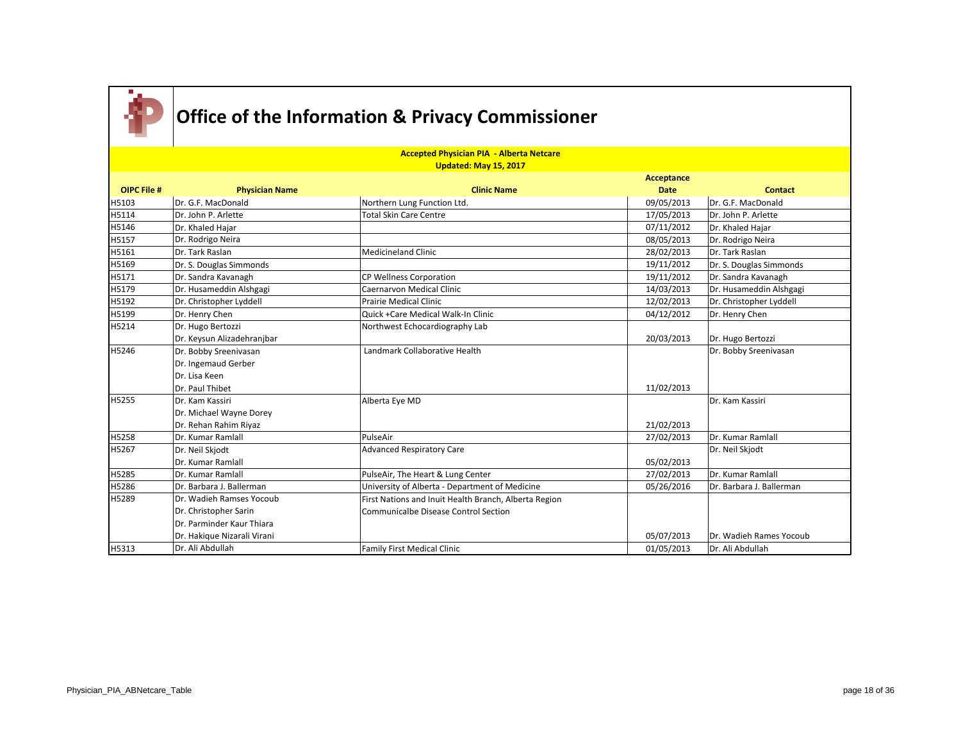

|                    | <b>Accepted Physician PIA - Alberta Netcare</b><br><b>Updated: May 15, 2017</b> |                                                       |             |                          |  |
|--------------------|---------------------------------------------------------------------------------|-------------------------------------------------------|-------------|--------------------------|--|
|                    |                                                                                 |                                                       | Acceptance  |                          |  |
| <b>OIPC File #</b> | <b>Physician Name</b>                                                           | <b>Clinic Name</b>                                    | <b>Date</b> | <b>Contact</b>           |  |
| H5103              | Dr. G.F. MacDonald                                                              | Northern Lung Function Ltd.                           | 09/05/2013  | Dr. G.F. MacDonald       |  |
| H5114              | Dr. John P. Arlette                                                             | <b>Total Skin Care Centre</b>                         | 17/05/2013  | Dr. John P. Arlette      |  |
| H5146              | Dr. Khaled Hajar                                                                |                                                       | 07/11/2012  | Dr. Khaled Hajar         |  |
| H5157              | Dr. Rodrigo Neira                                                               |                                                       | 08/05/2013  | Dr. Rodrigo Neira        |  |
| H5161              | Dr. Tark Raslan                                                                 | <b>Medicineland Clinic</b>                            | 28/02/2013  | Dr. Tark Raslan          |  |
| H5169              | Dr. S. Douglas Simmonds                                                         |                                                       | 19/11/2012  | Dr. S. Douglas Simmonds  |  |
| H5171              | Dr. Sandra Kavanagh                                                             | CP Wellness Corporation                               | 19/11/2012  | Dr. Sandra Kavanagh      |  |
| H5179              | Dr. Husameddin Alshgagi                                                         | <b>Caernarvon Medical Clinic</b>                      | 14/03/2013  | Dr. Husameddin Alshgagi  |  |
| H5192              | Dr. Christopher Lyddell                                                         | Prairie Medical Clinic                                | 12/02/2013  | Dr. Christopher Lyddell  |  |
| H5199              | Dr. Henry Chen                                                                  | Quick + Care Medical Walk-In Clinic                   | 04/12/2012  | Dr. Henry Chen           |  |
| H5214              | Dr. Hugo Bertozzi                                                               | Northwest Echocardiography Lab                        |             |                          |  |
|                    | Dr. Keysun Alizadehranjbar                                                      |                                                       | 20/03/2013  | Dr. Hugo Bertozzi        |  |
| H5246              | Dr. Bobby Sreenivasan                                                           | Landmark Collaborative Health                         |             | Dr. Bobby Sreenivasan    |  |
|                    | Dr. Ingemaud Gerber                                                             |                                                       |             |                          |  |
|                    | Dr. Lisa Keen                                                                   |                                                       |             |                          |  |
|                    | Dr. Paul Thibet                                                                 |                                                       | 11/02/2013  |                          |  |
| H5255              | Dr. Kam Kassiri                                                                 | Alberta Eye MD                                        |             | Dr. Kam Kassiri          |  |
|                    | Dr. Michael Wayne Dorey                                                         |                                                       |             |                          |  |
|                    | Dr. Rehan Rahim Riyaz                                                           |                                                       | 21/02/2013  |                          |  |
| H5258              | Dr. Kumar Ramlall                                                               | PulseAir                                              | 27/02/2013  | Dr. Kumar Ramlall        |  |
| H5267              | Dr. Neil Skjodt                                                                 | <b>Advanced Respiratory Care</b>                      |             | Dr. Neil Skjodt          |  |
|                    | Dr. Kumar Ramlall                                                               |                                                       | 05/02/2013  |                          |  |
| H5285              | Dr. Kumar Ramlall                                                               | PulseAir, The Heart & Lung Center                     | 27/02/2013  | Dr. Kumar Ramlall        |  |
| H5286              | Dr. Barbara J. Ballerman                                                        | University of Alberta - Department of Medicine        | 05/26/2016  | Dr. Barbara J. Ballerman |  |
| H5289              | Dr. Wadieh Ramses Yocoub                                                        | First Nations and Inuit Health Branch, Alberta Region |             |                          |  |
|                    | Dr. Christopher Sarin                                                           | <b>Communicalbe Disease Control Section</b>           |             |                          |  |
|                    | Dr. Parminder Kaur Thiara                                                       |                                                       |             |                          |  |
|                    | Dr. Hakique Nizarali Virani                                                     |                                                       | 05/07/2013  | Dr. Wadieh Rames Yocoub  |  |
| H5313              | Dr. Ali Abdullah                                                                | <b>Family First Medical Clinic</b>                    | 01/05/2013  | Dr. Ali Abdullah         |  |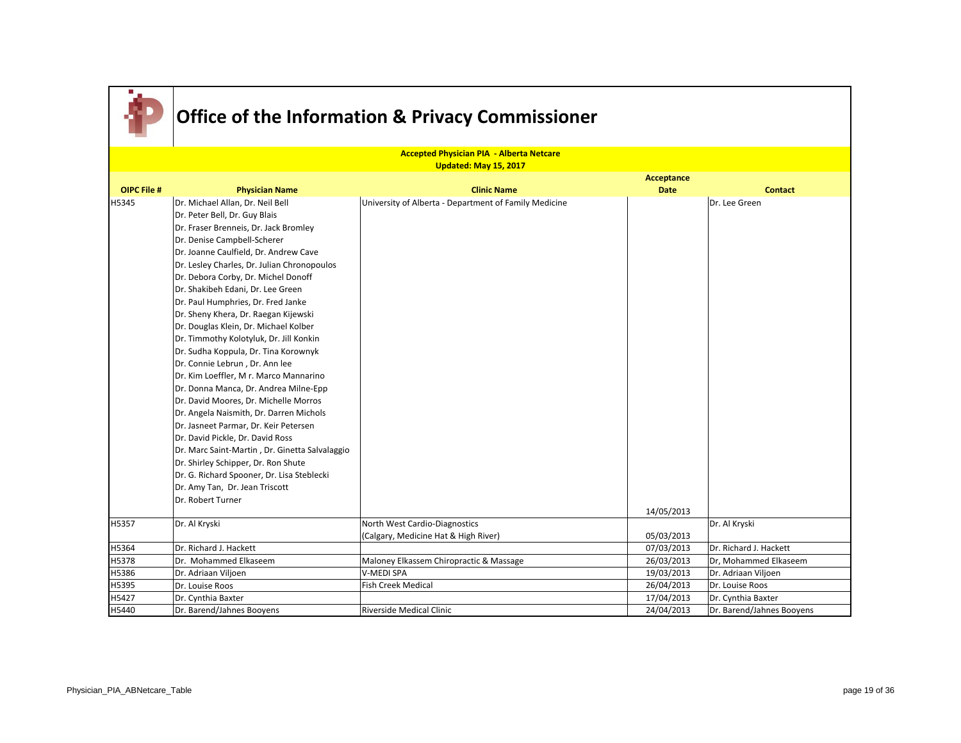

|                    |                                                | <b>Accepted Physician PIA - Alberta Netcare</b>       |             |                           |
|--------------------|------------------------------------------------|-------------------------------------------------------|-------------|---------------------------|
|                    |                                                | Updated: May 15, 2017                                 |             |                           |
|                    |                                                |                                                       | Acceptance  |                           |
| <b>OIPC File #</b> | <b>Physician Name</b>                          | <b>Clinic Name</b>                                    | <b>Date</b> | <b>Contact</b>            |
| H5345              | Dr. Michael Allan, Dr. Neil Bell               | University of Alberta - Department of Family Medicine |             | Dr. Lee Green             |
|                    | Dr. Peter Bell, Dr. Guy Blais                  |                                                       |             |                           |
|                    | Dr. Fraser Brenneis, Dr. Jack Bromley          |                                                       |             |                           |
|                    | Dr. Denise Campbell-Scherer                    |                                                       |             |                           |
|                    | Dr. Joanne Caulfield, Dr. Andrew Cave          |                                                       |             |                           |
|                    | Dr. Lesley Charles, Dr. Julian Chronopoulos    |                                                       |             |                           |
|                    | Dr. Debora Corby, Dr. Michel Donoff            |                                                       |             |                           |
|                    | Dr. Shakibeh Edani, Dr. Lee Green              |                                                       |             |                           |
|                    | Dr. Paul Humphries, Dr. Fred Janke             |                                                       |             |                           |
|                    | Dr. Sheny Khera, Dr. Raegan Kijewski           |                                                       |             |                           |
|                    | Dr. Douglas Klein, Dr. Michael Kolber          |                                                       |             |                           |
|                    | Dr. Timmothy Kolotyluk, Dr. Jill Konkin        |                                                       |             |                           |
|                    | Dr. Sudha Koppula, Dr. Tina Korownyk           |                                                       |             |                           |
|                    | Dr. Connie Lebrun, Dr. Ann lee                 |                                                       |             |                           |
|                    | Dr. Kim Loeffler, Mr. Marco Mannarino          |                                                       |             |                           |
|                    | Dr. Donna Manca, Dr. Andrea Milne-Epp          |                                                       |             |                           |
|                    | Dr. David Moores, Dr. Michelle Morros          |                                                       |             |                           |
|                    | Dr. Angela Naismith, Dr. Darren Michols        |                                                       |             |                           |
|                    | Dr. Jasneet Parmar, Dr. Keir Petersen          |                                                       |             |                           |
|                    | Dr. David Pickle, Dr. David Ross               |                                                       |             |                           |
|                    | Dr. Marc Saint-Martin, Dr. Ginetta Salvalaggio |                                                       |             |                           |
|                    | Dr. Shirley Schipper, Dr. Ron Shute            |                                                       |             |                           |
|                    | Dr. G. Richard Spooner, Dr. Lisa Steblecki     |                                                       |             |                           |
|                    | Dr. Amy Tan, Dr. Jean Triscott                 |                                                       |             |                           |
|                    | Dr. Robert Turner                              |                                                       |             |                           |
|                    |                                                |                                                       | 14/05/2013  |                           |
| H5357              | Dr. Al Kryski                                  | North West Cardio-Diagnostics                         |             | Dr. Al Kryski             |
|                    |                                                | (Calgary, Medicine Hat & High River)                  | 05/03/2013  |                           |
| H5364              | Dr. Richard J. Hackett                         |                                                       | 07/03/2013  | Dr. Richard J. Hackett    |
| H5378              | Dr. Mohammed Elkaseem                          | Maloney Elkassem Chiropractic & Massage               | 26/03/2013  | Dr, Mohammed Elkaseem     |
| H5386              | Dr. Adriaan Viljoen                            | V-MEDI SPA                                            | 19/03/2013  | Dr. Adriaan Viljoen       |
| H5395              | Dr. Louise Roos                                | <b>Fish Creek Medical</b>                             | 26/04/2013  | Dr. Louise Roos           |
| H5427              | Dr. Cynthia Baxter                             |                                                       | 17/04/2013  | Dr. Cynthia Baxter        |
| H5440              | Dr. Barend/Jahnes Booyens                      | <b>Riverside Medical Clinic</b>                       | 24/04/2013  | Dr. Barend/Jahnes Booyens |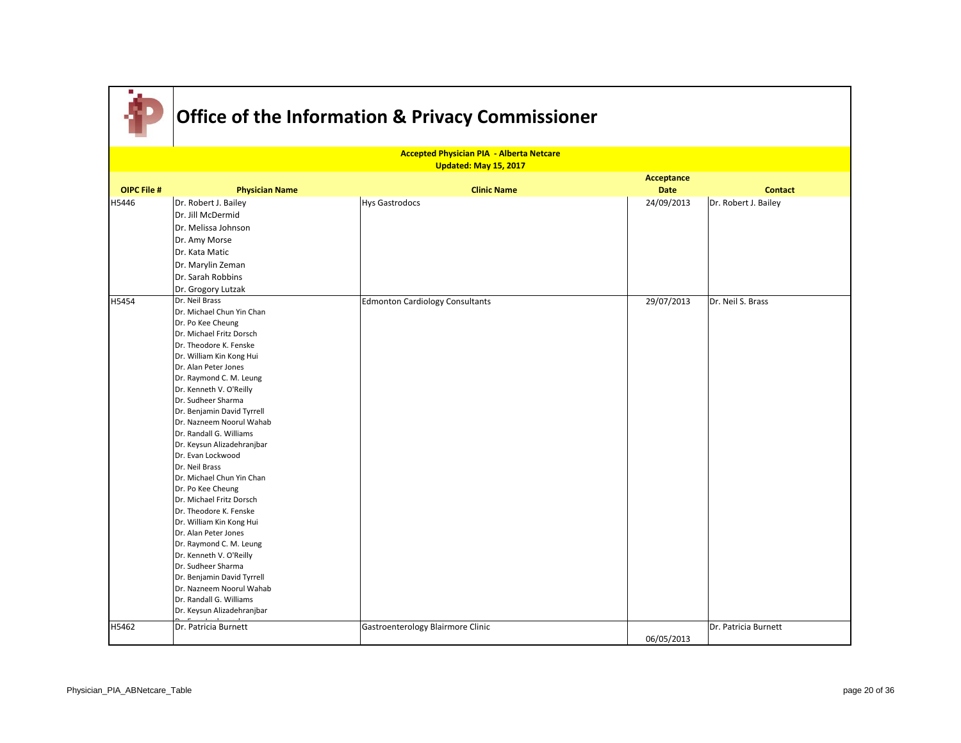

|                    |                                                       | <b>Accepted Physician PIA - Alberta Netcare</b> |             |                      |
|--------------------|-------------------------------------------------------|-------------------------------------------------|-------------|----------------------|
|                    |                                                       | Updated: May 15, 2017                           |             |                      |
|                    |                                                       |                                                 | Acceptance  |                      |
| <b>OIPC File #</b> | <b>Physician Name</b>                                 | <b>Clinic Name</b>                              | <b>Date</b> | <b>Contact</b>       |
| H5446              | Dr. Robert J. Bailey                                  | <b>Hys Gastrodocs</b>                           | 24/09/2013  | Dr. Robert J. Bailey |
|                    | Dr. Jill McDermid                                     |                                                 |             |                      |
|                    | Dr. Melissa Johnson                                   |                                                 |             |                      |
|                    | Dr. Amy Morse                                         |                                                 |             |                      |
|                    | Dr. Kata Matic                                        |                                                 |             |                      |
|                    | Dr. Marylin Zeman                                     |                                                 |             |                      |
|                    | Dr. Sarah Robbins                                     |                                                 |             |                      |
|                    |                                                       |                                                 |             |                      |
|                    | Dr. Grogory Lutzak<br>Dr. Neil Brass                  |                                                 |             |                      |
| H5454              | Dr. Michael Chun Yin Chan                             | <b>Edmonton Cardiology Consultants</b>          | 29/07/2013  | Dr. Neil S. Brass    |
|                    | Dr. Po Kee Cheung                                     |                                                 |             |                      |
|                    | Dr. Michael Fritz Dorsch                              |                                                 |             |                      |
|                    | Dr. Theodore K. Fenske                                |                                                 |             |                      |
|                    | Dr. William Kin Kong Hui                              |                                                 |             |                      |
|                    | Dr. Alan Peter Jones                                  |                                                 |             |                      |
|                    | Dr. Raymond C. M. Leung                               |                                                 |             |                      |
|                    | Dr. Kenneth V. O'Reilly                               |                                                 |             |                      |
|                    | Dr. Sudheer Sharma                                    |                                                 |             |                      |
|                    | Dr. Benjamin David Tyrrell                            |                                                 |             |                      |
|                    | Dr. Nazneem Noorul Wahab                              |                                                 |             |                      |
|                    | Dr. Randall G. Williams                               |                                                 |             |                      |
|                    | Dr. Keysun Alizadehranjbar                            |                                                 |             |                      |
|                    | Dr. Evan Lockwood                                     |                                                 |             |                      |
|                    | Dr. Neil Brass                                        |                                                 |             |                      |
|                    | Dr. Michael Chun Yin Chan                             |                                                 |             |                      |
|                    | Dr. Po Kee Cheung                                     |                                                 |             |                      |
|                    | Dr. Michael Fritz Dorsch                              |                                                 |             |                      |
|                    | Dr. Theodore K. Fenske                                |                                                 |             |                      |
|                    | Dr. William Kin Kong Hui                              |                                                 |             |                      |
|                    | Dr. Alan Peter Jones                                  |                                                 |             |                      |
|                    | Dr. Raymond C. M. Leung                               |                                                 |             |                      |
|                    | Dr. Kenneth V. O'Reilly                               |                                                 |             |                      |
|                    | Dr. Sudheer Sharma                                    |                                                 |             |                      |
|                    | Dr. Benjamin David Tyrrell                            |                                                 |             |                      |
|                    | Dr. Nazneem Noorul Wahab                              |                                                 |             |                      |
|                    | Dr. Randall G. Williams<br>Dr. Keysun Alizadehranjbar |                                                 |             |                      |
|                    |                                                       |                                                 |             |                      |
| H5462              | Dr. Patricia Burnett                                  | Gastroenterology Blairmore Clinic               |             | Dr. Patricia Burnett |
|                    |                                                       |                                                 | 06/05/2013  |                      |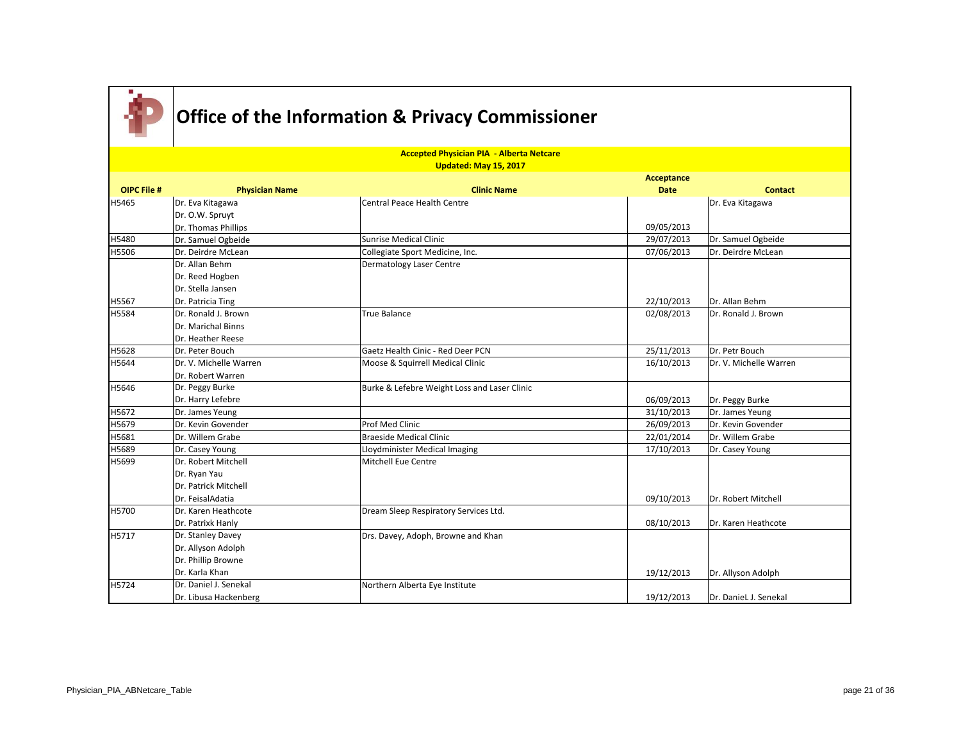

|                    |                        | <b>Accepted Physician PIA - Alberta Netcare</b> |                   |                        |
|--------------------|------------------------|-------------------------------------------------|-------------------|------------------------|
|                    |                        | Updated: May 15, 2017                           |                   |                        |
|                    |                        |                                                 | <b>Acceptance</b> |                        |
| <b>OIPC File #</b> | <b>Physician Name</b>  | <b>Clinic Name</b>                              | <b>Date</b>       | <b>Contact</b>         |
| H5465              | Dr. Eva Kitagawa       | Central Peace Health Centre                     |                   | Dr. Eva Kitagawa       |
|                    | Dr. O.W. Spruyt        |                                                 |                   |                        |
|                    | Dr. Thomas Phillips    |                                                 | 09/05/2013        |                        |
| H5480              | Dr. Samuel Ogbeide     | Sunrise Medical Clinic                          | 29/07/2013        | Dr. Samuel Ogbeide     |
| H5506              | Dr. Deirdre McLean     | Collegiate Sport Medicine, Inc.                 | 07/06/2013        | Dr. Deirdre McLean     |
|                    | Dr. Allan Behm         | <b>Dermatology Laser Centre</b>                 |                   |                        |
|                    | Dr. Reed Hogben        |                                                 |                   |                        |
|                    | Dr. Stella Jansen      |                                                 |                   |                        |
| H5567              | Dr. Patricia Ting      |                                                 | 22/10/2013        | Dr. Allan Behm         |
| H5584              | Dr. Ronald J. Brown    | <b>True Balance</b>                             | 02/08/2013        | Dr. Ronald J. Brown    |
|                    | Dr. Marichal Binns     |                                                 |                   |                        |
|                    | Dr. Heather Reese      |                                                 |                   |                        |
| H5628              | Dr. Peter Bouch        | Gaetz Health Cinic - Red Deer PCN               | 25/11/2013        | Dr. Petr Bouch         |
| H5644              | Dr. V. Michelle Warren | Moose & Squirrell Medical Clinic                | 16/10/2013        | Dr. V. Michelle Warren |
|                    | Dr. Robert Warren      |                                                 |                   |                        |
| H5646              | Dr. Peggy Burke        | Burke & Lefebre Weight Loss and Laser Clinic    |                   |                        |
|                    | Dr. Harry Lefebre      |                                                 | 06/09/2013        | Dr. Peggy Burke        |
| H5672              | Dr. James Yeung        |                                                 | 31/10/2013        | Dr. James Yeung        |
| H5679              | Dr. Kevin Govender     | <b>Prof Med Clinic</b>                          | 26/09/2013        | Dr. Kevin Govender     |
| H5681              | Dr. Willem Grabe       | <b>Braeside Medical Clinic</b>                  | 22/01/2014        | Dr. Willem Grabe       |
| H5689              | Dr. Casey Young        | Lloydminister Medical Imaging                   | 17/10/2013        | Dr. Casey Young        |
| H5699              | Dr. Robert Mitchell    | Mitchell Eue Centre                             |                   |                        |
|                    | Dr. Ryan Yau           |                                                 |                   |                        |
|                    | Dr. Patrick Mitchell   |                                                 |                   |                        |
|                    | IDr. FeisalAdatia      |                                                 | 09/10/2013        | Dr. Robert Mitchell    |
| H5700              | Dr. Karen Heathcote    | Dream Sleep Respiratory Services Ltd.           |                   |                        |
|                    | Dr. Patrixk Hanly      |                                                 | 08/10/2013        | Dr. Karen Heathcote    |
| H5717              | Dr. Stanley Davey      | Drs. Davey, Adoph, Browne and Khan              |                   |                        |
|                    | Dr. Allyson Adolph     |                                                 |                   |                        |
|                    | Dr. Phillip Browne     |                                                 |                   |                        |
|                    | Dr. Karla Khan         |                                                 | 19/12/2013        | Dr. Allyson Adolph     |
| H5724              | Dr. Daniel J. Senekal  | Northern Alberta Eye Institute                  |                   |                        |
|                    | Dr. Libusa Hackenberg  |                                                 | 19/12/2013        | Dr. DanieL J. Senekal  |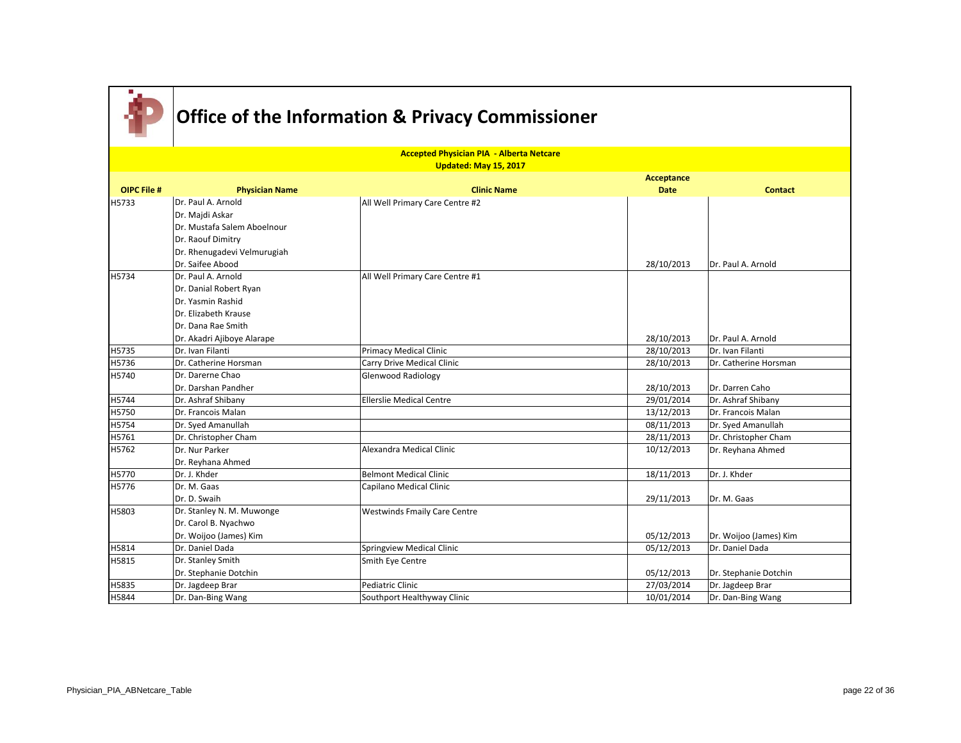

|                    |                             | <b>Accepted Physician PIA - Alberta Netcare</b><br>Updated: May 15, 2017 |                   |                        |
|--------------------|-----------------------------|--------------------------------------------------------------------------|-------------------|------------------------|
|                    |                             |                                                                          | <b>Acceptance</b> |                        |
| <b>OIPC File #</b> | <b>Physician Name</b>       | <b>Clinic Name</b>                                                       | <b>Date</b>       | <b>Contact</b>         |
| H5733              | Dr. Paul A. Arnold          | All Well Primary Care Centre #2                                          |                   |                        |
|                    | Dr. Majdi Askar             |                                                                          |                   |                        |
|                    | Dr. Mustafa Salem Aboelnour |                                                                          |                   |                        |
|                    | Dr. Raouf Dimitry           |                                                                          |                   |                        |
|                    | Dr. Rhenugadevi Velmurugiah |                                                                          |                   |                        |
|                    | Dr. Saifee Abood            |                                                                          | 28/10/2013        | Dr. Paul A. Arnold     |
| H5734              | Dr. Paul A. Arnold          | All Well Primary Care Centre #1                                          |                   |                        |
|                    | Dr. Danial Robert Ryan      |                                                                          |                   |                        |
|                    | Dr. Yasmin Rashid           |                                                                          |                   |                        |
|                    | Dr. Elizabeth Krause        |                                                                          |                   |                        |
|                    | Dr. Dana Rae Smith          |                                                                          |                   |                        |
|                    | Dr. Akadri Ajiboye Alarape  |                                                                          | 28/10/2013        | Dr. Paul A. Arnold     |
| H5735              | Dr. Ivan Filanti            | <b>Primacy Medical Clinic</b>                                            | 28/10/2013        | Dr. Ivan Filanti       |
| H5736              | Dr. Catherine Horsman       | Carry Drive Medical Clinic                                               | 28/10/2013        | Dr. Catherine Horsman  |
| H5740              | Dr. Darerne Chao            | Glenwood Radiology                                                       |                   |                        |
|                    | Dr. Darshan Pandher         |                                                                          | 28/10/2013        | Dr. Darren Caho        |
| H5744              | Dr. Ashraf Shibany          | <b>Ellerslie Medical Centre</b>                                          | 29/01/2014        | Dr. Ashraf Shibany     |
| H5750              | Dr. Francois Malan          |                                                                          | 13/12/2013        | Dr. Francois Malan     |
| H5754              | Dr. Syed Amanullah          |                                                                          | 08/11/2013        | Dr. Syed Amanullah     |
| H5761              | Dr. Christopher Cham        |                                                                          | 28/11/2013        | Dr. Christopher Cham   |
| H5762              | Dr. Nur Parker              | Alexandra Medical Clinic                                                 | 10/12/2013        | Dr. Reyhana Ahmed      |
|                    | Dr. Reyhana Ahmed           |                                                                          |                   |                        |
| H5770              | Dr. J. Khder                | Belmont Medical Clinic                                                   | 18/11/2013        | Dr. J. Khder           |
| H5776              | Dr. M. Gaas                 | Capilano Medical Clinic                                                  |                   |                        |
|                    | Dr. D. Swaih                |                                                                          | 29/11/2013        | Dr. M. Gaas            |
| H5803              | Dr. Stanley N. M. Muwonge   | <b>Westwinds Fmaily Care Centre</b>                                      |                   |                        |
|                    | Dr. Carol B. Nyachwo        |                                                                          |                   |                        |
|                    | Dr. Woijoo (James) Kim      |                                                                          | 05/12/2013        | Dr. Woijoo (James) Kim |
| H5814              | Dr. Daniel Dada             | Springview Medical Clinic                                                | 05/12/2013        | Dr. Daniel Dada        |
| H5815              | Dr. Stanley Smith           | Smith Eye Centre                                                         |                   |                        |
|                    | Dr. Stephanie Dotchin       |                                                                          | 05/12/2013        | Dr. Stephanie Dotchin  |
| H5835              | Dr. Jagdeep Brar            | Pediatric Clinic                                                         | 27/03/2014        | Dr. Jagdeep Brar       |
| H5844              | Dr. Dan-Bing Wang           | Southport Healthyway Clinic                                              | 10/01/2014        | Dr. Dan-Bing Wang      |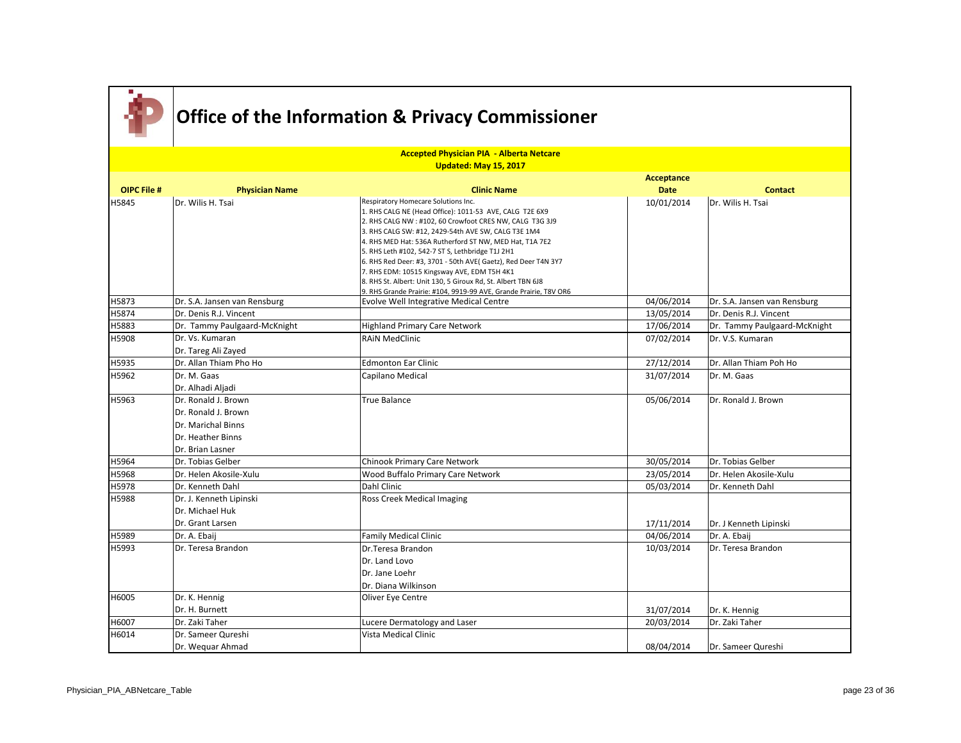

|                    | <b>Accepted Physician PIA - Alberta Netcare</b><br>Updated: May 15, 2017 |                                                                                                                    |             |                              |  |
|--------------------|--------------------------------------------------------------------------|--------------------------------------------------------------------------------------------------------------------|-------------|------------------------------|--|
|                    |                                                                          |                                                                                                                    | Acceptance  |                              |  |
| <b>OIPC File #</b> | <b>Physician Name</b>                                                    | <b>Clinic Name</b>                                                                                                 | <b>Date</b> | <b>Contact</b>               |  |
| H5845              | Dr. Wilis H. Tsai                                                        | Respiratory Homecare Solutions Inc.                                                                                | 10/01/2014  | Dr. Wilis H. Tsai            |  |
|                    |                                                                          | 1. RHS CALG NE (Head Office): 1011-53 AVE, CALG T2E 6X9                                                            |             |                              |  |
|                    |                                                                          | 2. RHS CALG NW : #102, 60 Crowfoot CRES NW, CALG T3G 3J9                                                           |             |                              |  |
|                    |                                                                          | 3. RHS CALG SW: #12, 2429-54th AVE SW, CALG T3E 1M4                                                                |             |                              |  |
|                    |                                                                          | 4. RHS MED Hat: 536A Rutherford ST NW, MED Hat, T1A 7E2                                                            |             |                              |  |
|                    |                                                                          | 5. RHS Leth #102, 542-7 ST S, Lethbridge T1J 2H1<br>6. RHS Red Deer: #3, 3701 - 50th AVE( Gaetz), Red Deer T4N 3Y7 |             |                              |  |
|                    |                                                                          | 7. RHS EDM: 10515 Kingsway AVE, EDM T5H 4K1                                                                        |             |                              |  |
|                    |                                                                          | 8. RHS St. Albert: Unit 130, 5 Giroux Rd, St. Albert TBN 6J8                                                       |             |                              |  |
|                    |                                                                          | 9. RHS Grande Prairie: #104, 9919-99 AVE, Grande Prairie, T8V OR6                                                  |             |                              |  |
| H5873              | Dr. S.A. Jansen van Rensburg                                             | Evolve Well Integrative Medical Centre                                                                             | 04/06/2014  | Dr. S.A. Jansen van Rensburg |  |
| H5874              | Dr. Denis R.J. Vincent                                                   |                                                                                                                    | 13/05/2014  | Dr. Denis R.J. Vincent       |  |
| H5883              | Dr. Tammy Paulgaard-McKnight                                             | <b>Highland Primary Care Network</b>                                                                               | 17/06/2014  | Dr. Tammy Paulgaard-McKnight |  |
| H5908              | Dr. Vs. Kumaran                                                          | <b>RAIN MedClinic</b>                                                                                              | 07/02/2014  | Dr. V.S. Kumaran             |  |
|                    | Dr. Tareg Ali Zayed                                                      |                                                                                                                    |             |                              |  |
| H5935              | Dr. Allan Thiam Pho Ho                                                   | <b>Edmonton Ear Clinic</b>                                                                                         | 27/12/2014  | Dr. Allan Thiam Poh Ho       |  |
| H5962              | Dr. M. Gaas                                                              | Capilano Medical                                                                                                   | 31/07/2014  | Dr. M. Gaas                  |  |
|                    | Dr. Alhadi Aljadi                                                        |                                                                                                                    |             |                              |  |
| H5963              | Dr. Ronald J. Brown                                                      | <b>True Balance</b>                                                                                                | 05/06/2014  | Dr. Ronald J. Brown          |  |
|                    | Dr. Ronald J. Brown                                                      |                                                                                                                    |             |                              |  |
|                    | Dr. Marichal Binns                                                       |                                                                                                                    |             |                              |  |
|                    | Dr. Heather Binns                                                        |                                                                                                                    |             |                              |  |
|                    | Dr. Brian Lasner                                                         |                                                                                                                    |             |                              |  |
| H5964              | Dr. Tobias Gelber                                                        | <b>Chinook Primary Care Network</b>                                                                                | 30/05/2014  | Dr. Tobias Gelber            |  |
| H5968              | Dr. Helen Akosile-Xulu                                                   | Wood Buffalo Primary Care Network                                                                                  | 23/05/2014  | Dr. Helen Akosile-Xulu       |  |
| H5978              | Dr. Kenneth Dahl                                                         | Dahl Clinic                                                                                                        | 05/03/2014  | Dr. Kenneth Dahl             |  |
| H5988              | Dr. J. Kenneth Lipinski                                                  | <b>Ross Creek Medical Imaging</b>                                                                                  |             |                              |  |
|                    | Dr. Michael Huk                                                          |                                                                                                                    |             |                              |  |
|                    | Dr. Grant Larsen                                                         |                                                                                                                    | 17/11/2014  | Dr. J Kenneth Lipinski       |  |
| H5989              | Dr. A. Ebaij                                                             | <b>Family Medical Clinic</b>                                                                                       | 04/06/2014  | Dr. A. Ebaij                 |  |
| H5993              | Dr. Teresa Brandon                                                       | Dr.Teresa Brandon                                                                                                  | 10/03/2014  | Dr. Teresa Brandon           |  |
|                    |                                                                          | Dr. Land Lovo                                                                                                      |             |                              |  |
|                    |                                                                          | Dr. Jane Loehr                                                                                                     |             |                              |  |
|                    |                                                                          | Dr. Diana Wilkinson                                                                                                |             |                              |  |
| H6005              | Dr. K. Hennig                                                            | Oliver Eye Centre                                                                                                  |             |                              |  |
|                    | Dr. H. Burnett                                                           |                                                                                                                    | 31/07/2014  | Dr. K. Hennig                |  |
| H6007              | Dr. Zaki Taher                                                           | Lucere Dermatology and Laser                                                                                       | 20/03/2014  | Dr. Zaki Taher               |  |
| H6014              | Dr. Sameer Qureshi                                                       | Vista Medical Clinic                                                                                               |             |                              |  |
|                    | Dr. Weguar Ahmad                                                         |                                                                                                                    | 08/04/2014  | Dr. Sameer Qureshi           |  |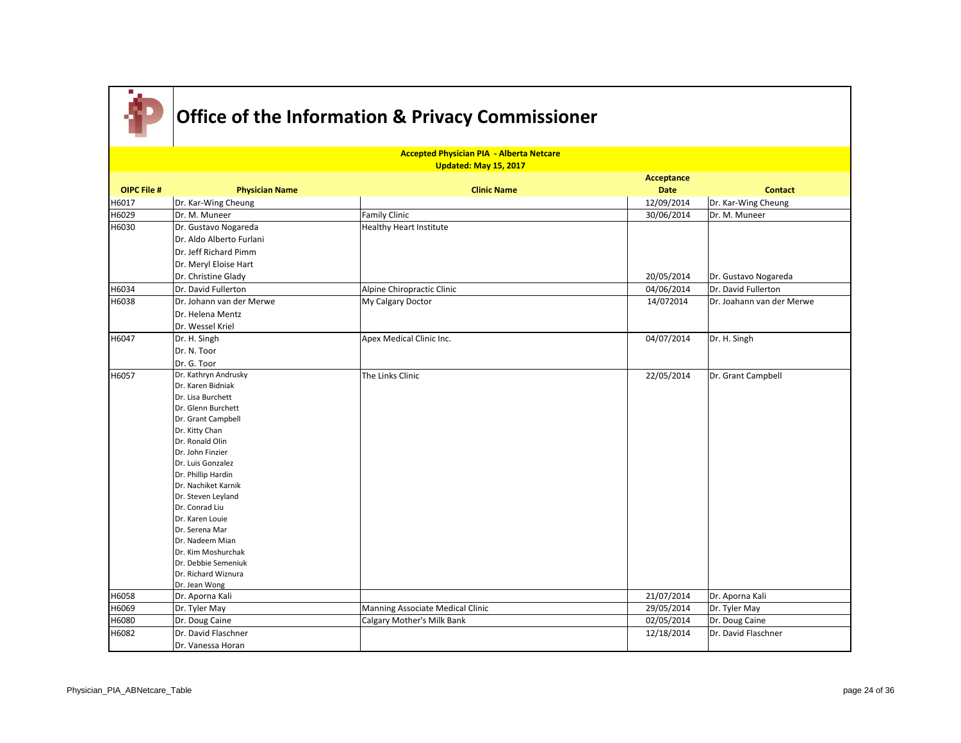

|                    | <b>Accepted Physician PIA - Alberta Netcare</b><br>Updated: May 15, 2017 |                                  |                   |                           |  |  |
|--------------------|--------------------------------------------------------------------------|----------------------------------|-------------------|---------------------------|--|--|
|                    |                                                                          |                                  | <b>Acceptance</b> |                           |  |  |
| <b>OIPC File #</b> | <b>Physician Name</b>                                                    | <b>Clinic Name</b>               | <b>Date</b>       | <b>Contact</b>            |  |  |
| H6017              | Dr. Kar-Wing Cheung                                                      |                                  | 12/09/2014        | Dr. Kar-Wing Cheung       |  |  |
| H6029              | Dr. M. Muneer                                                            | <b>Family Clinic</b>             | 30/06/2014        | Dr. M. Muneer             |  |  |
| H6030              | Dr. Gustavo Nogareda                                                     | <b>Healthy Heart Institute</b>   |                   |                           |  |  |
|                    | Dr. Aldo Alberto Furlani                                                 |                                  |                   |                           |  |  |
|                    | Dr. Jeff Richard Pimm                                                    |                                  |                   |                           |  |  |
|                    | Dr. Meryl Eloise Hart                                                    |                                  |                   |                           |  |  |
|                    | Dr. Christine Glady                                                      |                                  | 20/05/2014        | Dr. Gustavo Nogareda      |  |  |
| H6034              | Dr. David Fullerton                                                      | Alpine Chiropractic Clinic       | 04/06/2014        | Dr. David Fullerton       |  |  |
| H6038              | Dr. Johann van der Merwe                                                 | My Calgary Doctor                | 14/072014         | Dr. Joahann van der Merwe |  |  |
|                    | Dr. Helena Mentz                                                         |                                  |                   |                           |  |  |
|                    | Dr. Wessel Kriel                                                         |                                  |                   |                           |  |  |
| H6047              | Dr. H. Singh                                                             | Apex Medical Clinic Inc.         | 04/07/2014        | Dr. H. Singh              |  |  |
|                    | Dr. N. Toor                                                              |                                  |                   |                           |  |  |
|                    | Dr. G. Toor                                                              |                                  |                   |                           |  |  |
|                    |                                                                          |                                  |                   |                           |  |  |
| H6057              | Dr. Kathryn Andrusky<br>Dr. Karen Bidniak                                | The Links Clinic                 | 22/05/2014        | Dr. Grant Campbell        |  |  |
|                    | Dr. Lisa Burchett                                                        |                                  |                   |                           |  |  |
|                    |                                                                          |                                  |                   |                           |  |  |
|                    | Dr. Glenn Burchett                                                       |                                  |                   |                           |  |  |
|                    | Dr. Grant Campbell                                                       |                                  |                   |                           |  |  |
|                    | Dr. Kitty Chan<br>Dr. Ronald Olin                                        |                                  |                   |                           |  |  |
|                    | Dr. John Finzier                                                         |                                  |                   |                           |  |  |
|                    | Dr. Luis Gonzalez                                                        |                                  |                   |                           |  |  |
|                    | Dr. Phillip Hardin                                                       |                                  |                   |                           |  |  |
|                    | Dr. Nachiket Karnik                                                      |                                  |                   |                           |  |  |
|                    | Dr. Steven Leyland                                                       |                                  |                   |                           |  |  |
|                    | Dr. Conrad Liu                                                           |                                  |                   |                           |  |  |
|                    | Dr. Karen Louie                                                          |                                  |                   |                           |  |  |
|                    | Dr. Serena Mar                                                           |                                  |                   |                           |  |  |
|                    | Dr. Nadeem Mian                                                          |                                  |                   |                           |  |  |
|                    | Dr. Kim Moshurchak                                                       |                                  |                   |                           |  |  |
|                    | Dr. Debbie Semeniuk                                                      |                                  |                   |                           |  |  |
|                    | Dr. Richard Wiznura                                                      |                                  |                   |                           |  |  |
|                    | Dr. Jean Wong                                                            |                                  |                   |                           |  |  |
| H6058              | Dr. Aporna Kali                                                          |                                  | 21/07/2014        | Dr. Aporna Kali           |  |  |
| H6069              | Dr. Tyler May                                                            | Manning Associate Medical Clinic | 29/05/2014        | Dr. Tyler May             |  |  |
| H6080              | Dr. Doug Caine                                                           | Calgary Mother's Milk Bank       | 02/05/2014        | Dr. Doug Caine            |  |  |
| H6082              | Dr. David Flaschner                                                      |                                  | 12/18/2014        | Dr. David Flaschner       |  |  |
|                    | Dr. Vanessa Horan                                                        |                                  |                   |                           |  |  |
|                    |                                                                          |                                  |                   |                           |  |  |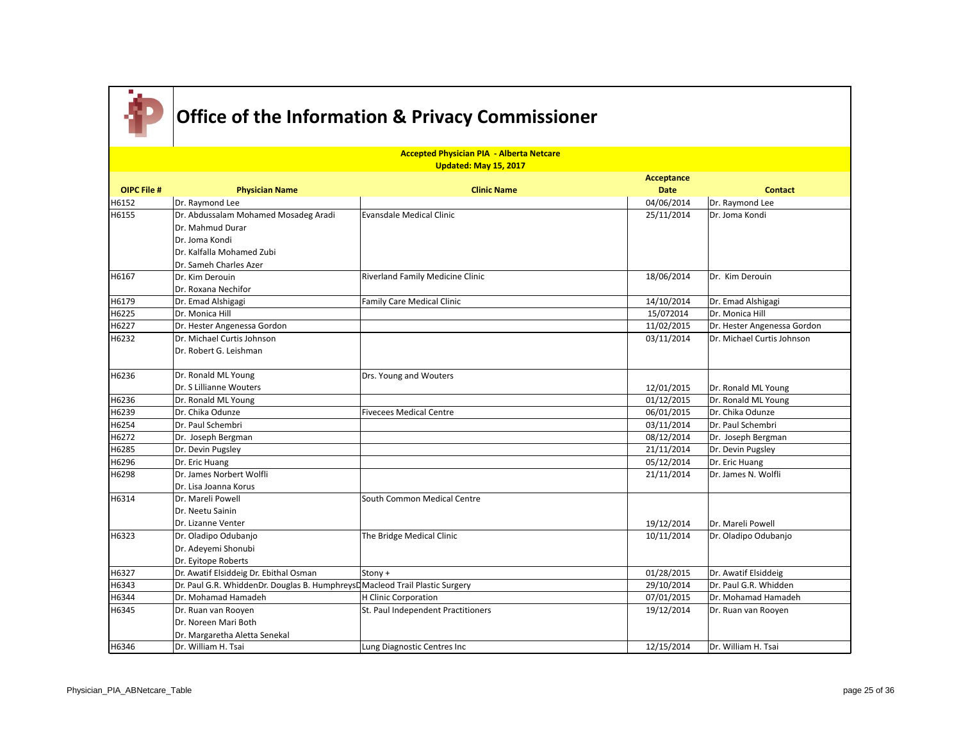

|                    |                                                                              | <b>Accepted Physician PIA - Alberta Netcare</b><br><b>Updated: May 15, 2017</b> |                   |                             |
|--------------------|------------------------------------------------------------------------------|---------------------------------------------------------------------------------|-------------------|-----------------------------|
|                    |                                                                              |                                                                                 | <b>Acceptance</b> |                             |
| <b>OIPC File #</b> | <b>Physician Name</b>                                                        | <b>Clinic Name</b>                                                              | <b>Date</b>       | <b>Contact</b>              |
| H6152              | Dr. Raymond Lee                                                              |                                                                                 | 04/06/2014        | Dr. Raymond Lee             |
| H6155              | Dr. Abdussalam Mohamed Mosadeg Aradi                                         | <b>Evansdale Medical Clinic</b>                                                 | 25/11/2014        | Dr. Joma Kondi              |
|                    | Dr. Mahmud Durar                                                             |                                                                                 |                   |                             |
|                    | Dr. Joma Kondi                                                               |                                                                                 |                   |                             |
|                    | Dr. Kalfalla Mohamed Zubi                                                    |                                                                                 |                   |                             |
|                    | Dr. Sameh Charles Azer                                                       |                                                                                 |                   |                             |
| H6167              | Dr. Kim Derouin                                                              | <b>Riverland Family Medicine Clinic</b>                                         | 18/06/2014        | Dr. Kim Derouin             |
|                    | Dr. Roxana Nechifor                                                          |                                                                                 |                   |                             |
| H6179              | Dr. Emad Alshigagi                                                           | Family Care Medical Clinic                                                      | 14/10/2014        | Dr. Emad Alshigagi          |
| H6225              | Dr. Monica Hill                                                              |                                                                                 | 15/072014         | Dr. Monica Hill             |
| H6227              | Dr. Hester Angenessa Gordon                                                  |                                                                                 | 11/02/2015        | Dr. Hester Angenessa Gordon |
| H6232              | Dr. Michael Curtis Johnson                                                   |                                                                                 | 03/11/2014        | Dr. Michael Curtis Johnson  |
|                    | Dr. Robert G. Leishman                                                       |                                                                                 |                   |                             |
| H6236              | Dr. Ronald ML Young                                                          | Drs. Young and Wouters                                                          |                   |                             |
|                    | Dr. S Lillianne Wouters                                                      |                                                                                 | 12/01/2015        | Dr. Ronald ML Young         |
| H6236              | Dr. Ronald ML Young                                                          |                                                                                 | 01/12/2015        | Dr. Ronald ML Young         |
| H6239              | Dr. Chika Odunze                                                             | <b>Fivecees Medical Centre</b>                                                  | 06/01/2015        | Dr. Chika Odunze            |
| H6254              | Dr. Paul Schembri                                                            |                                                                                 | 03/11/2014        | Dr. Paul Schembri           |
| H6272              | Dr. Joseph Bergman                                                           |                                                                                 | 08/12/2014        | Dr. Joseph Bergman          |
| H6285              | Dr. Devin Pugsley                                                            |                                                                                 | 21/11/2014        | Dr. Devin Pugsley           |
| H6296              | Dr. Eric Huang                                                               |                                                                                 | 05/12/2014        | Dr. Eric Huang              |
| H6298              | Dr. James Norbert Wolfli                                                     |                                                                                 | 21/11/2014        | Dr. James N. Wolfli         |
|                    | Dr. Lisa Joanna Korus                                                        |                                                                                 |                   |                             |
| H6314              | Dr. Mareli Powell                                                            | South Common Medical Centre                                                     |                   |                             |
|                    | Dr. Neetu Sainin                                                             |                                                                                 |                   |                             |
|                    | Dr. Lizanne Venter                                                           |                                                                                 | 19/12/2014        | Dr. Mareli Powell           |
| H6323              | Dr. Oladipo Odubanjo                                                         | The Bridge Medical Clinic                                                       | 10/11/2014        | Dr. Oladipo Odubanjo        |
|                    | Dr. Adeyemi Shonubi                                                          |                                                                                 |                   |                             |
|                    | Dr. Eyitope Roberts                                                          |                                                                                 |                   |                             |
| H6327              | Dr. Awatif Elsiddeig Dr. Ebithal Osman                                       | Stony +                                                                         | 01/28/2015        | Dr. Awatif Elsiddeig        |
| H6343              | Dr. Paul G.R. WhiddenDr. Douglas B. HumphreysD Macleod Trail Plastic Surgery |                                                                                 | 29/10/2014        | Dr. Paul G.R. Whidden       |
| H6344              | Dr. Mohamad Hamadeh                                                          | H Clinic Corporation                                                            | 07/01/2015        | Dr. Mohamad Hamadeh         |
| H6345              | Dr. Ruan van Rooyen                                                          | St. Paul Independent Practitioners                                              | 19/12/2014        | Dr. Ruan van Rooyen         |
|                    | Dr. Noreen Mari Both                                                         |                                                                                 |                   |                             |
|                    | Dr. Margaretha Aletta Senekal                                                |                                                                                 |                   |                             |
| H6346              | Dr. William H. Tsai                                                          | Lung Diagnostic Centres Inc                                                     | 12/15/2014        | Dr. William H. Tsai         |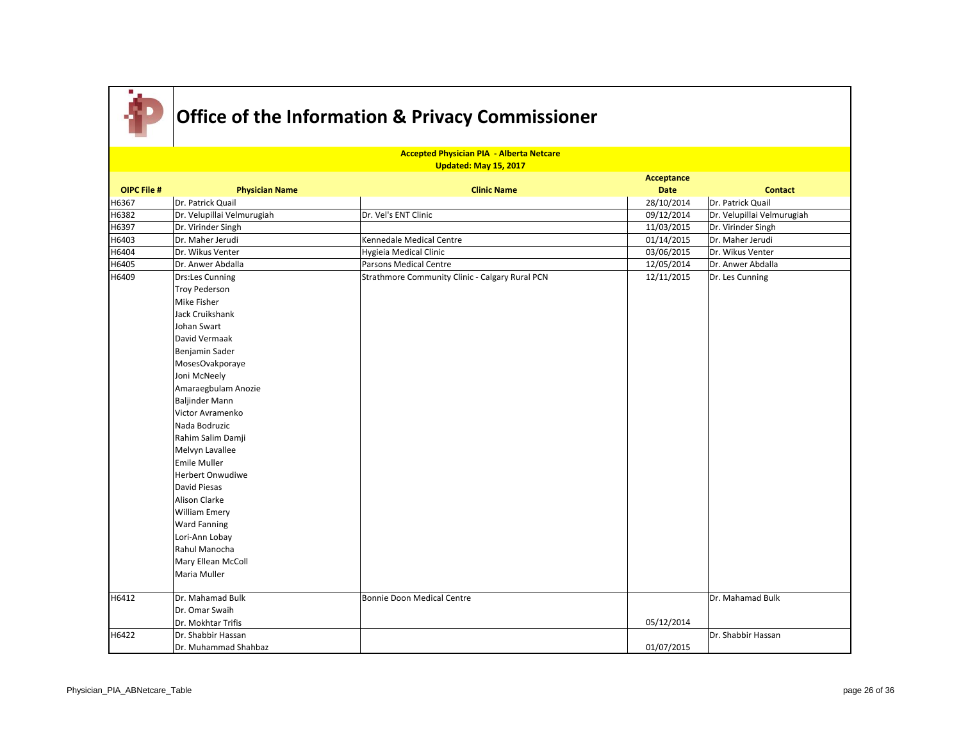

|                    | <b>Accepted Physician PIA - Alberta Netcare</b> |                                                 |             |                            |  |  |
|--------------------|-------------------------------------------------|-------------------------------------------------|-------------|----------------------------|--|--|
|                    |                                                 | Updated: May 15, 2017                           | Acceptance  |                            |  |  |
| <b>OIPC File #</b> | <b>Physician Name</b>                           | <b>Clinic Name</b>                              | <b>Date</b> | <b>Contact</b>             |  |  |
| H6367              | Dr. Patrick Quail                               |                                                 | 28/10/2014  | Dr. Patrick Quail          |  |  |
| H6382              | Dr. Velupillai Velmurugiah                      | Dr. Vel's ENT Clinic                            | 09/12/2014  | Dr. Velupillai Velmurugiah |  |  |
| H6397              | Dr. Virinder Singh                              |                                                 | 11/03/2015  | Dr. Virinder Singh         |  |  |
| H6403              | Dr. Maher Jerudi                                | Kennedale Medical Centre                        | 01/14/2015  | Dr. Maher Jerudi           |  |  |
| H6404              | Dr. Wikus Venter                                | Hygieia Medical Clinic                          | 03/06/2015  | Dr. Wikus Venter           |  |  |
| H6405              | Dr. Anwer Abdalla                               | Parsons Medical Centre                          | 12/05/2014  | Dr. Anwer Abdalla          |  |  |
| H6409              | Drs:Les Cunning                                 | Strathmore Community Clinic - Calgary Rural PCN | 12/11/2015  | Dr. Les Cunning            |  |  |
|                    | Troy Pederson                                   |                                                 |             |                            |  |  |
|                    | Mike Fisher                                     |                                                 |             |                            |  |  |
|                    | Jack Cruikshank                                 |                                                 |             |                            |  |  |
|                    | Johan Swart                                     |                                                 |             |                            |  |  |
|                    | David Vermaak                                   |                                                 |             |                            |  |  |
|                    | Benjamin Sader                                  |                                                 |             |                            |  |  |
|                    | MosesOvakporaye                                 |                                                 |             |                            |  |  |
|                    | Joni McNeely                                    |                                                 |             |                            |  |  |
|                    | Amaraegbulam Anozie                             |                                                 |             |                            |  |  |
|                    | Baljinder Mann                                  |                                                 |             |                            |  |  |
|                    | Victor Avramenko                                |                                                 |             |                            |  |  |
|                    | Nada Bodruzic                                   |                                                 |             |                            |  |  |
|                    | Rahim Salim Damji                               |                                                 |             |                            |  |  |
|                    | Melvyn Lavallee                                 |                                                 |             |                            |  |  |
|                    | <b>Emile Muller</b>                             |                                                 |             |                            |  |  |
|                    | Herbert Onwudiwe                                |                                                 |             |                            |  |  |
|                    | David Piesas                                    |                                                 |             |                            |  |  |
|                    | Alison Clarke                                   |                                                 |             |                            |  |  |
|                    | <b>William Emery</b>                            |                                                 |             |                            |  |  |
|                    | <b>Ward Fanning</b>                             |                                                 |             |                            |  |  |
|                    | Lori-Ann Lobay                                  |                                                 |             |                            |  |  |
|                    | Rahul Manocha                                   |                                                 |             |                            |  |  |
|                    | Mary Ellean McColl                              |                                                 |             |                            |  |  |
|                    | Maria Muller                                    |                                                 |             |                            |  |  |
|                    |                                                 |                                                 |             |                            |  |  |
| H6412              | Dr. Mahamad Bulk                                | Bonnie Doon Medical Centre                      |             | Dr. Mahamad Bulk           |  |  |
|                    | Dr. Omar Swaih                                  |                                                 |             |                            |  |  |
|                    | Dr. Mokhtar Trifis                              |                                                 | 05/12/2014  |                            |  |  |
| H6422              | Dr. Shabbir Hassan                              |                                                 |             | Dr. Shabbir Hassan         |  |  |
|                    | Dr. Muhammad Shahbaz                            |                                                 | 01/07/2015  |                            |  |  |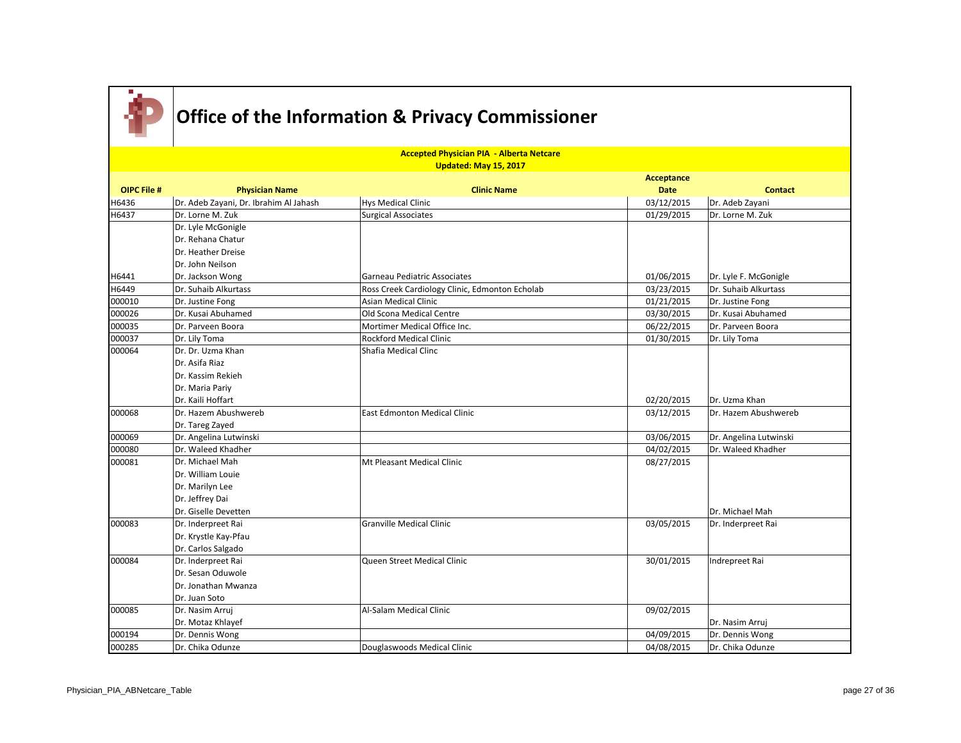

|                    | <b>Accepted Physician PIA - Alberta Netcare</b><br>Updated: May 15, 2017 |                                                |                      |                        |  |
|--------------------|--------------------------------------------------------------------------|------------------------------------------------|----------------------|------------------------|--|
|                    |                                                                          |                                                | Acceptance           |                        |  |
| <b>OIPC File #</b> | <b>Physician Name</b>                                                    | <b>Clinic Name</b>                             | <b>Date</b>          | <b>Contact</b>         |  |
| H6436              | Dr. Adeb Zayani, Dr. Ibrahim Al Jahash                                   | <b>Hys Medical Clinic</b>                      | 03/12/2015           | Dr. Adeb Zayani        |  |
| H6437              | Dr. Lorne M. Zuk                                                         | Surgical Associates                            | 01/29/2015           | Dr. Lorne M. Zuk       |  |
|                    | Dr. Lyle McGonigle                                                       |                                                |                      |                        |  |
|                    | Dr. Rehana Chatur                                                        |                                                |                      |                        |  |
|                    | Dr. Heather Dreise                                                       |                                                |                      |                        |  |
|                    | Dr. John Neilson                                                         |                                                |                      |                        |  |
| H6441              | Dr. Jackson Wong                                                         | Garneau Pediatric Associates                   | 01/06/2015           | Dr. Lyle F. McGonigle  |  |
| H6449              | Dr. Suhaib Alkurtass                                                     | Ross Creek Cardiology Clinic, Edmonton Echolab | 03/23/2015           | Dr. Suhaib Alkurtass   |  |
| 000010             | Dr. Justine Fong                                                         | <b>Asian Medical Clinic</b>                    | 01/21/2015           | Dr. Justine Fong       |  |
| 000026             | Dr. Kusai Abuhamed                                                       | Old Scona Medical Centre                       | 03/30/2015           | Dr. Kusai Abuhamed     |  |
| 000035             | Dr. Parveen Boora                                                        | Mortimer Medical Office Inc.                   | 06/22/2015           | Dr. Parveen Boora      |  |
| 000037             | Dr. Lily Toma                                                            | <b>Rockford Medical Clinic</b>                 | 01/30/2015           | Dr. Lily Toma          |  |
| 000064             | Dr. Dr. Uzma Khan                                                        | Shafia Medical Clinc                           |                      |                        |  |
|                    | Dr. Asifa Riaz                                                           |                                                |                      |                        |  |
|                    | Dr. Kassim Rekieh                                                        |                                                |                      |                        |  |
|                    | Dr. Maria Pariy                                                          |                                                |                      |                        |  |
|                    | Dr. Kaili Hoffart                                                        |                                                | 02/20/2015           | Dr. Uzma Khan          |  |
| 000068             | Dr. Hazem Abushwereb                                                     | East Edmonton Medical Clinic                   | 03/12/2015           | Dr. Hazem Abushwereb   |  |
|                    | Dr. Tareg Zayed                                                          |                                                |                      |                        |  |
| 000069             | Dr. Angelina Lutwinski                                                   |                                                | 03/06/2015           | Dr. Angelina Lutwinski |  |
| 000080             | Dr. Waleed Khadher                                                       |                                                | $\frac{04}{02}/2015$ | Dr. Waleed Khadher     |  |
| 000081             | Dr. Michael Mah                                                          | Mt Pleasant Medical Clinic                     | 08/27/2015           |                        |  |
|                    | Dr. William Louie                                                        |                                                |                      |                        |  |
|                    | Dr. Marilyn Lee                                                          |                                                |                      |                        |  |
|                    | Dr. Jeffrey Dai                                                          |                                                |                      |                        |  |
|                    | Dr. Giselle Devetten                                                     |                                                |                      | Dr. Michael Mah        |  |
| 000083             | Dr. Inderpreet Rai                                                       | <b>Granville Medical Clinic</b>                | 03/05/2015           | Dr. Inderpreet Rai     |  |
|                    | Dr. Krystle Kay-Pfau                                                     |                                                |                      |                        |  |
|                    | Dr. Carlos Salgado                                                       |                                                |                      |                        |  |
| 000084             | Dr. Inderpreet Rai                                                       | Queen Street Medical Clinic                    | 30/01/2015           | Indrepreet Rai         |  |
|                    | Dr. Sesan Oduwole                                                        |                                                |                      |                        |  |
|                    | Dr. Jonathan Mwanza                                                      |                                                |                      |                        |  |
|                    | Dr. Juan Soto                                                            |                                                |                      |                        |  |
| 000085             | Dr. Nasim Arruj                                                          | Al-Salam Medical Clinic                        | 09/02/2015           |                        |  |
|                    | Dr. Motaz Khlayef                                                        |                                                |                      | Dr. Nasim Arruj        |  |
| 000194             | Dr. Dennis Wong                                                          |                                                | 04/09/2015           | Dr. Dennis Wong        |  |
| 000285             | Dr. Chika Odunze                                                         | Douglaswoods Medical Clinic                    | 04/08/2015           | Dr. Chika Odunze       |  |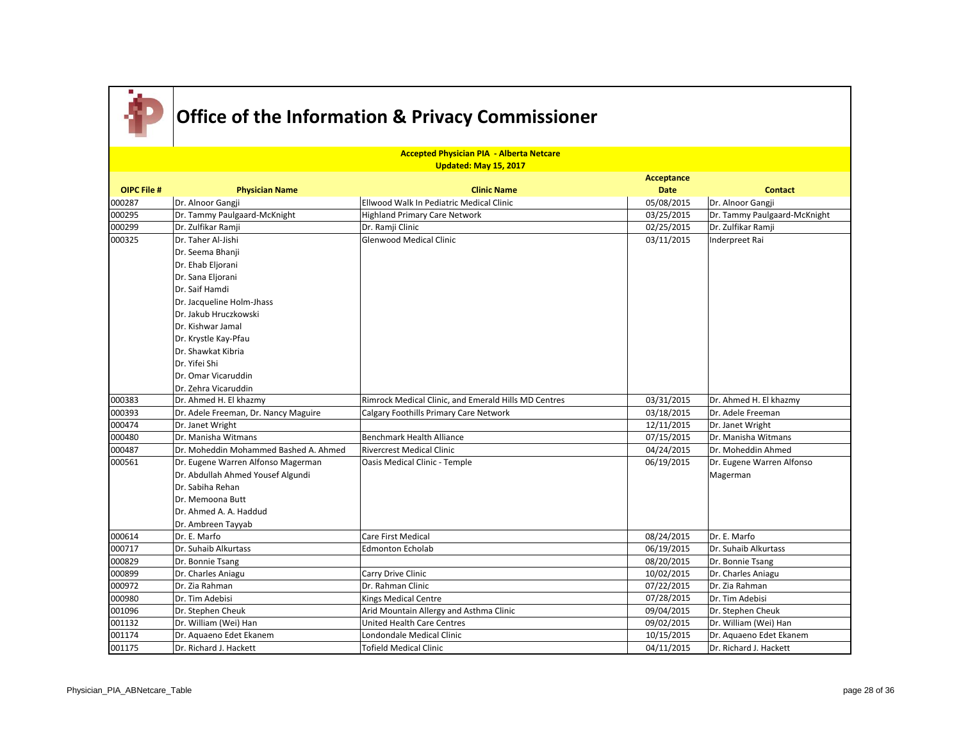

|                    | <b>Accepted Physician PIA - Alberta Netcare</b><br>Updated: May 15, 2017 |                                                      |             |                              |  |  |
|--------------------|--------------------------------------------------------------------------|------------------------------------------------------|-------------|------------------------------|--|--|
|                    |                                                                          |                                                      | Acceptance  |                              |  |  |
| <b>OIPC File #</b> | <b>Physician Name</b>                                                    | <b>Clinic Name</b>                                   | <b>Date</b> | <b>Contact</b>               |  |  |
| 000287             | Dr. Alnoor Gangji                                                        | Ellwood Walk In Pediatric Medical Clinic             | 05/08/2015  | Dr. Alnoor Gangji            |  |  |
| 000295             | Dr. Tammy Paulgaard-McKnight                                             | <b>Highland Primary Care Network</b>                 | 03/25/2015  | Dr. Tammy Paulgaard-McKnight |  |  |
| 000299             | Dr. Zulfikar Ramji                                                       | Dr. Ramji Clinic                                     | 02/25/2015  | Dr. Zulfikar Ramji           |  |  |
| 000325             | Dr. Taher Al-Jishi                                                       | <b>Glenwood Medical Clinic</b>                       | 03/11/2015  | Inderpreet Rai               |  |  |
|                    | Dr. Seema Bhanji                                                         |                                                      |             |                              |  |  |
|                    | Dr. Ehab Eljorani                                                        |                                                      |             |                              |  |  |
|                    | Dr. Sana Eljorani                                                        |                                                      |             |                              |  |  |
|                    | Dr. Saif Hamdi                                                           |                                                      |             |                              |  |  |
|                    | Dr. Jacqueline Holm-Jhass                                                |                                                      |             |                              |  |  |
|                    | Dr. Jakub Hruczkowski                                                    |                                                      |             |                              |  |  |
|                    | Dr. Kishwar Jamal                                                        |                                                      |             |                              |  |  |
|                    | Dr. Krystle Kay-Pfau                                                     |                                                      |             |                              |  |  |
|                    | Dr. Shawkat Kibria                                                       |                                                      |             |                              |  |  |
|                    | Dr. Yifei Shi                                                            |                                                      |             |                              |  |  |
|                    | Dr. Omar Vicaruddin                                                      |                                                      |             |                              |  |  |
|                    | Dr. Zehra Vicaruddin                                                     |                                                      |             |                              |  |  |
| 000383             | Dr. Ahmed H. El khazmy                                                   | Rimrock Medical Clinic, and Emerald Hills MD Centres | 03/31/2015  | Dr. Ahmed H. El khazmy       |  |  |
| 000393             | Dr. Adele Freeman, Dr. Nancy Maguire                                     | Calgary Foothills Primary Care Network               | 03/18/2015  | Dr. Adele Freeman            |  |  |
| 000474             | Dr. Janet Wright                                                         |                                                      | 12/11/2015  | Dr. Janet Wright             |  |  |
| 000480             | Dr. Manisha Witmans                                                      | <b>Benchmark Health Alliance</b>                     | 07/15/2015  | Dr. Manisha Witmans          |  |  |
| 000487             | Dr. Moheddin Mohammed Bashed A. Ahmed                                    | Rivercrest Medical Clinic                            | 04/24/2015  | Dr. Moheddin Ahmed           |  |  |
| 000561             | Dr. Eugene Warren Alfonso Magerman                                       | Oasis Medical Clinic - Temple                        | 06/19/2015  | Dr. Eugene Warren Alfonso    |  |  |
|                    | Dr. Abdullah Ahmed Yousef Algundi                                        |                                                      |             | Magerman                     |  |  |
|                    | Dr. Sabiha Rehan                                                         |                                                      |             |                              |  |  |
|                    | Dr. Memoona Butt                                                         |                                                      |             |                              |  |  |
|                    | Dr. Ahmed A. A. Haddud                                                   |                                                      |             |                              |  |  |
|                    | Dr. Ambreen Tayyab                                                       |                                                      |             |                              |  |  |
| 000614             | Dr. E. Marfo                                                             | Care First Medical                                   | 08/24/2015  | Dr. E. Marfo                 |  |  |
| 000717             | Dr. Suhaib Alkurtass                                                     | <b>Edmonton Echolab</b>                              | 06/19/2015  | Dr. Suhaib Alkurtass         |  |  |
| 000829             | Dr. Bonnie Tsang                                                         |                                                      | 08/20/2015  | Dr. Bonnie Tsang             |  |  |
| 000899             | Dr. Charles Aniagu                                                       | Carry Drive Clinic                                   | 10/02/2015  | Dr. Charles Aniagu           |  |  |
| 000972             | Dr. Zia Rahman                                                           | Dr. Rahman Clinic                                    | 07/22/2015  | Dr. Zia Rahman               |  |  |
| 000980             | Dr. Tim Adebisi                                                          | <b>Kings Medical Centre</b>                          | 07/28/2015  | Dr. Tim Adebisi              |  |  |
| 001096             | Dr. Stephen Cheuk                                                        | Arid Mountain Allergy and Asthma Clinic              | 09/04/2015  | Dr. Stephen Cheuk            |  |  |
| 001132             | Dr. William (Wei) Han                                                    | United Health Care Centres                           | 09/02/2015  | Dr. William (Wei) Han        |  |  |
| 001174             | Dr. Aquaeno Edet Ekanem                                                  | Londondale Medical Clinic                            | 10/15/2015  | Dr. Aquaeno Edet Ekanem      |  |  |
| 001175             | Dr. Richard J. Hackett                                                   | <b>Tofield Medical Clinic</b>                        | 04/11/2015  | Dr. Richard J. Hackett       |  |  |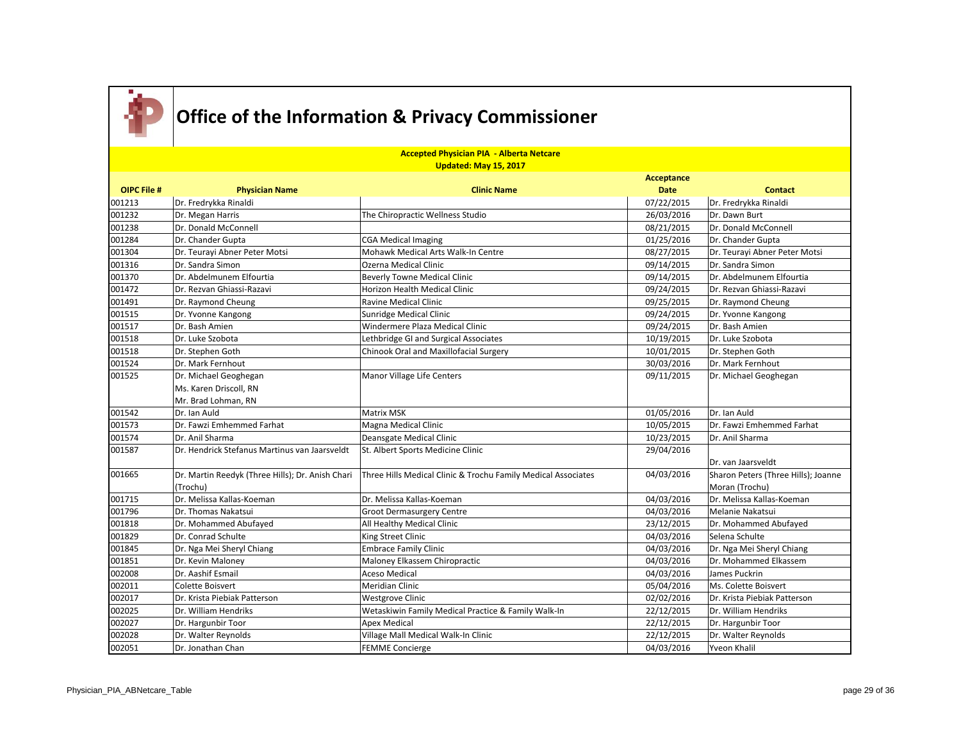

|                    | <b>Accepted Physician PIA - Alberta Netcare</b>  |                                                               |             |                                     |  |
|--------------------|--------------------------------------------------|---------------------------------------------------------------|-------------|-------------------------------------|--|
|                    |                                                  | Updated: May 15, 2017                                         |             |                                     |  |
|                    |                                                  |                                                               | Acceptance  |                                     |  |
| <b>OIPC File #</b> | <b>Physician Name</b>                            | <b>Clinic Name</b>                                            | <b>Date</b> | <b>Contact</b>                      |  |
| 001213             | Dr. Fredrykka Rinaldi                            |                                                               | 07/22/2015  | Dr. Fredrykka Rinaldi               |  |
| 001232             | Dr. Megan Harris                                 | The Chiropractic Wellness Studio                              | 26/03/2016  | Dr. Dawn Burt                       |  |
| 001238             | Dr. Donald McConnell                             |                                                               | 08/21/2015  | Dr. Donald McConnell                |  |
| 001284             | Dr. Chander Gupta                                | <b>CGA Medical Imaging</b>                                    | 01/25/2016  | Dr. Chander Gupta                   |  |
| 001304             | Dr. Teurayi Abner Peter Motsi                    | Mohawk Medical Arts Walk-In Centre                            | 08/27/2015  | Dr. Teurayi Abner Peter Motsi       |  |
| 001316             | Dr. Sandra Simon                                 | Ozerna Medical Clinic                                         | 09/14/2015  | Dr. Sandra Simon                    |  |
| 001370             | Dr. Abdelmunem Elfourtia                         | <b>Beverly Towne Medical Clinic</b>                           | 09/14/2015  | Dr. Abdelmunem Elfourtia            |  |
| 001472             | Dr. Rezvan Ghiassi-Razavi                        | Horizon Health Medical Clinic                                 | 09/24/2015  | Dr. Rezvan Ghiassi-Razavi           |  |
| 001491             | Dr. Raymond Cheung                               | <b>Ravine Medical Clinic</b>                                  | 09/25/2015  | Dr. Raymond Cheung                  |  |
| 001515             | Dr. Yvonne Kangong                               | Sunridge Medical Clinic                                       | 09/24/2015  | Dr. Yvonne Kangong                  |  |
| 001517             | Dr. Bash Amien                                   | Windermere Plaza Medical Clinic                               | 09/24/2015  | Dr. Bash Amien                      |  |
| 001518             | lDr. Luke Szobota                                | Lethbridge GI and Surgical Associates                         | 10/19/2015  | Dr. Luke Szobota                    |  |
| 001518             | Dr. Stephen Goth                                 | Chinook Oral and Maxillofacial Surgery                        | 10/01/2015  | Dr. Stephen Goth                    |  |
| 001524             | IDr. Mark Fernhout                               |                                                               | 30/03/2016  | Dr. Mark Fernhout                   |  |
| 001525             | Dr. Michael Geoghegan                            | Manor Village Life Centers                                    | 09/11/2015  | Dr. Michael Geoghegan               |  |
|                    | Ms. Karen Driscoll, RN                           |                                                               |             |                                     |  |
|                    | Mr. Brad Lohman, RN                              |                                                               |             |                                     |  |
| 001542             | Dr. Ian Auld                                     | Matrix MSK                                                    | 01/05/2016  | Dr. Ian Auld                        |  |
| 001573             | Dr. Fawzi Emhemmed Farhat                        | Magna Medical Clinic                                          | 10/05/2015  | Dr. Fawzi Emhemmed Farhat           |  |
| 001574             | Dr. Anil Sharma                                  | Deansgate Medical Clinic                                      | 10/23/2015  | Dr. Anil Sharma                     |  |
| 001587             | Dr. Hendrick Stefanus Martinus van Jaarsveldt    | St. Albert Sports Medicine Clinic                             | 29/04/2016  |                                     |  |
|                    |                                                  |                                                               |             | Dr. van Jaarsveldt                  |  |
| 001665             | Dr. Martin Reedyk (Three Hills); Dr. Anish Chari | Three Hills Medical Clinic & Trochu Family Medical Associates | 04/03/2016  | Sharon Peters (Three Hills); Joanne |  |
|                    | (Trochu)                                         |                                                               |             | Moran (Trochu)                      |  |
| 001715             | Dr. Melissa Kallas-Koeman                        | Dr. Melissa Kallas-Koeman                                     | 04/03/2016  | Dr. Melissa Kallas-Koeman           |  |
| 001796             | Dr. Thomas Nakatsui                              | <b>Groot Dermasurgery Centre</b>                              | 04/03/2016  | Melanie Nakatsui                    |  |
| 001818             | Dr. Mohammed Abufayed                            | All Healthy Medical Clinic                                    | 23/12/2015  | Dr. Mohammed Abufayed               |  |
| 001829             | Dr. Conrad Schulte                               | King Street Clinic                                            | 04/03/2016  | Selena Schulte                      |  |
| 001845             | Dr. Nga Mei Sheryl Chiang                        | <b>Embrace Family Clinic</b>                                  | 04/03/2016  | Dr. Nga Mei Sheryl Chiang           |  |
| 001851             | Dr. Kevin Maloney                                | Maloney Elkassem Chiropractic                                 | 04/03/2016  | Dr. Mohammed Elkassem               |  |
| 002008             | Dr. Aashif Esmail                                | <b>Aceso Medical</b>                                          | 04/03/2016  | James Puckrin                       |  |
| 002011             | Colette Boisvert                                 | Meridian Clinic                                               | 05/04/2016  | Ms. Colette Boisvert                |  |
| 002017             | Dr. Krista Piebiak Patterson                     | <b>Westgrove Clinic</b>                                       | 02/02/2016  | Dr. Krista Piebiak Patterson        |  |
| 002025             | Dr. William Hendriks                             | Wetaskiwin Family Medical Practice & Family Walk-In           | 22/12/2015  | Dr. William Hendriks                |  |
| 002027             | Dr. Hargunbir Toor                               | <b>Apex Medical</b>                                           | 22/12/2015  | Dr. Hargunbir Toor                  |  |
| 002028             | Dr. Walter Reynolds                              | Village Mall Medical Walk-In Clinic                           | 22/12/2015  | Dr. Walter Reynolds                 |  |
| 002051             | Dr. Jonathan Chan                                | <b>FEMME Concierge</b>                                        | 04/03/2016  | Yveon Khalil                        |  |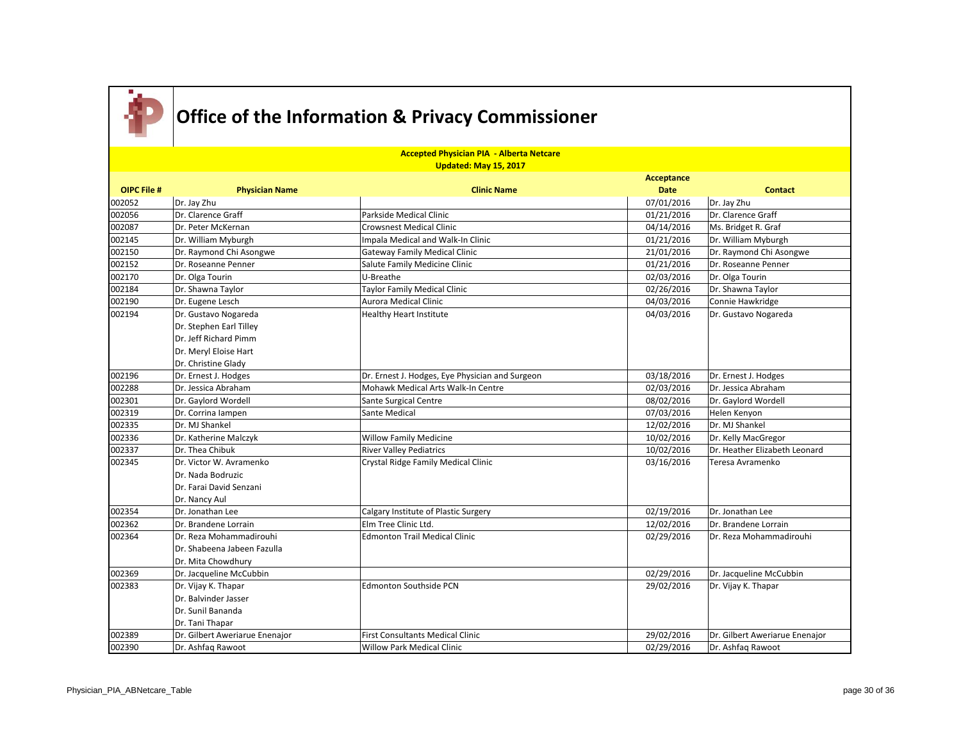

|                    | <b>Accepted Physician PIA - Alberta Netcare</b><br>Updated: May 15, 2017 |                                                 |             |                                |  |  |
|--------------------|--------------------------------------------------------------------------|-------------------------------------------------|-------------|--------------------------------|--|--|
|                    |                                                                          |                                                 | Acceptance  |                                |  |  |
| <b>OIPC File #</b> | <b>Physician Name</b>                                                    | <b>Clinic Name</b>                              | <b>Date</b> | <b>Contact</b>                 |  |  |
| 002052             | Dr. Jay Zhu                                                              |                                                 | 07/01/2016  | Dr. Jay Zhu                    |  |  |
| 002056             | Dr. Clarence Graff                                                       | Parkside Medical Clinic                         | 01/21/2016  | Dr. Clarence Graff             |  |  |
| 002087             | Dr. Peter McKernan                                                       | <b>Crowsnest Medical Clinic</b>                 | 04/14/2016  | Ms. Bridget R. Graf            |  |  |
| 002145             | Dr. William Myburgh                                                      | Impala Medical and Walk-In Clinic               | 01/21/2016  | Dr. William Myburgh            |  |  |
| 002150             | Dr. Raymond Chi Asongwe                                                  | <b>Gateway Family Medical Clinic</b>            | 21/01/2016  | Dr. Raymond Chi Asongwe        |  |  |
| 002152             | Dr. Roseanne Penner                                                      | Salute Family Medicine Clinic                   | 01/21/2016  | Dr. Roseanne Penner            |  |  |
| 002170             | Dr. Olga Tourin                                                          | U-Breathe                                       | 02/03/2016  | Dr. Olga Tourin                |  |  |
| 002184             | Dr. Shawna Taylor                                                        | Taylor Family Medical Clinic                    | 02/26/2016  | Dr. Shawna Taylor              |  |  |
| 002190             | Dr. Eugene Lesch                                                         | Aurora Medical Clinic                           | 04/03/2016  | Connie Hawkridge               |  |  |
| 002194             | Dr. Gustavo Nogareda                                                     | <b>Healthy Heart Institute</b>                  | 04/03/2016  | Dr. Gustavo Nogareda           |  |  |
|                    | Dr. Stephen Earl Tilley                                                  |                                                 |             |                                |  |  |
|                    | Dr. Jeff Richard Pimm                                                    |                                                 |             |                                |  |  |
|                    | Dr. Meryl Eloise Hart                                                    |                                                 |             |                                |  |  |
|                    | Dr. Christine Glady                                                      |                                                 |             |                                |  |  |
| 002196             | Dr. Ernest J. Hodges                                                     | Dr. Ernest J. Hodges, Eye Physician and Surgeon | 03/18/2016  | Dr. Ernest J. Hodges           |  |  |
| 002288             | Dr. Jessica Abraham                                                      | Mohawk Medical Arts Walk-In Centre              | 02/03/2016  | Dr. Jessica Abraham            |  |  |
| 002301             | Dr. Gaylord Wordell                                                      | Sante Surgical Centre                           | 08/02/2016  | Dr. Gaylord Wordell            |  |  |
| 002319             | Dr. Corrina lampen                                                       | Sante Medical                                   | 07/03/2016  | Helen Kenyon                   |  |  |
| 002335             | Dr. MJ Shankel                                                           |                                                 | 12/02/2016  | Dr. MJ Shankel                 |  |  |
| 002336             | Dr. Katherine Malczyk                                                    | <b>Willow Family Medicine</b>                   | 10/02/2016  | Dr. Kelly MacGregor            |  |  |
| 002337             | Dr. Thea Chibuk                                                          | <b>River Valley Pediatrics</b>                  | 10/02/2016  | Dr. Heather Elizabeth Leonard  |  |  |
| 002345             | Dr. Victor W. Avramenko                                                  | Crystal Ridge Family Medical Clinic             | 03/16/2016  | Teresa Avramenko               |  |  |
|                    | Dr. Nada Bodruzic                                                        |                                                 |             |                                |  |  |
|                    | Dr. Farai David Senzani                                                  |                                                 |             |                                |  |  |
|                    | Dr. Nancy Aul                                                            |                                                 |             |                                |  |  |
| 002354             | Dr. Jonathan Lee                                                         | Calgary Institute of Plastic Surgery            | 02/19/2016  | Dr. Jonathan Lee               |  |  |
| 002362             | Dr. Brandene Lorrain                                                     | Elm Tree Clinic Ltd.                            | 12/02/2016  | Dr. Brandene Lorrain           |  |  |
| 002364             | Dr. Reza Mohammadirouhi                                                  | <b>Edmonton Trail Medical Clinic</b>            | 02/29/2016  | Dr. Reza Mohammadirouhi        |  |  |
|                    | Dr. Shabeena Jabeen Fazulla                                              |                                                 |             |                                |  |  |
|                    | Dr. Mita Chowdhury                                                       |                                                 |             |                                |  |  |
| 002369             | Dr. Jacqueline McCubbin                                                  |                                                 | 02/29/2016  | Dr. Jacqueline McCubbin        |  |  |
| 002383             | Dr. Vijay K. Thapar                                                      | <b>Edmonton Southside PCN</b>                   | 29/02/2016  | Dr. Vijay K. Thapar            |  |  |
|                    | Dr. Balvinder Jasser                                                     |                                                 |             |                                |  |  |
|                    | Dr. Sunil Bananda                                                        |                                                 |             |                                |  |  |
|                    | Dr. Tani Thapar                                                          |                                                 |             |                                |  |  |
| 002389             | Dr. Gilbert Aweriarue Enenajor                                           | First Consultants Medical Clinic                | 29/02/2016  | Dr. Gilbert Aweriarue Enenajor |  |  |
| 002390             | Dr. Ashfaq Rawoot                                                        | <b>Willow Park Medical Clinic</b>               | 02/29/2016  | Dr. Ashfaq Rawoot              |  |  |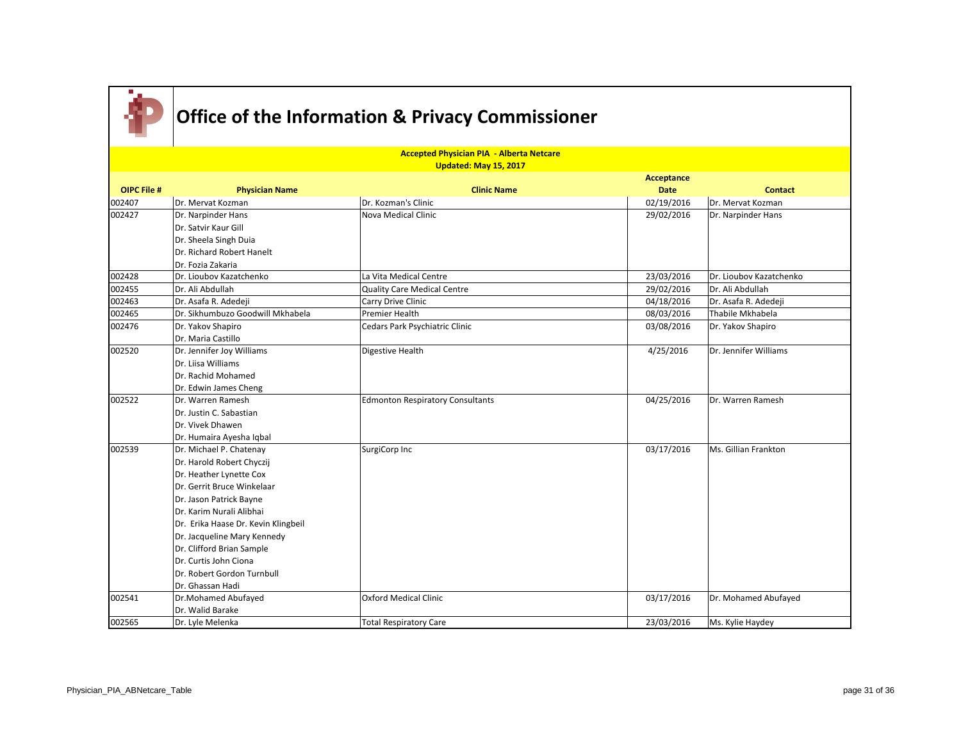

|                    | <b>Accepted Physician PIA - Alberta Netcare</b> |                                         |                   |                         |  |
|--------------------|-------------------------------------------------|-----------------------------------------|-------------------|-------------------------|--|
|                    |                                                 | Updated: May 15, 2017                   |                   |                         |  |
|                    |                                                 |                                         | <b>Acceptance</b> |                         |  |
| <b>OIPC File #</b> | <b>Physician Name</b>                           | <b>Clinic Name</b>                      | <b>Date</b>       | <b>Contact</b>          |  |
| 002407             | Dr. Mervat Kozman                               | Dr. Kozman's Clinic                     | 02/19/2016        | Dr. Mervat Kozman       |  |
| 002427             | Dr. Narpinder Hans                              | Nova Medical Clinic                     | 29/02/2016        | Dr. Narpinder Hans      |  |
|                    | Dr. Satvir Kaur Gill                            |                                         |                   |                         |  |
|                    | Dr. Sheela Singh Duia                           |                                         |                   |                         |  |
|                    | Dr. Richard Robert Hanelt                       |                                         |                   |                         |  |
|                    | Dr. Fozia Zakaria                               |                                         |                   |                         |  |
| 002428             | Dr. Lioubov Kazatchenko                         | La Vita Medical Centre                  | 23/03/2016        | Dr. Lioubov Kazatchenko |  |
| 002455             | Dr. Ali Abdullah                                | Quality Care Medical Centre             | 29/02/2016        | Dr. Ali Abdullah        |  |
| 002463             | Dr. Asafa R. Adedeji                            | Carry Drive Clinic                      | 04/18/2016        | Dr. Asafa R. Adedeji    |  |
| 002465             | Dr. Sikhumbuzo Goodwill Mkhabela                | Premier Health                          | 08/03/2016        | Thabile Mkhabela        |  |
| 002476             | Dr. Yakov Shapiro                               | Cedars Park Psychiatric Clinic          | 03/08/2016        | Dr. Yakov Shapiro       |  |
|                    | Dr. Maria Castillo                              |                                         |                   |                         |  |
| 002520             | Dr. Jennifer Joy Williams                       | Digestive Health                        | 4/25/2016         | Dr. Jennifer Williams   |  |
|                    | Dr. Liisa Williams                              |                                         |                   |                         |  |
|                    | Dr. Rachid Mohamed                              |                                         |                   |                         |  |
|                    | Dr. Edwin James Cheng                           |                                         |                   |                         |  |
| 002522             | Dr. Warren Ramesh                               | <b>Edmonton Respiratory Consultants</b> | 04/25/2016        | Dr. Warren Ramesh       |  |
|                    | Dr. Justin C. Sabastian                         |                                         |                   |                         |  |
|                    | Dr. Vivek Dhawen                                |                                         |                   |                         |  |
|                    | Dr. Humaira Ayesha Iqbal                        |                                         |                   |                         |  |
| 002539             | Dr. Michael P. Chatenay                         | SurgiCorp Inc                           | 03/17/2016        | Ms. Gillian Frankton    |  |
|                    | Dr. Harold Robert Chyczij                       |                                         |                   |                         |  |
|                    | Dr. Heather Lynette Cox                         |                                         |                   |                         |  |
|                    | Dr. Gerrit Bruce Winkelaar                      |                                         |                   |                         |  |
|                    | Dr. Jason Patrick Bayne                         |                                         |                   |                         |  |
|                    | Dr. Karim Nurali Alibhai                        |                                         |                   |                         |  |
|                    | Dr. Erika Haase Dr. Kevin Klingbeil             |                                         |                   |                         |  |
|                    | Dr. Jacqueline Mary Kennedy                     |                                         |                   |                         |  |
|                    | Dr. Clifford Brian Sample                       |                                         |                   |                         |  |
|                    | Dr. Curtis John Ciona                           |                                         |                   |                         |  |
|                    | Dr. Robert Gordon Turnbull                      |                                         |                   |                         |  |
|                    | Dr. Ghassan Hadi                                |                                         |                   |                         |  |
| 002541             | Dr.Mohamed Abufayed                             | <b>Oxford Medical Clinic</b>            | 03/17/2016        | Dr. Mohamed Abufayed    |  |
|                    | Dr. Walid Barake                                |                                         |                   |                         |  |
| 002565             | Dr. Lyle Melenka                                | <b>Total Respiratory Care</b>           | 23/03/2016        | Ms. Kylie Haydey        |  |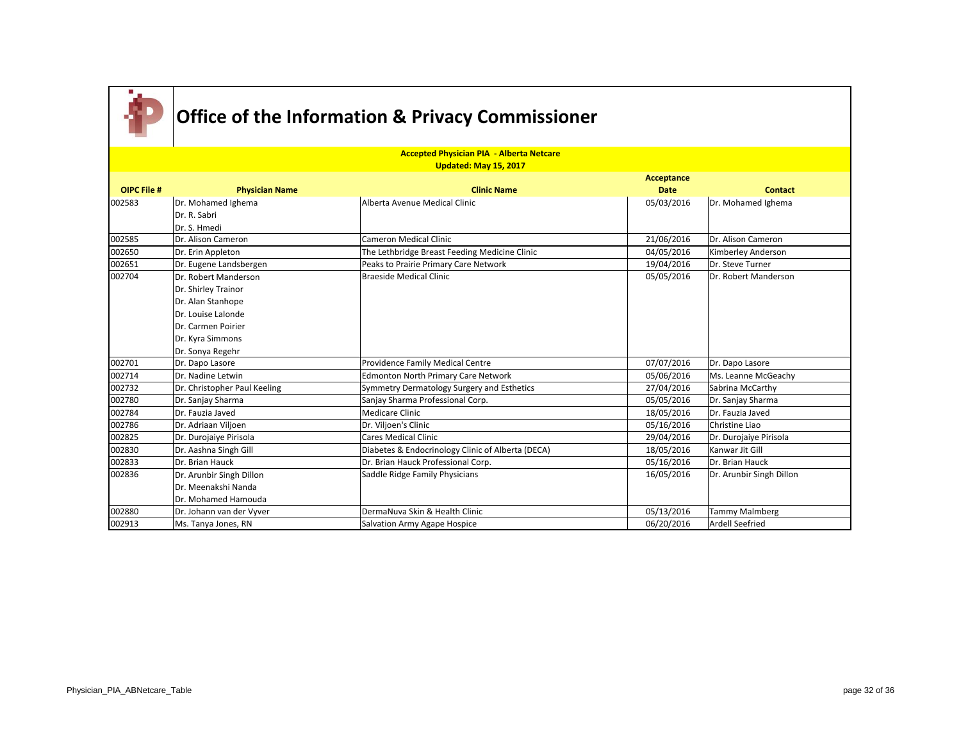

|                    |                              | <b>Accepted Physician PIA - Alberta Netcare</b>   |                   |                          |
|--------------------|------------------------------|---------------------------------------------------|-------------------|--------------------------|
|                    |                              | Updated: May 15, 2017                             |                   |                          |
|                    |                              |                                                   | <b>Acceptance</b> |                          |
| <b>OIPC File #</b> | <b>Physician Name</b>        | <b>Clinic Name</b>                                | <b>Date</b>       | <b>Contact</b>           |
| 002583             | Dr. Mohamed Ighema           | Alberta Avenue Medical Clinic                     | 05/03/2016        | Dr. Mohamed Ighema       |
|                    | Dr. R. Sabri                 |                                                   |                   |                          |
|                    | Dr. S. Hmedi                 |                                                   |                   |                          |
| 002585             | Dr. Alison Cameron           | Cameron Medical Clinic                            | 21/06/2016        | Dr. Alison Cameron       |
| 002650             | Dr. Erin Appleton            | The Lethbridge Breast Feeding Medicine Clinic     | 04/05/2016        | Kimberley Anderson       |
| 002651             | Dr. Eugene Landsbergen       | Peaks to Prairie Primary Care Network             | 19/04/2016        | Dr. Steve Turner         |
| 002704             | Dr. Robert Manderson         | <b>Braeside Medical Clinic</b>                    | 05/05/2016        | Dr. Robert Manderson     |
|                    | Dr. Shirley Trainor          |                                                   |                   |                          |
|                    | Dr. Alan Stanhope            |                                                   |                   |                          |
|                    | Dr. Louise Lalonde           |                                                   |                   |                          |
|                    | Dr. Carmen Poirier           |                                                   |                   |                          |
|                    | Dr. Kyra Simmons             |                                                   |                   |                          |
|                    | Dr. Sonya Regehr             |                                                   |                   |                          |
| 002701             | Dr. Dapo Lasore              | Providence Family Medical Centre                  | 07/07/2016        | Dr. Dapo Lasore          |
| 002714             | Dr. Nadine Letwin            | <b>Edmonton North Primary Care Network</b>        | 05/06/2016        | Ms. Leanne McGeachy      |
| 002732             | Dr. Christopher Paul Keeling | Symmetry Dermatology Surgery and Esthetics        | 27/04/2016        | Sabrina McCarthy         |
| 002780             | Dr. Sanjay Sharma            | Sanjay Sharma Professional Corp.                  | 05/05/2016        | Dr. Sanjay Sharma        |
| 002784             | Dr. Fauzia Javed             | <b>Medicare Clinic</b>                            | 18/05/2016        | Dr. Fauzia Javed         |
| 002786             | Dr. Adriaan Viljoen          | Dr. Viljoen's Clinic                              | 05/16/2016        | Christine Liao           |
| 002825             | Dr. Durojaive Pirisola       | <b>Cares Medical Clinic</b>                       | 29/04/2016        | Dr. Durojaiye Pirisola   |
| 002830             | Dr. Aashna Singh Gill        | Diabetes & Endocrinology Clinic of Alberta (DECA) | 18/05/2016        | Kanwar Jit Gill          |
| 002833             | Dr. Brian Hauck              | Dr. Brian Hauck Professional Corp.                | 05/16/2016        | Dr. Brian Hauck          |
| 002836             | Dr. Arunbir Singh Dillon     | Saddle Ridge Family Physicians                    | 16/05/2016        | Dr. Arunbir Singh Dillon |
|                    | Dr. Meenakshi Nanda          |                                                   |                   |                          |
|                    | Dr. Mohamed Hamouda          |                                                   |                   |                          |
| 002880             | Dr. Johann van der Vyver     | DermaNuva Skin & Health Clinic                    | 05/13/2016        | <b>Tammy Malmberg</b>    |
| 002913             | Ms. Tanya Jones, RN          | Salvation Army Agape Hospice                      | 06/20/2016        | <b>Ardell Seefried</b>   |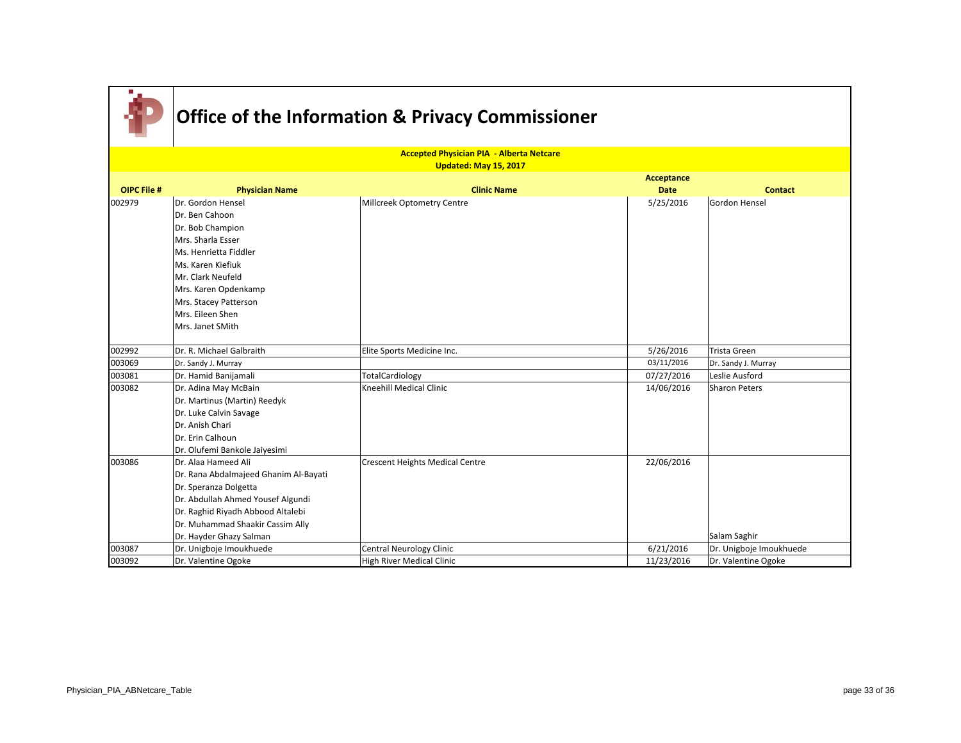|                    |                                       | <b>Accepted Physician PIA - Alberta Netcare</b> |             |                         |
|--------------------|---------------------------------------|-------------------------------------------------|-------------|-------------------------|
|                    |                                       | <b>Updated: May 15, 2017</b>                    |             |                         |
|                    |                                       |                                                 | Acceptance  |                         |
| <b>OIPC File #</b> | <b>Physician Name</b>                 | <b>Clinic Name</b>                              | <b>Date</b> | <b>Contact</b>          |
| 002979             | Dr. Gordon Hensel                     | Millcreek Optometry Centre                      | 5/25/2016   | <b>Gordon Hensel</b>    |
|                    | Dr. Ben Cahoon                        |                                                 |             |                         |
|                    | Dr. Bob Champion                      |                                                 |             |                         |
|                    | Mrs. Sharla Esser                     |                                                 |             |                         |
|                    | Ms. Henrietta Fiddler                 |                                                 |             |                         |
|                    | Ms. Karen Kiefiuk                     |                                                 |             |                         |
|                    | Mr. Clark Neufeld                     |                                                 |             |                         |
|                    | Mrs. Karen Opdenkamp                  |                                                 |             |                         |
|                    | Mrs. Stacey Patterson                 |                                                 |             |                         |
|                    | Mrs. Eileen Shen                      |                                                 |             |                         |
|                    | Mrs. Janet SMith                      |                                                 |             |                         |
| 002992             | Dr. R. Michael Galbraith              | Elite Sports Medicine Inc.                      | 5/26/2016   | <b>Trista Green</b>     |
| 003069             | Dr. Sandy J. Murray                   |                                                 | 03/11/2016  | Dr. Sandy J. Murray     |
| 003081             | Dr. Hamid Banijamali                  | TotalCardiology                                 | 07/27/2016  | Leslie Ausford          |
| 003082             | Dr. Adina May McBain                  | Kneehill Medical Clinic                         | 14/06/2016  | Sharon Peters           |
|                    | Dr. Martinus (Martin) Reedyk          |                                                 |             |                         |
|                    | Dr. Luke Calvin Savage                |                                                 |             |                         |
|                    | Dr. Anish Chari                       |                                                 |             |                         |
|                    | Dr. Erin Calhoun                      |                                                 |             |                         |
|                    | Dr. Olufemi Bankole Jaiyesimi         |                                                 |             |                         |
| 003086             | Dr. Alaa Hameed Ali                   | <b>Crescent Heights Medical Centre</b>          | 22/06/2016  |                         |
|                    | Dr. Rana Abdalmajeed Ghanim Al-Bayati |                                                 |             |                         |
|                    | Dr. Speranza Dolgetta                 |                                                 |             |                         |
|                    | Dr. Abdullah Ahmed Yousef Algundi     |                                                 |             |                         |
|                    | Dr. Raghid Riyadh Abbood Altalebi     |                                                 |             |                         |
|                    | Dr. Muhammad Shaakir Cassim Ally      |                                                 |             |                         |
|                    | Dr. Hayder Ghazy Salman               |                                                 |             | Salam Saghir            |
| 003087             | Dr. Unigboje Imoukhuede               | <b>Central Neurology Clinic</b>                 | 6/21/2016   | Dr. Unigboje Imoukhuede |
| 003092             | Dr. Valentine Ogoke                   | <b>High River Medical Clinic</b>                | 11/23/2016  | Dr. Valentine Ogoke     |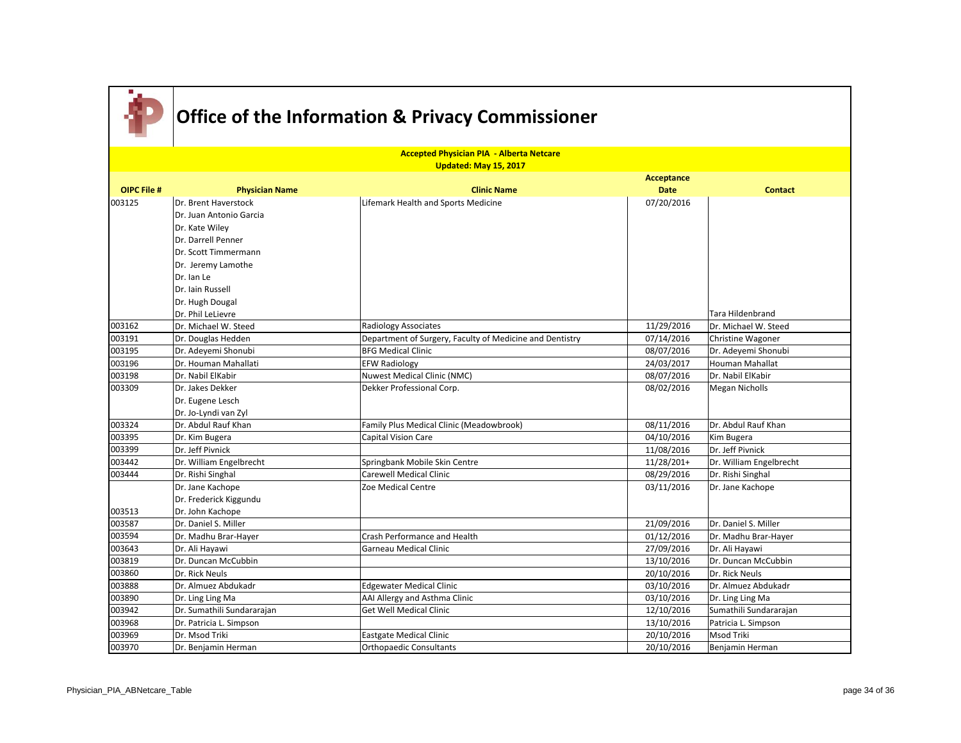|                    |                            | <b>Accepted Physician PIA - Alberta Netcare</b>          |              |                         |
|--------------------|----------------------------|----------------------------------------------------------|--------------|-------------------------|
|                    |                            | <b>Updated: May 15, 2017</b>                             |              |                         |
|                    |                            |                                                          | Acceptance   |                         |
| <b>OIPC File #</b> | <b>Physician Name</b>      | <b>Clinic Name</b>                                       | <b>Date</b>  | <b>Contact</b>          |
| 003125             | Dr. Brent Haverstock       | Lifemark Health and Sports Medicine                      | 07/20/2016   |                         |
|                    | IDr. Juan Antonio Garcia   |                                                          |              |                         |
|                    | Dr. Kate Wiley             |                                                          |              |                         |
|                    | Dr. Darrell Penner         |                                                          |              |                         |
|                    | Dr. Scott Timmermann       |                                                          |              |                         |
|                    | Dr. Jeremy Lamothe         |                                                          |              |                         |
|                    | Dr. Ian Le                 |                                                          |              |                         |
|                    | Dr. Iain Russell           |                                                          |              |                         |
|                    | Dr. Hugh Dougal            |                                                          |              |                         |
|                    | Dr. Phil LeLievre          |                                                          |              | Tara Hildenbrand        |
| 003162             | Dr. Michael W. Steed       | <b>Radiology Associates</b>                              | 11/29/2016   | Dr. Michael W. Steed    |
| 003191             | Dr. Douglas Hedden         | Department of Surgery, Faculty of Medicine and Dentistry | 07/14/2016   | Christine Wagoner       |
| 003195             | Dr. Adeyemi Shonubi        | <b>BFG Medical Clinic</b>                                | 08/07/2016   | Dr. Adeyemi Shonubi     |
| 003196             | Dr. Houman Mahallati       | <b>EFW Radiology</b>                                     | 24/03/2017   | <b>Houman Mahallat</b>  |
| 003198             | Dr. Nabil ElKabir          | Nuwest Medical Clinic (NMC)                              | 08/07/2016   | Dr. Nabil ElKabir       |
| 003309             | Dr. Jakes Dekker           | Dekker Professional Corp.                                | 08/02/2016   | <b>Megan Nicholls</b>   |
|                    | Dr. Eugene Lesch           |                                                          |              |                         |
|                    | Dr. Jo-Lyndi van Zyl       |                                                          |              |                         |
| 003324             | Dr. Abdul Rauf Khan        | Family Plus Medical Clinic (Meadowbrook)                 | 08/11/2016   | Dr. Abdul Rauf Khan     |
| 003395             | Dr. Kim Bugera             | Capital Vision Care                                      | 04/10/2016   | Kim Bugera              |
| 003399             | Dr. Jeff Pivnick           |                                                          | 11/08/2016   | Dr. Jeff Pivnick        |
| 003442             | Dr. William Engelbrecht    | Springbank Mobile Skin Centre                            | $11/28/201+$ | Dr. William Engelbrecht |
| 003444             | Dr. Rishi Singhal          | <b>Carewell Medical Clinic</b>                           | 08/29/2016   | Dr. Rishi Singhal       |
|                    | Dr. Jane Kachope           | Zoe Medical Centre                                       | 03/11/2016   | Dr. Jane Kachope        |
|                    | Dr. Frederick Kiggundu     |                                                          |              |                         |
| 003513             | Dr. John Kachope           |                                                          |              |                         |
| 003587             | Dr. Daniel S. Miller       |                                                          | 21/09/2016   | Dr. Daniel S. Miller    |
| 003594             | Dr. Madhu Brar-Hayer       | Crash Performance and Health                             | 01/12/2016   | Dr. Madhu Brar-Hayer    |
| 003643             | Dr. Ali Hayawi             | Garneau Medical Clinic                                   | 27/09/2016   | Dr. Ali Hayawi          |
| 003819             | Dr. Duncan McCubbin        |                                                          | 13/10/2016   | Dr. Duncan McCubbin     |
| 003860             | Dr. Rick Neuls             |                                                          | 20/10/2016   | Dr. Rick Neuls          |
| 003888             | Dr. Almuez Abdukadr        | <b>Edgewater Medical Clinic</b>                          | 03/10/2016   | Dr. Almuez Abdukadr     |
| 003890             | Dr. Ling Ling Ma           | AAI Allergy and Asthma Clinic                            | 03/10/2016   | Dr. Ling Ling Ma        |
| 003942             | Dr. Sumathili Sundararajan | <b>Get Well Medical Clinic</b>                           | 12/10/2016   | Sumathili Sundararajan  |
| 003968             | Dr. Patricia L. Simpson    |                                                          | 13/10/2016   | Patricia L. Simpson     |
| 003969             | Dr. Msod Triki             | Eastgate Medical Clinic                                  | 20/10/2016   | Msod Triki              |
| 003970             | Dr. Benjamin Herman        | <b>Orthopaedic Consultants</b>                           | 20/10/2016   | Benjamin Herman         |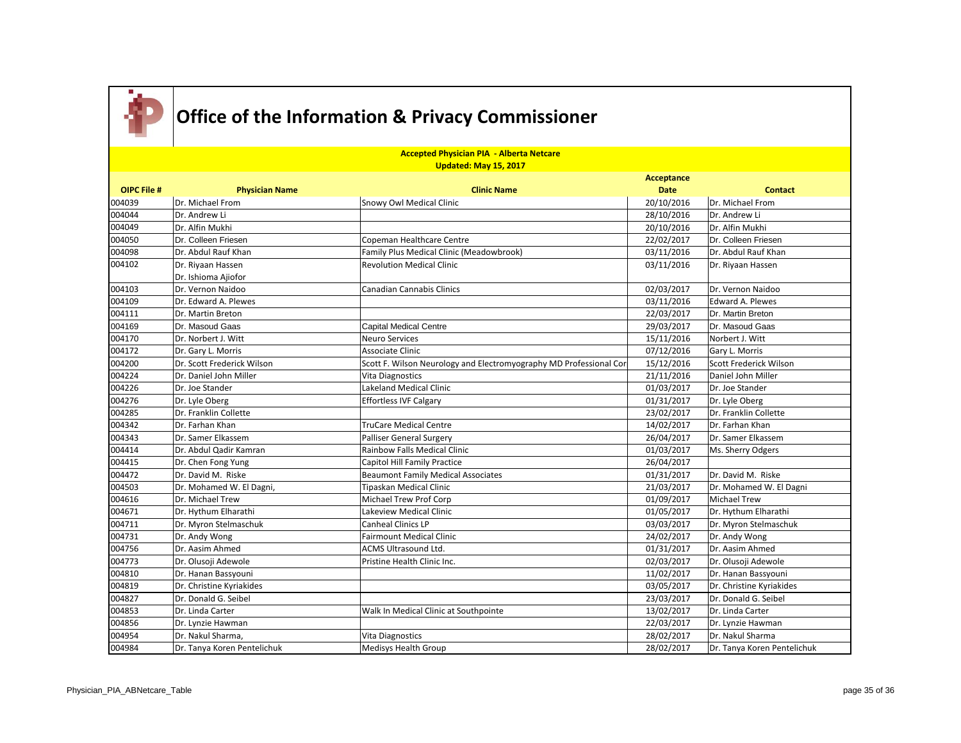

| <b>Accepted Physician PIA - Alberta Netcare</b> |                             |                                                                    |             |                             |
|-------------------------------------------------|-----------------------------|--------------------------------------------------------------------|-------------|-----------------------------|
|                                                 |                             | Updated: May 15, 2017                                              |             |                             |
|                                                 |                             |                                                                    | Acceptance  |                             |
| <b>OIPC File #</b>                              | <b>Physician Name</b>       | <b>Clinic Name</b>                                                 | <b>Date</b> | <b>Contact</b>              |
| 004039                                          | Dr. Michael From            | Snowy Owl Medical Clinic                                           | 20/10/2016  | Dr. Michael From            |
| 004044                                          | Dr. Andrew Li               |                                                                    | 28/10/2016  | Dr. Andrew Li               |
| 004049                                          | Dr. Alfin Mukhi             |                                                                    | 20/10/2016  | Dr. Alfin Mukhi             |
| 004050                                          | Dr. Colleen Friesen         | Copeman Healthcare Centre                                          | 22/02/2017  | Dr. Colleen Friesen         |
| 004098                                          | Dr. Abdul Rauf Khan         | Family Plus Medical Clinic (Meadowbrook)                           | 03/11/2016  | Dr. Abdul Rauf Khan         |
| 004102                                          | Dr. Riyaan Hassen           | <b>Revolution Medical Clinic</b>                                   | 03/11/2016  | Dr. Riyaan Hassen           |
|                                                 | Dr. Ishioma Ajiofor         |                                                                    |             |                             |
| 004103                                          | Dr. Vernon Naidoo           | Canadian Cannabis Clinics                                          | 02/03/2017  | Dr. Vernon Naidoo           |
| 004109                                          | Dr. Edward A. Plewes        |                                                                    | 03/11/2016  | <b>Edward A. Plewes</b>     |
| 004111                                          | Dr. Martin Breton           |                                                                    | 22/03/2017  | Dr. Martin Breton           |
| 004169                                          | Dr. Masoud Gaas             | <b>Capital Medical Centre</b>                                      | 29/03/2017  | Dr. Masoud Gaas             |
| 004170                                          | Dr. Norbert J. Witt         | <b>Neuro Services</b>                                              | 15/11/2016  | Norbert J. Witt             |
| 004172                                          | Dr. Gary L. Morris          | Associate Clinic                                                   | 07/12/2016  | Gary L. Morris              |
| 004200                                          | Dr. Scott Frederick Wilson  | Scott F. Wilson Neurology and Electromyography MD Professional Cor | 15/12/2016  | Scott Frederick Wilson      |
| 004224                                          | Dr. Daniel John Miller      | <b>Vita Diagnostics</b>                                            | 21/11/2016  | Daniel John Miller          |
| 004226                                          | Dr. Joe Stander             | Lakeland Medical Clinic                                            | 01/03/2017  | Dr. Joe Stander             |
| 004276                                          | Dr. Lyle Oberg              | <b>Effortless IVF Calgary</b>                                      | 01/31/2017  | Dr. Lyle Oberg              |
| 004285                                          | Dr. Franklin Collette       |                                                                    | 23/02/2017  | Dr. Franklin Collette       |
| 004342                                          | Dr. Farhan Khan             | TruCare Medical Centre                                             | 14/02/2017  | Dr. Farhan Khan             |
| 004343                                          | Dr. Samer Elkassem          | <b>Palliser General Surgery</b>                                    | 26/04/2017  | Dr. Samer Elkassem          |
| 004414                                          | Dr. Abdul Qadir Kamran      | Rainbow Falls Medical Clinic                                       | 01/03/2017  | Ms. Sherry Odgers           |
| 004415                                          | Dr. Chen Fong Yung          | Capitol Hill Family Practice                                       | 26/04/2017  |                             |
| 004472                                          | Dr. David M. Riske          | <b>Beaumont Family Medical Associates</b>                          | 01/31/2017  | Dr. David M. Riske          |
| 004503                                          | Dr. Mohamed W. El Dagni,    | Tipaskan Medical Clinic                                            | 21/03/2017  | Dr. Mohamed W. El Dagni     |
| 004616                                          | Dr. Michael Trew            | Michael Trew Prof Corp                                             | 01/09/2017  | <b>Michael Trew</b>         |
| 004671                                          | Dr. Hythum Elharathi        | Lakeview Medical Clinic                                            | 01/05/2017  | Dr. Hythum Elharathi        |
| 004711                                          | Dr. Myron Stelmaschuk       | Canheal Clinics LP                                                 | 03/03/2017  | Dr. Myron Stelmaschuk       |
| 004731                                          | Dr. Andy Wong               | <b>Fairmount Medical Clinic</b>                                    | 24/02/2017  | Dr. Andy Wong               |
| 004756                                          | Dr. Aasim Ahmed             | <b>ACMS Ultrasound Ltd.</b>                                        | 01/31/2017  | Dr. Aasim Ahmed             |
| 004773                                          | Dr. Olusoji Adewole         | Pristine Health Clinic Inc.                                        | 02/03/2017  | Dr. Olusoji Adewole         |
| 004810                                          | Dr. Hanan Bassyouni         |                                                                    | 11/02/2017  | Dr. Hanan Bassyouni         |
| 004819                                          | Dr. Christine Kyriakides    |                                                                    | 03/05/2017  | Dr. Christine Kyriakides    |
| 004827                                          | Dr. Donald G. Seibel        |                                                                    | 23/03/2017  | Dr. Donald G. Seibel        |
| 004853                                          | Dr. Linda Carter            | Walk In Medical Clinic at Southpointe                              | 13/02/2017  | Dr. Linda Carter            |
| 004856                                          | Dr. Lynzie Hawman           |                                                                    | 22/03/2017  | Dr. Lynzie Hawman           |
| 004954                                          | Dr. Nakul Sharma,           | <b>Vita Diagnostics</b>                                            | 28/02/2017  | Dr. Nakul Sharma            |
| 004984                                          | Dr. Tanya Koren Pentelichuk | <b>Medisys Health Group</b>                                        | 28/02/2017  | Dr. Tanya Koren Pentelichuk |